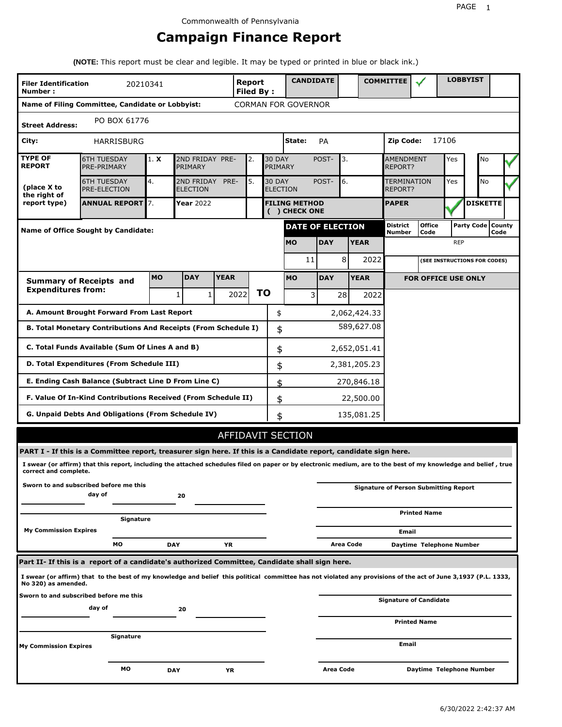## **Campaign Finance Report**

**(NOTE:** This report must be clear and legible. It may be typed or printed in blue or black ink.)

| <b>Filer Identification</b><br>Number: | 20210341                                                                                                                                                        |           |                               |             | <b>Report</b><br><b>Filed By:</b> |           |                          | <b>CANDIDATE</b>                      |            |           |              | <b>COMMITTEE</b>            |                                              |            | <b>LOBBYIST</b>              |      |  |
|----------------------------------------|-----------------------------------------------------------------------------------------------------------------------------------------------------------------|-----------|-------------------------------|-------------|-----------------------------------|-----------|--------------------------|---------------------------------------|------------|-----------|--------------|-----------------------------|----------------------------------------------|------------|------------------------------|------|--|
|                                        | Name of Filing Committee, Candidate or Lobbyist:                                                                                                                |           |                               |             |                                   |           |                          | <b>CORMAN FOR GOVERNOR</b>            |            |           |              |                             |                                              |            |                              |      |  |
| <b>Street Address:</b>                 | PO BOX 61776                                                                                                                                                    |           |                               |             |                                   |           |                          |                                       |            |           |              |                             |                                              |            |                              |      |  |
| City:                                  | HARRISBURG                                                                                                                                                      |           |                               |             |                                   |           |                          | State:                                | PA         |           |              | Zip Code:                   |                                              | 17106      |                              |      |  |
| <b>TYPE OF</b><br><b>REPORT</b>        | <b>6TH TUESDAY</b><br>PRE-PRIMARY                                                                                                                               | 1. X      | 2ND FRIDAY PRE-<br>PRIMARY    |             | 2.                                |           | <b>30 DAY</b><br>PRIMARY |                                       | POST-      | 3.        |              | <b>AMENDMENT</b><br>REPORT? |                                              | Yes        | No                           |      |  |
| (place X to<br>the right of            | <b>6TH TUESDAY</b><br><b>PRE-ELECTION</b>                                                                                                                       | 4.        | 2ND FRIDAY<br><b>ELECTION</b> | PRE-        | 5.                                |           | <b>30 DAY</b>            | <b>ELECTION</b>                       | POST-      | 6.        |              | TERMINATION<br>REPORT?      |                                              | Yes        | <b>No</b>                    |      |  |
| report type)                           | <b>ANNUAL REPORT 7.</b>                                                                                                                                         |           | Year 2022                     |             |                                   |           |                          | <b>FILING METHOD</b><br>( ) CHECK ONE |            |           |              | <b>PAPER</b>                |                                              |            | <b>DISKETTE</b>              |      |  |
|                                        | Name of Office Sought by Candidate:                                                                                                                             |           |                               |             |                                   |           |                          | <b>DATE OF ELECTION</b>               |            |           |              | District<br>Number          | <b>Office</b><br>Code                        |            | Party Code   County          | Code |  |
|                                        |                                                                                                                                                                 |           |                               |             |                                   |           |                          | <b>MO</b>                             | <b>DAY</b> |           | <b>YEAR</b>  |                             |                                              | <b>REP</b> |                              |      |  |
|                                        |                                                                                                                                                                 |           |                               |             |                                   |           |                          | 11                                    |            | 8         | 2022         |                             |                                              |            | (SEE INSTRUCTIONS FOR CODES) |      |  |
|                                        | <b>Summary of Receipts and</b>                                                                                                                                  | <b>MO</b> | <b>DAY</b>                    | <b>YEAR</b> |                                   |           |                          | <b>MO</b>                             | <b>DAY</b> |           | <b>YEAR</b>  |                             | <b>FOR OFFICE USE ONLY</b>                   |            |                              |      |  |
| <b>Expenditures from:</b>              |                                                                                                                                                                 |           | $\mathbf{1}$<br>1             |             | 2022                              | <b>TO</b> |                          | 3                                     |            | 28        | 2022         |                             |                                              |            |                              |      |  |
|                                        | A. Amount Brought Forward From Last Report                                                                                                                      |           |                               |             |                                   |           | \$                       |                                       |            |           | 2,062,424.33 |                             |                                              |            |                              |      |  |
|                                        | B. Total Monetary Contributions And Receipts (From Schedule I)                                                                                                  |           |                               |             |                                   |           | \$                       |                                       |            |           | 589,627.08   |                             |                                              |            |                              |      |  |
|                                        | C. Total Funds Available (Sum Of Lines A and B)                                                                                                                 |           |                               |             |                                   |           | \$                       |                                       |            |           | 2,652,051.41 |                             |                                              |            |                              |      |  |
|                                        | D. Total Expenditures (From Schedule III)                                                                                                                       |           |                               |             |                                   |           | \$                       |                                       |            |           | 2,381,205.23 |                             |                                              |            |                              |      |  |
|                                        | E. Ending Cash Balance (Subtract Line D From Line C)                                                                                                            |           |                               |             |                                   |           | \$                       |                                       |            |           | 270,846.18   |                             |                                              |            |                              |      |  |
|                                        | F. Value Of In-Kind Contributions Received (From Schedule II)                                                                                                   |           |                               |             |                                   |           | \$                       |                                       |            |           | 22,500.00    |                             |                                              |            |                              |      |  |
|                                        | <b>G. Unpaid Debts And Obligations (From Schedule IV)</b>                                                                                                       |           |                               |             |                                   |           | \$                       |                                       |            |           | 135,081.25   |                             |                                              |            |                              |      |  |
|                                        |                                                                                                                                                                 |           |                               |             |                                   |           |                          | AFFIDAVIT SECTION                     |            |           |              |                             |                                              |            |                              |      |  |
|                                        | PART I - If this is a Committee report, treasurer sign here. If this is a Candidate report, candidate sign here.                                                |           |                               |             |                                   |           |                          |                                       |            |           |              |                             |                                              |            |                              |      |  |
| correct and complete.                  | I swear (or affirm) that this report, including the attached schedules filed on paper or by electronic medium, are to the best of my knowledge and belief, true |           |                               |             |                                   |           |                          |                                       |            |           |              |                             |                                              |            |                              |      |  |
|                                        | Sworn to and subscribed before me this<br>day of                                                                                                                |           | 20                            |             |                                   |           |                          |                                       |            |           |              |                             | <b>Signature of Person Submitting Report</b> |            |                              |      |  |
|                                        |                                                                                                                                                                 |           |                               |             |                                   |           |                          |                                       |            |           |              |                             | <b>Printed Name</b>                          |            |                              |      |  |
| <b>My Commission Expires</b>           | Signature                                                                                                                                                       |           |                               |             |                                   |           |                          |                                       |            |           |              | Email                       |                                              |            |                              |      |  |
|                                        | МO                                                                                                                                                              |           | <b>DAY</b>                    | YR          |                                   |           |                          |                                       |            | Area Code |              |                             | Daytime Telephone Number                     |            |                              |      |  |
|                                        | Part II- If this is a report of a candidate's authorized Committee, Candidate shall sign here.                                                                  |           |                               |             |                                   |           |                          |                                       |            |           |              |                             |                                              |            |                              |      |  |
| No 320) as amended.                    | I swear (or affirm) that to the best of my knowledge and belief this political committee has not violated any provisions of the act of June 3,1937 (P.L. 1333,  |           |                               |             |                                   |           |                          |                                       |            |           |              |                             |                                              |            |                              |      |  |
|                                        | Sworn to and subscribed before me this<br>day of                                                                                                                |           | 20                            |             |                                   |           |                          |                                       |            |           |              |                             | <b>Signature of Candidate</b>                |            |                              |      |  |
|                                        |                                                                                                                                                                 |           |                               |             |                                   |           |                          |                                       |            |           |              |                             | <b>Printed Name</b>                          |            |                              |      |  |
| <b>My Commission Expires</b>           | Signature                                                                                                                                                       |           |                               |             |                                   |           |                          |                                       |            |           |              | Email                       |                                              |            |                              |      |  |
|                                        | мo                                                                                                                                                              |           | <b>DAY</b>                    | YR          |                                   |           |                          |                                       | Area Code  |           |              |                             | Daytime Telephone Number                     |            |                              |      |  |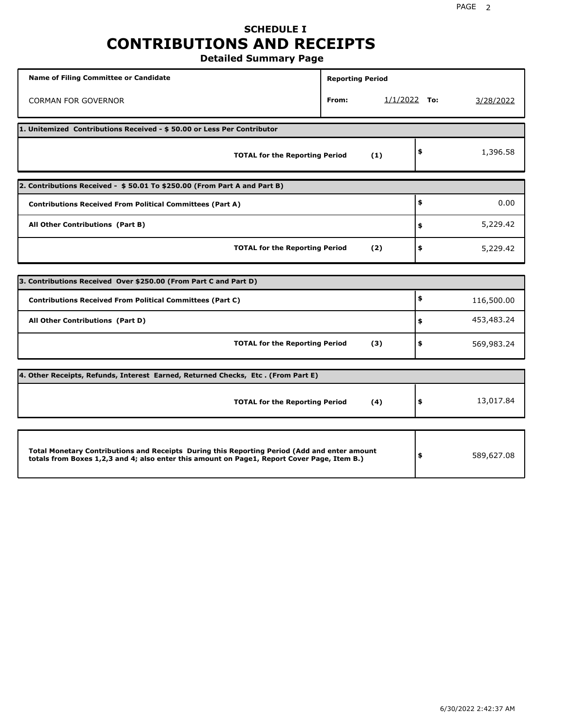### **SCHEDULE I CONTRIBUTIONS AND RECEIPTS Detailed Summary Page**

**Name of Filing Committee or Candidate Reporting Period Reporting Period** CORMAN FOR GOVERNOR **From:** 1/1/2022 **To:** 3/28/2022 **1. Unitemized Contributions Received - \$ 50.00 or Less Per Contributor TOTAL for the Reporting Period (1) \$** 1,396.58 **2. Contributions Received - \$ 50.01 To \$250.00 (From Part A and Part B) TOTAL for the Reporting Period (2) Contributions Received From Political Committees (Part A) All Other Contributions (Part B) \$ \$ \$** 0.00 5,229.42 5,229.42 **3. Contributions Received Over \$250.00 (From Part C and Part D) TOTAL for the Reporting Period (3) Contributions Received From Political Committees (Part C) All Other Contributions (Part D) \$ \$ \$** 116,500.00 453,483.24 569,983.24 **4. Other Receipts, Refunds, Interest Earned, Returned Checks, Etc . (From Part E) TOTAL for the Reporting Period (4) \$** 13,017.84 **Total Monetary Contributions and Receipts During this Reporting Period (Add and enter amount totals from Boxes 1,2,3 and 4; also enter this amount on Page1, Report Cover Page, Item B.) \$** 589,627.08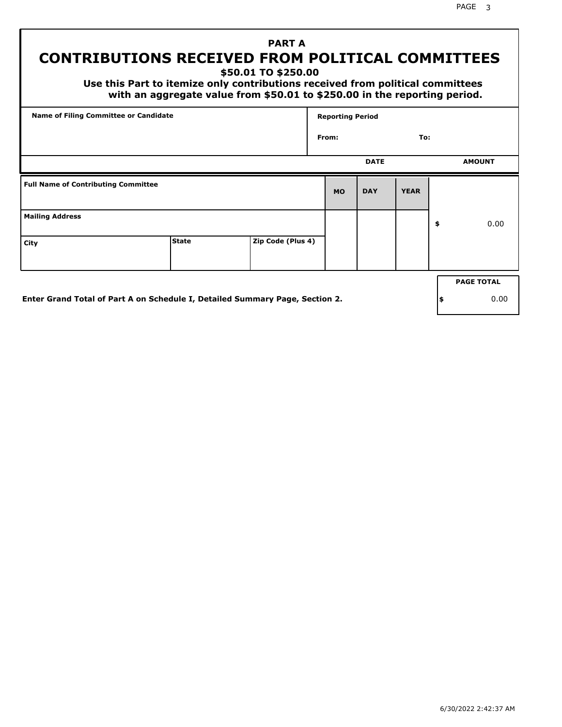### **PART A CONTRIBUTIONS RECEIVED FROM POLITICAL COMMITTEES**

**\$50.01 TO \$250.00**

 **Use this Part to itemize only contributions received from political committees with an aggregate value from \$50.01 to \$250.00 in the reporting period.**

| Name of Filing Committee or Candidate      |              |                   | <b>Reporting Period</b> |             |             |                   |
|--------------------------------------------|--------------|-------------------|-------------------------|-------------|-------------|-------------------|
|                                            |              |                   | From:                   |             | To:         |                   |
|                                            |              |                   |                         | <b>DATE</b> |             | <b>AMOUNT</b>     |
| <b>Full Name of Contributing Committee</b> |              |                   | <b>MO</b>               | <b>DAY</b>  | <b>YEAR</b> |                   |
| <b>Mailing Address</b>                     |              |                   |                         |             |             | \$<br>0.00        |
| City                                       | <b>State</b> | Zip Code (Plus 4) |                         |             |             |                   |
|                                            |              |                   |                         |             |             | <b>PAGE TOTAL</b> |

**Enter Grand Total of Part A on Schedule I, Detailed Summary Page, Section 2.**

**\$** 0.00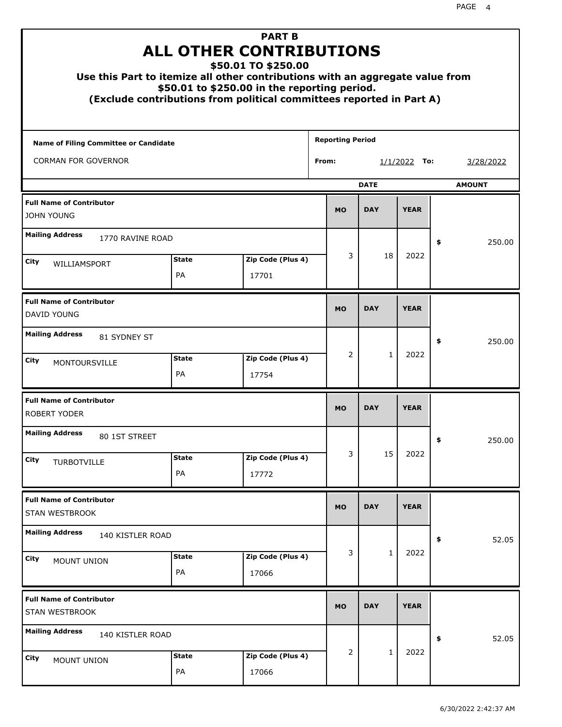| Use this Part to itemize all other contributions with an aggregate value from |                    | <b>PART B</b><br><b>ALL OTHER CONTRIBUTIONS</b><br>\$50.01 TO \$250.00<br>\$50.01 to \$250.00 in the reporting period.<br>(Exclude contributions from political committees reported in Part A) |                         |                |              |                |    |               |
|-------------------------------------------------------------------------------|--------------------|------------------------------------------------------------------------------------------------------------------------------------------------------------------------------------------------|-------------------------|----------------|--------------|----------------|----|---------------|
| Name of Filing Committee or Candidate                                         |                    |                                                                                                                                                                                                | <b>Reporting Period</b> |                |              |                |    |               |
| <b>CORMAN FOR GOVERNOR</b>                                                    |                    |                                                                                                                                                                                                | From:                   |                |              | $1/1/2022$ To: |    | 3/28/2022     |
|                                                                               |                    |                                                                                                                                                                                                |                         |                | <b>DATE</b>  |                |    | <b>AMOUNT</b> |
| <b>Full Name of Contributor</b><br><b>JOHN YOUNG</b>                          |                    |                                                                                                                                                                                                | <b>MO</b>               |                | <b>DAY</b>   | <b>YEAR</b>    |    |               |
| <b>Mailing Address</b><br>1770 RAVINE ROAD                                    |                    |                                                                                                                                                                                                |                         |                |              |                | \$ | 250.00        |
| City<br>WILLIAMSPORT                                                          | <b>State</b>       | Zip Code (Plus 4)                                                                                                                                                                              |                         | 3              | 18           | 2022           |    |               |
|                                                                               | PA                 | 17701                                                                                                                                                                                          |                         |                |              |                |    |               |
| <b>Full Name of Contributor</b><br>DAVID YOUNG                                |                    |                                                                                                                                                                                                | <b>MO</b>               |                | <b>DAY</b>   | <b>YEAR</b>    |    |               |
| <b>Mailing Address</b><br>81 SYDNEY ST                                        |                    |                                                                                                                                                                                                |                         |                |              |                | \$ | 250.00        |
| City<br>MONTOURSVILLE                                                         | <b>State</b><br>PA | Zip Code (Plus 4)<br>17754                                                                                                                                                                     |                         | 2              | $\mathbf{1}$ | 2022           |    |               |
| <b>Full Name of Contributor</b><br><b>ROBERT YODER</b>                        |                    |                                                                                                                                                                                                | <b>MO</b>               |                | <b>DAY</b>   | <b>YEAR</b>    |    |               |
| <b>Mailing Address</b><br>80 1ST STREET                                       |                    |                                                                                                                                                                                                |                         |                |              |                | ÷, | 250.00        |
| City<br>TURBOTVILLE                                                           | <b>State</b><br>PA | Zip Code (Plus 4)<br>17772                                                                                                                                                                     |                         | 3              | 15           | 2022           |    |               |
| <b>Full Name of Contributor</b><br>STAN WESTBROOK                             |                    |                                                                                                                                                                                                | <b>MO</b>               |                | <b>DAY</b>   | <b>YEAR</b>    |    |               |
| <b>Mailing Address</b><br>140 KISTLER ROAD                                    |                    |                                                                                                                                                                                                |                         |                |              |                | \$ | 52.05         |
| City<br>MOUNT UNION                                                           | <b>State</b><br>PA | Zip Code (Plus 4)<br>17066                                                                                                                                                                     |                         | 3              | $\mathbf{1}$ | 2022           |    |               |
| <b>Full Name of Contributor</b><br>STAN WESTBROOK                             |                    |                                                                                                                                                                                                | <b>MO</b>               |                | <b>DAY</b>   | <b>YEAR</b>    |    |               |
| <b>Mailing Address</b><br>140 KISTLER ROAD                                    |                    |                                                                                                                                                                                                |                         |                |              |                | \$ | 52.05         |
| City<br>MOUNT UNION                                                           | <b>State</b><br>PA | Zip Code (Plus 4)<br>17066                                                                                                                                                                     |                         | $\overline{2}$ | $\mathbf{1}$ | 2022           |    |               |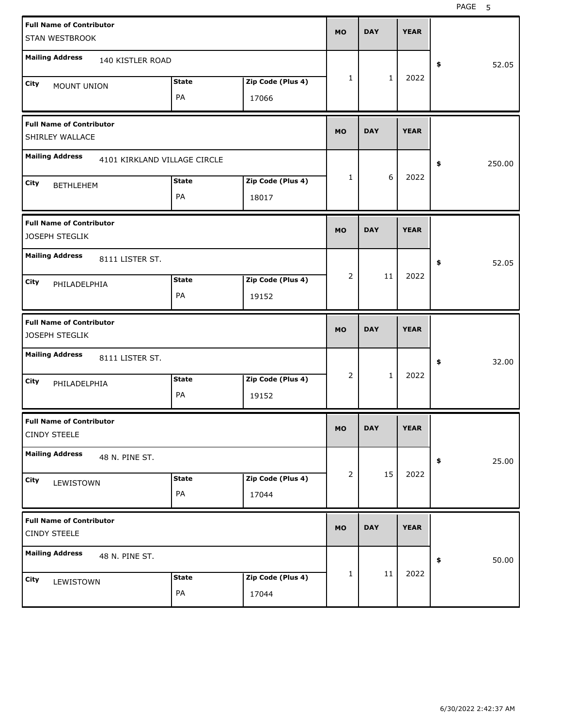PAGE 5

| <b>Full Name of Contributor</b><br>STAN WESTBROOK      |              |                   | <b>MO</b>      | <b>DAY</b>   | <b>YEAR</b> |              |
|--------------------------------------------------------|--------------|-------------------|----------------|--------------|-------------|--------------|
| <b>Mailing Address</b><br>140 KISTLER ROAD             |              |                   |                |              |             | \$<br>52.05  |
| City<br>MOUNT UNION                                    | <b>State</b> | Zip Code (Plus 4) | 1              | $\mathbf{1}$ | 2022        |              |
|                                                        | PA           | 17066             |                |              |             |              |
| <b>Full Name of Contributor</b><br>SHIRLEY WALLACE     |              |                   | <b>MO</b>      | <b>DAY</b>   | <b>YEAR</b> |              |
| <b>Mailing Address</b><br>4101 KIRKLAND VILLAGE CIRCLE |              |                   |                |              |             | \$<br>250.00 |
| City<br><b>BETHLEHEM</b>                               | <b>State</b> | Zip Code (Plus 4) | 1              | 6            | 2022        |              |
|                                                        | PA           | 18017             |                |              |             |              |
| <b>Full Name of Contributor</b><br>JOSEPH STEGLIK      |              |                   | <b>MO</b>      | <b>DAY</b>   | <b>YEAR</b> |              |
| <b>Mailing Address</b><br>8111 LISTER ST.              |              |                   |                |              |             | \$<br>52.05  |
| City<br>PHILADELPHIA                                   | <b>State</b> | Zip Code (Plus 4) | $\overline{2}$ | 11           | 2022        |              |
|                                                        | PA           | 19152             |                |              |             |              |
|                                                        |              |                   |                |              |             |              |
| <b>Full Name of Contributor</b><br>JOSEPH STEGLIK      |              |                   | <b>MO</b>      | <b>DAY</b>   | <b>YEAR</b> |              |
| <b>Mailing Address</b><br>8111 LISTER ST.              |              |                   |                |              |             | \$<br>32.00  |
| <b>City</b><br>PHILADELPHIA                            | <b>State</b> | Zip Code (Plus 4) | $\overline{2}$ | $\mathbf{1}$ | 2022        |              |
|                                                        | PA           | 19152             |                |              |             |              |
| <b>Full Name of Contributor</b><br><b>CINDY STEELE</b> |              |                   | MO.            | DAY          | YEAK        |              |
| <b>Mailing Address</b><br>48 N. PINE ST.               |              |                   |                |              |             | 25.00<br>\$  |
| City                                                   | <b>State</b> | Zip Code (Plus 4) | $\overline{2}$ | 15           | 2022        |              |
| LEWISTOWN                                              | PA           | 17044             |                |              |             |              |
| <b>Full Name of Contributor</b><br><b>CINDY STEELE</b> |              |                   | <b>MO</b>      | <b>DAY</b>   | <b>YEAR</b> |              |
| <b>Mailing Address</b><br>48 N. PINE ST.               |              |                   |                |              |             | 50.00<br>\$  |
| City<br>LEWISTOWN                                      | <b>State</b> | Zip Code (Plus 4) | 1              | 11           | 2022        |              |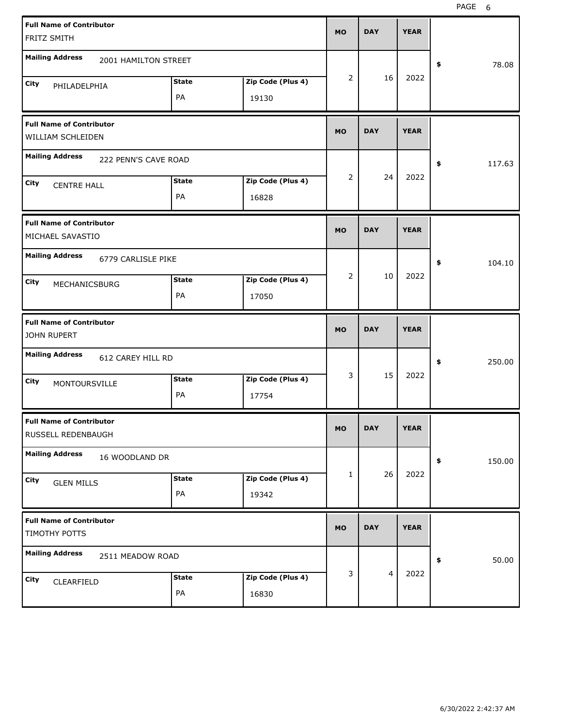PAGE 6

| <b>Full Name of Contributor</b>                       |                    |                            | <b>MO</b> | <b>DAY</b>     | <b>YEAR</b> |              |
|-------------------------------------------------------|--------------------|----------------------------|-----------|----------------|-------------|--------------|
| FRITZ SMITH                                           |                    |                            |           |                |             |              |
| <b>Mailing Address</b><br>2001 HAMILTON STREET        |                    |                            |           |                |             | \$<br>78.08  |
| City<br>PHILADELPHIA                                  | <b>State</b>       | Zip Code (Plus 4)          | 2         | 16             | 2022        |              |
|                                                       | PA                 | 19130                      |           |                |             |              |
| <b>Full Name of Contributor</b>                       |                    |                            | <b>MO</b> | <b>DAY</b>     | <b>YEAR</b> |              |
| WILLIAM SCHLEIDEN                                     |                    |                            |           |                |             |              |
| <b>Mailing Address</b><br>222 PENN'S CAVE ROAD        |                    |                            |           |                |             | \$<br>117.63 |
| City<br><b>CENTRE HALL</b>                            | <b>State</b>       | Zip Code (Plus 4)          | 2         | 24             | 2022        |              |
|                                                       | PA                 | 16828                      |           |                |             |              |
| <b>Full Name of Contributor</b>                       |                    |                            | <b>MO</b> | <b>DAY</b>     | <b>YEAR</b> |              |
| MICHAEL SAVASTIO                                      |                    |                            |           |                |             |              |
| <b>Mailing Address</b><br>6779 CARLISLE PIKE          |                    |                            |           |                |             | \$<br>104.10 |
| City<br>MECHANICSBURG                                 | <b>State</b>       | Zip Code (Plus 4)          | 2         | 10             | 2022        |              |
|                                                       | PA                 | 17050                      |           |                |             |              |
|                                                       |                    |                            |           |                |             |              |
| <b>Full Name of Contributor</b><br>JOHN RUPERT        |                    |                            | <b>MO</b> | <b>DAY</b>     | <b>YEAR</b> |              |
| <b>Mailing Address</b><br>612 CAREY HILL RD           |                    |                            |           |                |             | \$<br>250.00 |
| City                                                  | <b>State</b>       | Zip Code (Plus 4)          | 3         | 15             | 2022        |              |
| MONTOURSVILLE                                         | PA                 | 17754                      |           |                |             |              |
| <b>Full Name of Contributor</b><br>RUSSELL REDENBAUGH |                    |                            | MO        | <b>DAY</b>     | <b>YEAR</b> |              |
| <b>Mailing Address</b><br>16 WOODLAND DR              |                    |                            |           |                |             | \$<br>150.00 |
|                                                       |                    |                            | 1         | 26             | 2022        |              |
| City<br><b>GLEN MILLS</b>                             | <b>State</b><br>PA | Zip Code (Plus 4)<br>19342 |           |                |             |              |
| <b>Full Name of Contributor</b>                       |                    |                            |           |                |             |              |
| TIMOTHY POTTS                                         |                    |                            | <b>MO</b> | <b>DAY</b>     | <b>YEAR</b> |              |
| <b>Mailing Address</b><br>2511 MEADOW ROAD            |                    |                            |           |                |             | 50.00<br>\$  |
| City<br>CLEARFIELD                                    | <b>State</b>       | Zip Code (Plus 4)          | 3         | $\overline{4}$ | 2022        |              |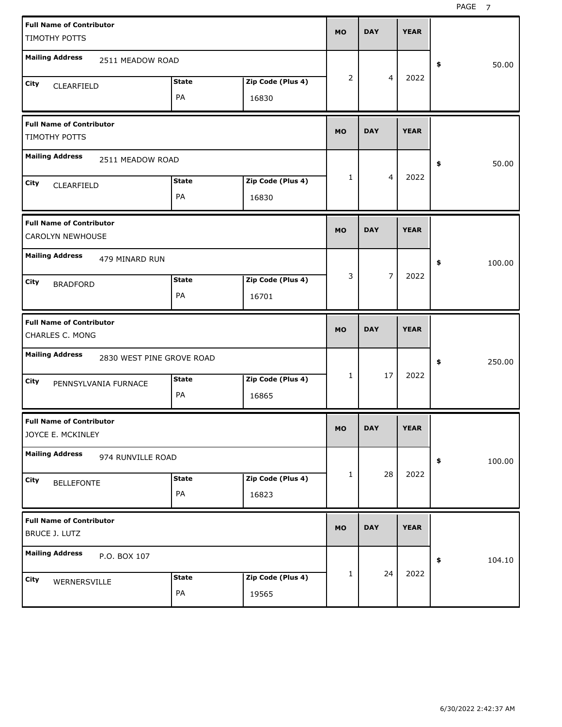| <b>Full Name of Contributor</b><br>TIMOTHY POTTS        |                    |                            | <b>MO</b>    | <b>DAY</b>     | <b>YEAR</b> |              |
|---------------------------------------------------------|--------------------|----------------------------|--------------|----------------|-------------|--------------|
| <b>Mailing Address</b><br>2511 MEADOW ROAD              |                    |                            |              |                |             | \$<br>50.00  |
| City<br>CLEARFIELD                                      | <b>State</b><br>PA | Zip Code (Plus 4)<br>16830 | 2            | $\overline{4}$ | 2022        |              |
| <b>Full Name of Contributor</b><br>TIMOTHY POTTS        |                    |                            | <b>MO</b>    | <b>DAY</b>     | <b>YEAR</b> |              |
| <b>Mailing Address</b><br>2511 MEADOW ROAD              |                    |                            |              |                |             | \$<br>50.00  |
| City<br>CLEARFIELD                                      | <b>State</b><br>PA | Zip Code (Plus 4)<br>16830 | 1            | $\overline{4}$ | 2022        |              |
| <b>Full Name of Contributor</b><br>CAROLYN NEWHOUSE     |                    |                            | <b>MO</b>    | <b>DAY</b>     | <b>YEAR</b> |              |
| <b>Mailing Address</b><br>479 MINARD RUN                |                    |                            | 3            | $\overline{7}$ | 2022        | \$<br>100.00 |
| <b>City</b><br><b>BRADFORD</b>                          | <b>State</b><br>PA | Zip Code (Plus 4)<br>16701 |              |                |             |              |
|                                                         |                    |                            |              |                |             |              |
| <b>Full Name of Contributor</b><br>CHARLES C. MONG      |                    |                            | <b>MO</b>    | <b>DAY</b>     | <b>YEAR</b> |              |
| <b>Mailing Address</b><br>2830 WEST PINE GROVE ROAD     |                    |                            |              |                |             | \$<br>250.00 |
| <b>City</b><br>PENNSYLVANIA FURNACE                     | <b>State</b><br>PA | Zip Code (Plus 4)<br>16865 | 1            | 17             | 2022        |              |
| <b>Full Name of Contributor</b><br>JOYCE E. MCKINLEY    |                    |                            | MO           | <b>DAY</b>     | <b>YEAR</b> |              |
| <b>Mailing Address</b><br>974 RUNVILLE ROAD             |                    |                            |              |                |             | 100.00<br>\$ |
| City<br><b>BELLEFONTE</b>                               | <b>State</b><br>PA | Zip Code (Plus 4)<br>16823 | $\mathbf{1}$ | 28             | 2022        |              |
| <b>Full Name of Contributor</b><br><b>BRUCE J. LUTZ</b> |                    |                            | <b>MO</b>    | <b>DAY</b>     | <b>YEAR</b> |              |
| <b>Mailing Address</b><br>P.O. BOX 107                  |                    |                            |              | 24             | 2022        | \$<br>104.10 |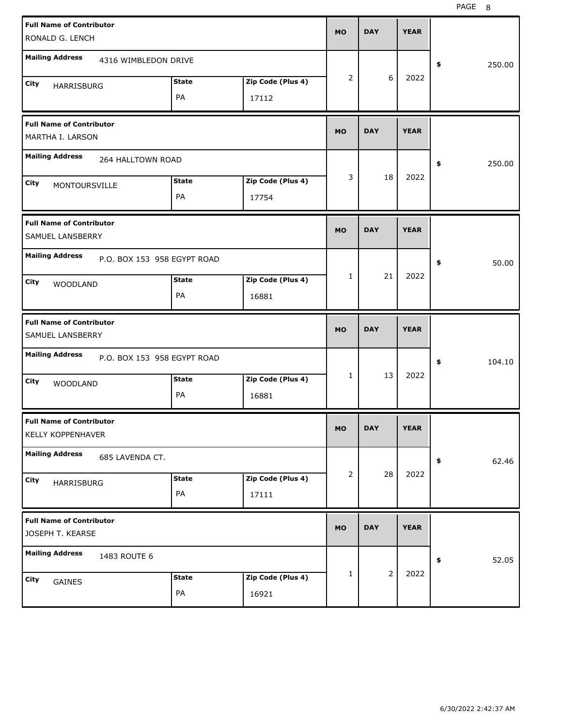| <b>Full Name of Contributor</b><br>RONALD G. LENCH   |                             |                   | <b>MO</b>      | <b>DAY</b>     | <b>YEAR</b> |              |
|------------------------------------------------------|-----------------------------|-------------------|----------------|----------------|-------------|--------------|
| <b>Mailing Address</b>                               | 4316 WIMBLEDON DRIVE        |                   |                |                |             | 250.00<br>\$ |
| City<br><b>HARRISBURG</b>                            | <b>State</b>                | Zip Code (Plus 4) | $\overline{2}$ | 6              | 2022        |              |
|                                                      | PA                          | 17112             |                |                |             |              |
| <b>Full Name of Contributor</b><br>MARTHA I. LARSON  |                             |                   | <b>MO</b>      | <b>DAY</b>     | <b>YEAR</b> |              |
| <b>Mailing Address</b>                               | 264 HALLTOWN ROAD           |                   |                |                |             | 250.00<br>\$ |
| City<br>MONTOURSVILLE                                | <b>State</b>                | Zip Code (Plus 4) | 3              | 18             | 2022        |              |
|                                                      | PA                          | 17754             |                |                |             |              |
| <b>Full Name of Contributor</b><br>SAMUEL LANSBERRY  |                             |                   | <b>MO</b>      | <b>DAY</b>     | <b>YEAR</b> |              |
| <b>Mailing Address</b>                               | P.O. BOX 153 958 EGYPT ROAD |                   |                |                |             | 50.00<br>\$  |
| City<br><b>WOODLAND</b>                              | <b>State</b>                | Zip Code (Plus 4) | 1              | 21             | 2022        |              |
|                                                      | PA                          | 16881             |                |                |             |              |
|                                                      |                             |                   |                |                |             |              |
| <b>Full Name of Contributor</b><br>SAMUEL LANSBERRY  |                             |                   | <b>MO</b>      | <b>DAY</b>     | <b>YEAR</b> |              |
| <b>Mailing Address</b>                               | P.O. BOX 153 958 EGYPT ROAD |                   |                |                |             | 104.10<br>\$ |
| City<br><b>WOODLAND</b>                              | <b>State</b>                | Zip Code (Plus 4) | 1              | 13             | 2022        |              |
|                                                      | PA                          | 16881             |                |                |             |              |
| <b>Full Name of Contributor</b><br>KELLY KOPPENHAVER |                             |                   | MU.            | <b>DAY</b>     | YEAR        |              |
| <b>Mailing Address</b><br>685 LAVENDA CT.            |                             |                   |                |                |             | 62.46<br>\$  |
| City                                                 | <b>State</b>                | Zip Code (Plus 4) | $\overline{2}$ | 28             | 2022        |              |
| HARRISBURG                                           | PA                          | 17111             |                |                |             |              |
| <b>Full Name of Contributor</b><br>JOSEPH T. KEARSE  |                             |                   | <b>MO</b>      | <b>DAY</b>     | <b>YEAR</b> |              |
| <b>Mailing Address</b><br>1483 ROUTE 6               |                             |                   |                |                |             | 52.05<br>\$  |
| City<br>GAINES                                       | <b>State</b>                | Zip Code (Plus 4) | 1              | $\overline{2}$ | 2022        |              |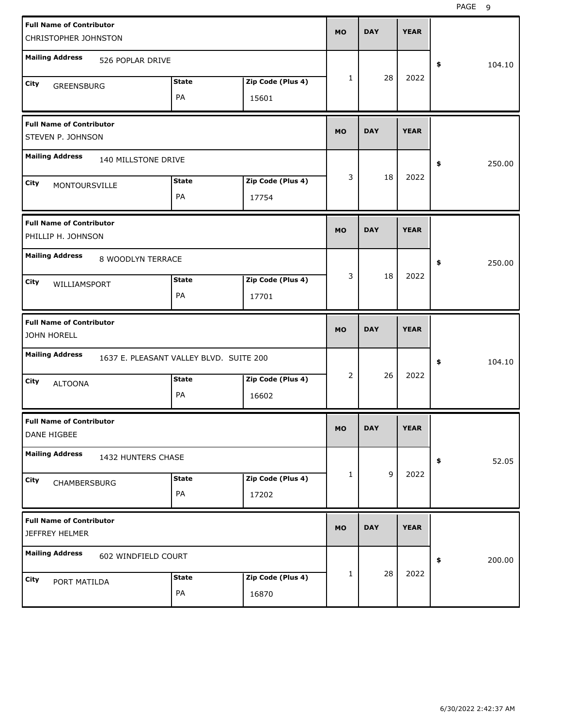| <b>Full Name of Contributor</b><br>CHRISTOPHER JOHNSTON |                                         |                   | <b>MO</b> | <b>DAY</b> | <b>YEAR</b> |              |
|---------------------------------------------------------|-----------------------------------------|-------------------|-----------|------------|-------------|--------------|
| <b>Mailing Address</b><br>526 POPLAR DRIVE              |                                         |                   |           |            |             | \$<br>104.10 |
| City<br>GREENSBURG                                      | <b>State</b>                            | Zip Code (Plus 4) | 1         | 28         | 2022        |              |
|                                                         | PA                                      | 15601             |           |            |             |              |
| <b>Full Name of Contributor</b><br>STEVEN P. JOHNSON    |                                         |                   | <b>MO</b> | <b>DAY</b> | <b>YEAR</b> |              |
| <b>Mailing Address</b><br>140 MILLSTONE DRIVE           |                                         |                   |           |            |             | \$<br>250.00 |
| City<br>MONTOURSVILLE                                   | <b>State</b>                            | Zip Code (Plus 4) | 3         | 18         | 2022        |              |
|                                                         | PA                                      | 17754             |           |            |             |              |
| <b>Full Name of Contributor</b><br>PHILLIP H. JOHNSON   |                                         |                   | <b>MO</b> | <b>DAY</b> | <b>YEAR</b> |              |
| <b>Mailing Address</b><br>8 WOODLYN TERRACE             |                                         |                   |           |            |             | \$<br>250.00 |
| City<br>WILLIAMSPORT                                    | <b>State</b>                            | Zip Code (Plus 4) | 3         | 18         | 2022        |              |
|                                                         | PA                                      | 17701             |           |            |             |              |
|                                                         |                                         |                   |           |            |             |              |
| <b>Full Name of Contributor</b><br><b>JOHN HORELL</b>   |                                         |                   | <b>MO</b> | <b>DAY</b> | <b>YEAR</b> |              |
| <b>Mailing Address</b>                                  | 1637 E. PLEASANT VALLEY BLVD. SUITE 200 |                   |           |            |             | \$<br>104.10 |
| City<br><b>ALTOONA</b>                                  | <b>State</b>                            | Zip Code (Plus 4) | 2         | 26         | 2022        |              |
|                                                         | PA                                      | 16602             |           |            |             |              |
| <b>Full Name of Contributor</b><br>DANE HIGBEE          |                                         |                   | МO        | DAY        | <b>YEAR</b> |              |
| <b>Mailing Address</b><br>1432 HUNTERS CHASE            |                                         |                   |           |            |             | 52.05<br>\$  |
| City                                                    | <b>State</b>                            | Zip Code (Plus 4) | 1         | 9          | 2022        |              |
| CHAMBERSBURG                                            | PA                                      | 17202             |           |            |             |              |
| <b>Full Name of Contributor</b><br>JEFFREY HELMER       |                                         |                   | <b>MO</b> | <b>DAY</b> | <b>YEAR</b> |              |
| <b>Mailing Address</b><br>602 WINDFIELD COURT           |                                         |                   |           |            |             | \$<br>200.00 |
| City<br>PORT MATILDA                                    | <b>State</b>                            | Zip Code (Plus 4) | 1         | 28         | 2022        |              |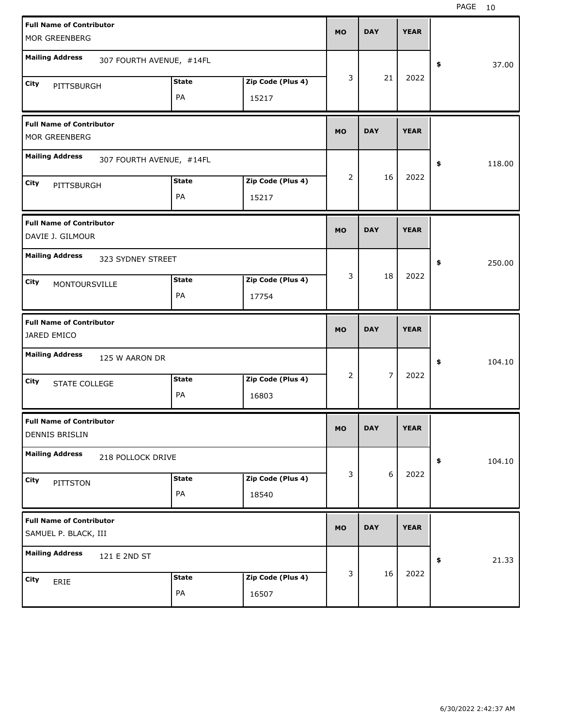| <b>Full Name of Contributor</b>                         |              |                   | <b>MO</b> | <b>DAY</b> | <b>YEAR</b> |              |
|---------------------------------------------------------|--------------|-------------------|-----------|------------|-------------|--------------|
| MOR GREENBERG                                           |              |                   |           |            |             |              |
| <b>Mailing Address</b><br>307 FOURTH AVENUE, #14FL      |              |                   |           |            |             | \$<br>37.00  |
| City<br>PITTSBURGH                                      | <b>State</b> | Zip Code (Plus 4) | 3         | 21         | 2022        |              |
|                                                         | PA           | 15217             |           |            |             |              |
| <b>Full Name of Contributor</b><br>MOR GREENBERG        |              |                   | <b>MO</b> | <b>DAY</b> | <b>YEAR</b> |              |
| <b>Mailing Address</b><br>307 FOURTH AVENUE, #14FL      |              |                   |           |            |             | \$<br>118.00 |
| City<br>PITTSBURGH                                      | <b>State</b> | Zip Code (Plus 4) | 2         | 16         | 2022        |              |
|                                                         | PA           | 15217             |           |            |             |              |
| <b>Full Name of Contributor</b><br>DAVIE J. GILMOUR     |              |                   | <b>MO</b> | <b>DAY</b> | <b>YEAR</b> |              |
| <b>Mailing Address</b><br>323 SYDNEY STREET             |              |                   |           |            |             | \$<br>250.00 |
| City<br>MONTOURSVILLE                                   | <b>State</b> | Zip Code (Plus 4) | 3         | 18         | 2022        |              |
|                                                         | PA           | 17754             |           |            |             |              |
|                                                         |              |                   |           |            |             |              |
| <b>Full Name of Contributor</b><br>JARED EMICO          |              |                   | <b>MO</b> | <b>DAY</b> | <b>YEAR</b> |              |
| <b>Mailing Address</b><br>125 W AARON DR                |              |                   |           |            |             | \$<br>104.10 |
| City                                                    | <b>State</b> | Zip Code (Plus 4) | 2         | 7          | 2022        |              |
| STATE COLLEGE                                           | PA           | 16803             |           |            |             |              |
| <b>Full Name of Contributor</b><br>DENNIS BRISLIN       |              |                   | MO        | <b>DAY</b> | <b>YEAR</b> |              |
| <b>Mailing Address</b><br>218 POLLOCK DRIVE             |              |                   |           |            |             | 104.10<br>\$ |
| City                                                    | <b>State</b> | Zip Code (Plus 4) | 3         | 6          | 2022        |              |
| PITTSTON                                                | PA           | 18540             |           |            |             |              |
| <b>Full Name of Contributor</b><br>SAMUEL P. BLACK, III |              |                   | <b>MO</b> | <b>DAY</b> | <b>YEAR</b> |              |
| <b>Mailing Address</b><br>121 E 2ND ST                  |              |                   |           |            |             | 21.33<br>\$  |
| City<br>ERIE                                            | <b>State</b> | Zip Code (Plus 4) | 3         | 16         | 2022        |              |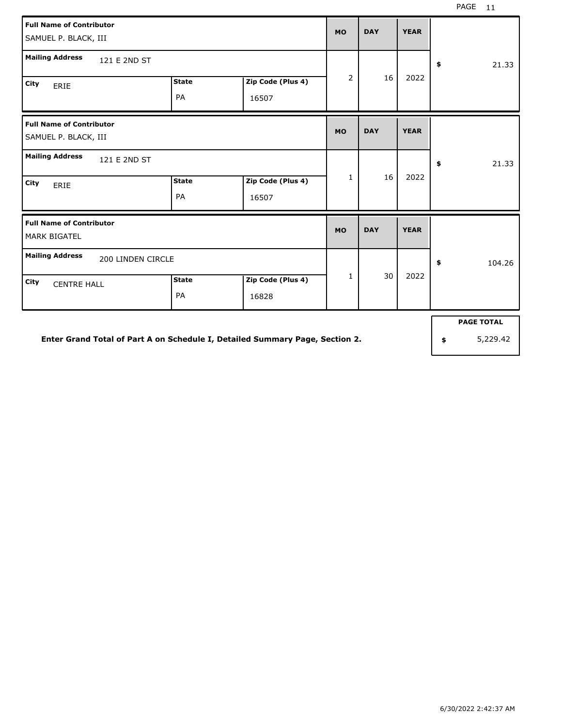| <b>Full Name of Contributor</b><br>SAMUEL P. BLACK, III |              |                   | <b>MO</b>      | <b>DAY</b> | <b>YEAR</b> |                   |
|---------------------------------------------------------|--------------|-------------------|----------------|------------|-------------|-------------------|
| <b>Mailing Address</b><br>121 E 2ND ST                  |              |                   |                |            |             | 21.33<br>\$       |
| City<br>ERIE                                            | <b>State</b> | Zip Code (Plus 4) | $\overline{2}$ | 16         | 2022        |                   |
|                                                         | PA           | 16507             |                |            |             |                   |
| <b>Full Name of Contributor</b><br>SAMUEL P. BLACK, III |              |                   | <b>MO</b>      | <b>DAY</b> | <b>YEAR</b> |                   |
| <b>Mailing Address</b><br>121 E 2ND ST                  |              |                   |                |            |             | 21.33<br>\$       |
| City<br>ERIE                                            | <b>State</b> | Zip Code (Plus 4) | $\mathbf{1}$   | 16         | 2022        |                   |
|                                                         | PA           | 16507             |                |            |             |                   |
| <b>Full Name of Contributor</b><br><b>MARK BIGATEL</b>  |              |                   | <b>MO</b>      | <b>DAY</b> | <b>YEAR</b> |                   |
| <b>Mailing Address</b><br>200 LINDEN CIRCLE             |              |                   |                |            |             | 104.26<br>\$      |
| City<br><b>CENTRE HALL</b>                              | <b>State</b> | Zip Code (Plus 4) | $\mathbf{1}$   | 30         | 2022        |                   |
|                                                         | PA           | 16828             |                |            |             |                   |
|                                                         |              |                   |                |            |             | <b>PAGE TOTAL</b> |

**Enter Grand Total of Part A on Schedule I, Detailed Summary Page, Section 2.**

**\$** 5,229.42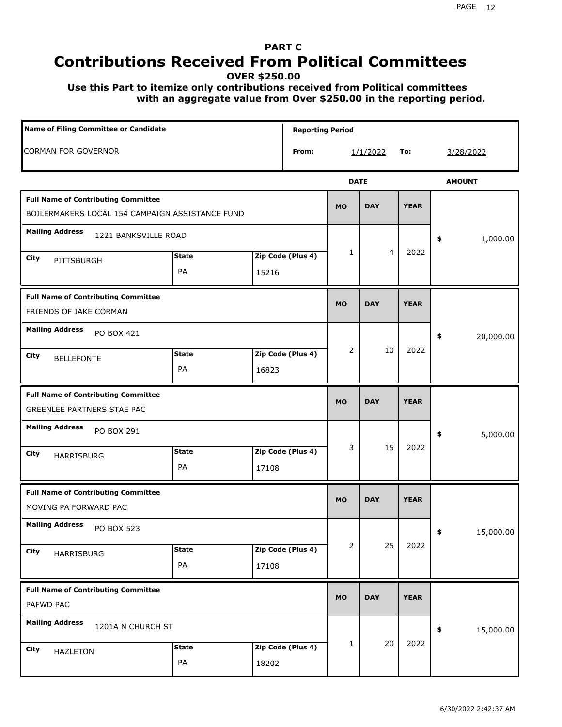### **PART C Contributions Received From Political Committees**

**OVER \$250.00**

 **Use this Part to itemize only contributions received from Political committees with an aggregate value from Over \$250.00 in the reporting period.**

| Name of Filing Committee or Candidate                                                         |                    |                            | <b>Reporting Period</b> |                |                |             |                 |
|-----------------------------------------------------------------------------------------------|--------------------|----------------------------|-------------------------|----------------|----------------|-------------|-----------------|
| <b>CORMAN FOR GOVERNOR</b>                                                                    |                    |                            | From:                   |                | 1/1/2022       | To:         | 3/28/2022       |
|                                                                                               |                    |                            |                         | <b>DATE</b>    |                |             | <b>AMOUNT</b>   |
| <b>Full Name of Contributing Committee</b><br>BOILERMAKERS LOCAL 154 CAMPAIGN ASSISTANCE FUND |                    |                            |                         | <b>MO</b>      | <b>DAY</b>     | <b>YEAR</b> |                 |
| <b>Mailing Address</b><br>1221 BANKSVILLE ROAD                                                |                    |                            |                         |                |                |             | 1,000.00<br>\$  |
| City<br>PITTSBURGH                                                                            | <b>State</b><br>PA | Zip Code (Plus 4)<br>15216 |                         | 1              | $\overline{4}$ | 2022        |                 |
| <b>Full Name of Contributing Committee</b><br>FRIENDS OF JAKE CORMAN                          |                    |                            |                         | <b>MO</b>      | <b>DAY</b>     | <b>YEAR</b> |                 |
| <b>Mailing Address</b><br>PO BOX 421<br>City<br><b>BELLEFONTE</b>                             | <b>State</b><br>PA | Zip Code (Plus 4)<br>16823 |                         | $\overline{2}$ | 10             | 2022        | \$<br>20,000.00 |
| <b>Full Name of Contributing Committee</b><br>GREENLEE PARTNERS STAE PAC                      |                    |                            |                         | <b>MO</b>      | <b>DAY</b>     | <b>YEAR</b> |                 |
| <b>Mailing Address</b><br>PO BOX 291<br>City<br>HARRISBURG                                    | <b>State</b><br>PA | Zip Code (Plus 4)<br>17108 |                         | 3              | 15             | 2022        | 5,000.00<br>\$  |
| <b>Full Name of Contributing Committee</b><br>MOVING PA FORWARD PAC                           |                    |                            |                         | <b>MO</b>      | <b>DAY</b>     | <b>YEAR</b> |                 |
| <b>Mailing Address</b><br>PO BOX 523<br>City<br>HARRISBURG                                    | <b>State</b><br>PA | Zip Code (Plus 4)<br>17108 |                         | 2              | 25             | 2022        | 15,000.00<br>≯  |
| <b>Full Name of Contributing Committee</b><br>PAFWD PAC                                       |                    |                            |                         | <b>MO</b>      | <b>DAY</b>     | <b>YEAR</b> |                 |
| <b>Mailing Address</b><br>1201A N CHURCH ST<br><b>City</b><br><b>HAZLETON</b>                 | <b>State</b><br>PA | Zip Code (Plus 4)<br>18202 |                         | 1              | 20             | 2022        | 15,000.00<br>\$ |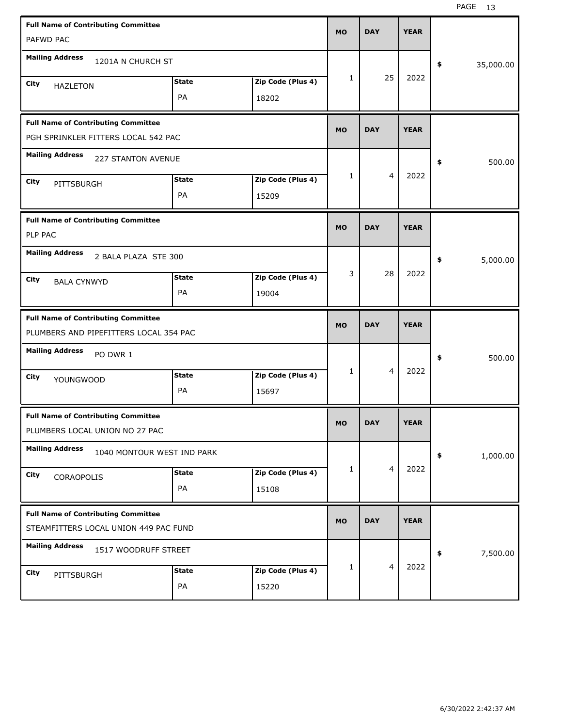| <b>Full Name of Contributing Committee</b><br>PAFWD PAC                              |                    |                            | <b>MO</b>    | <b>DAY</b>     | <b>YEAR</b> |                 |
|--------------------------------------------------------------------------------------|--------------------|----------------------------|--------------|----------------|-------------|-----------------|
| <b>Mailing Address</b><br>1201A N CHURCH ST                                          |                    |                            |              |                |             | \$<br>35,000.00 |
| City<br><b>HAZLETON</b>                                                              | <b>State</b><br>PA | Zip Code (Plus 4)<br>18202 | $\mathbf{1}$ | 25             | 2022        |                 |
| <b>Full Name of Contributing Committee</b><br>PGH SPRINKLER FITTERS LOCAL 542 PAC    |                    |                            | <b>MO</b>    | <b>DAY</b>     | <b>YEAR</b> |                 |
| <b>Mailing Address</b><br><b>227 STANTON AVENUE</b>                                  |                    |                            |              |                |             | \$<br>500.00    |
| City<br>PITTSBURGH                                                                   | <b>State</b><br>PA | Zip Code (Plus 4)<br>15209 | $\mathbf{1}$ | 4              | 2022        |                 |
| <b>Full Name of Contributing Committee</b><br>PLP PAC                                |                    |                            | <b>MO</b>    | <b>DAY</b>     | <b>YEAR</b> |                 |
| <b>Mailing Address</b><br>2 BALA PLAZA STE 300                                       |                    |                            |              |                |             | 5,000.00<br>\$  |
| City<br><b>BALA CYNWYD</b>                                                           | <b>State</b><br>PA | Zip Code (Plus 4)<br>19004 | 3            | 28             | 2022        |                 |
|                                                                                      |                    |                            |              |                |             |                 |
| <b>Full Name of Contributing Committee</b><br>PLUMBERS AND PIPEFITTERS LOCAL 354 PAC |                    |                            | <b>MO</b>    | <b>DAY</b>     | <b>YEAR</b> |                 |
| <b>Mailing Address</b><br>PO DWR 1                                                   |                    |                            |              |                |             | \$<br>500.00    |
| City<br><b>YOUNGWOOD</b>                                                             | <b>State</b><br>PA | Zip Code (Plus 4)<br>15697 | 1            | $\overline{4}$ | 2022        |                 |
| <b>Full Name of Contributing Committee</b><br>PLUMBERS LOCAL UNION NO 27 PAC         |                    |                            | <b>MO</b>    | <b>DAY</b>     | <b>YEAR</b> |                 |
| <b>Mailing Address</b><br>1040 MONTOUR WEST IND PARK                                 |                    |                            |              |                |             | 1,000.00<br>\$  |
| City<br>CORAOPOLIS                                                                   | <b>State</b><br>PA | Zip Code (Plus 4)<br>15108 | 1            | $\overline{4}$ | 2022        |                 |
| <b>Full Name of Contributing Committee</b><br>STEAMFITTERS LOCAL UNION 449 PAC FUND  |                    |                            | <b>MO</b>    | <b>DAY</b>     | <b>YEAR</b> |                 |
| <b>Mailing Address</b><br>1517 WOODRUFF STREET                                       |                    |                            |              |                | 2022        | 7,500.00<br>\$  |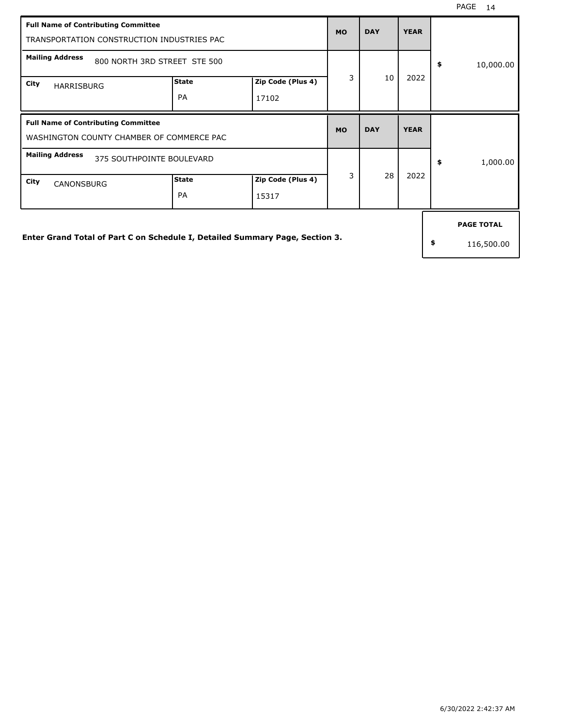| <b>Full Name of Contributing Committee</b><br>TRANSPORTATION CONSTRUCTION INDUSTRIES PAC                                                       |                           |                            | <b>MO</b> | <b>DAY</b> | <b>YEAR</b> |                                       |
|------------------------------------------------------------------------------------------------------------------------------------------------|---------------------------|----------------------------|-----------|------------|-------------|---------------------------------------|
| <b>Mailing Address</b><br>800 NORTH 3RD STREET STE 500<br>City<br><b>HARRISBURG</b>                                                            | <b>State</b><br>PA        | Zip Code (Plus 4)<br>17102 | 3         | 10         | 2022        | \$<br>10,000.00                       |
| <b>Full Name of Contributing Committee</b><br>WASHINGTON COUNTY CHAMBER OF COMMERCE PAC<br><b>Mailing Address</b><br>375 SOUTHPOINTE BOULEVARD |                           |                            | <b>MO</b> | <b>DAY</b> | <b>YEAR</b> |                                       |
| City<br><b>CANONSBURG</b>                                                                                                                      | <b>State</b><br><b>PA</b> | Zip Code (Plus 4)<br>15317 | 3         | 28         | 2022        | \$<br>1,000.00                        |
| Enter Grand Total of Part C on Schedule I, Detailed Summary Page, Section 3.                                                                   |                           |                            |           |            |             | \$<br><b>PAGE TOTAL</b><br>116,500.00 |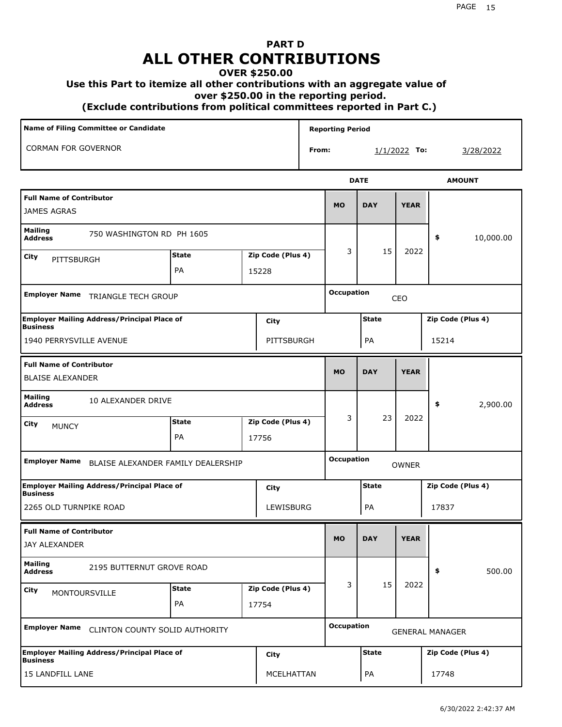# **PART D ALL OTHER CONTRIBUTIONS**

#### **OVER \$250.00**

#### **Use this Part to itemize all other contributions with an aggregate value of**

 **over \$250.00 in the reporting period.**

 **(Exclude contributions from political committees reported in Part C.)** 

| Name of Filing Committee or Candidate                                 |              |                   |       | <b>Reporting Period</b> |              |                |                        |                  |
|-----------------------------------------------------------------------|--------------|-------------------|-------|-------------------------|--------------|----------------|------------------------|------------------|
| <b>CORMAN FOR GOVERNOR</b>                                            |              |                   | From: |                         |              | $1/1/2022$ To: |                        | <u>3/28/2022</u> |
|                                                                       |              |                   |       |                         | <b>DATE</b>  |                | <b>AMOUNT</b>          |                  |
| <b>Full Name of Contributor</b><br><b>JAMES AGRAS</b>                 |              |                   |       | <b>MO</b>               | <b>DAY</b>   | <b>YEAR</b>    |                        |                  |
| <b>Mailing</b><br>750 WASHINGTON RD PH 1605<br><b>Address</b>         |              |                   |       |                         |              |                | \$                     | 10,000.00        |
| City<br>PITTSBURGH                                                    | <b>State</b> | Zip Code (Plus 4) |       | 3                       | 15           | 2022           |                        |                  |
|                                                                       | PA           | 15228             |       |                         |              |                |                        |                  |
| <b>Employer Name</b><br><b>TRIANGLE TECH GROUP</b>                    |              |                   |       | <b>Occupation</b>       |              | CEO            |                        |                  |
| <b>Employer Mailing Address/Principal Place of</b><br><b>Business</b> |              | City              |       |                         | <b>State</b> |                | Zip Code (Plus 4)      |                  |
| 1940 PERRYSVILLE AVENUE                                               |              | PITTSBURGH        |       |                         | PA           |                | 15214                  |                  |
| <b>Full Name of Contributor</b><br><b>BLAISE ALEXANDER</b>            |              |                   |       | <b>MO</b>               | <b>DAY</b>   | <b>YEAR</b>    |                        |                  |
| <b>Mailing</b><br>10 ALEXANDER DRIVE<br><b>Address</b>                |              |                   |       |                         |              |                | \$                     | 2,900.00         |
| City<br><b>MUNCY</b>                                                  | <b>State</b> | Zip Code (Plus 4) |       | 3                       | 23           | 2022           |                        |                  |
|                                                                       | PA           | 17756             |       |                         |              |                |                        |                  |
| <b>Employer Name</b><br>BLAISE ALEXANDER FAMILY DEALERSHIP            |              |                   |       | <b>Occupation</b>       |              | <b>OWNER</b>   |                        |                  |
| <b>Employer Mailing Address/Principal Place of</b><br><b>Business</b> |              | City              |       |                         | <b>State</b> |                | Zip Code (Plus 4)      |                  |
| 2265 OLD TURNPIKE ROAD                                                |              | LEWISBURG         |       |                         | PA           |                | 17837                  |                  |
| <b>Full Name of Contributor</b><br>JAY ALEXANDER                      |              |                   |       | <b>MO</b>               | <b>DAY</b>   | <b>YEAR</b>    |                        |                  |
| <b>Mailing</b><br>2195 BUTTERNUT GROVE ROAD<br><b>Address</b>         |              |                   |       |                         |              |                | \$                     | 500.00           |
| City<br>MONTOURSVILLE                                                 | <b>State</b> | Zip Code (Plus 4) |       | 3                       | 15           | 2022           |                        |                  |
|                                                                       | PA           | 17754             |       |                         |              |                |                        |                  |
| <b>Employer Name</b><br>CLINTON COUNTY SOLID AUTHORITY                |              |                   |       | <b>Occupation</b>       |              |                | <b>GENERAL MANAGER</b> |                  |
| <b>Employer Mailing Address/Principal Place of</b><br><b>Business</b> |              | City              |       |                         | <b>State</b> |                | Zip Code (Plus 4)      |                  |
| 15 LANDFILL LANE                                                      |              | MCELHATTAN        |       |                         | PA           |                | 17748                  |                  |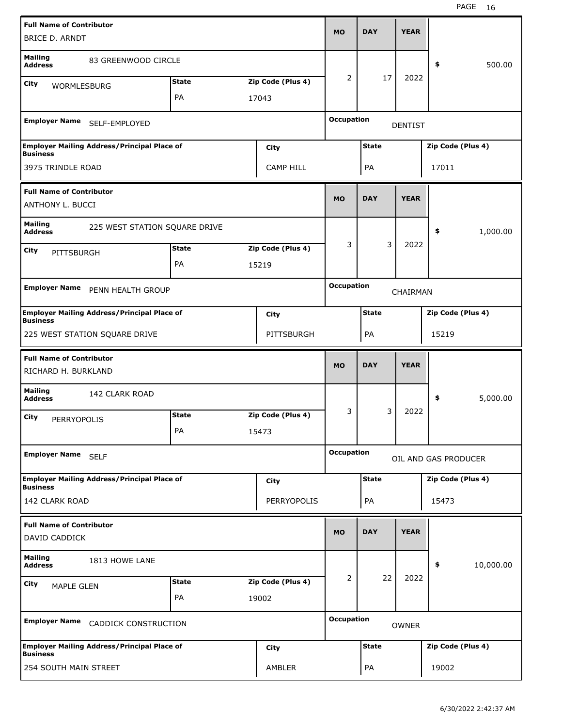| <b>Full Name of Contributor</b><br>BRICE D. ARNDT          |                                                    |                    |                            | <b>MO</b>         | <b>DAY</b>   | <b>YEAR</b>    |                      |           |
|------------------------------------------------------------|----------------------------------------------------|--------------------|----------------------------|-------------------|--------------|----------------|----------------------|-----------|
| <b>Mailing</b><br><b>Address</b>                           | 83 GREENWOOD CIRCLE                                |                    |                            |                   |              |                | \$                   | 500.00    |
| City<br><b>WORMLESBURG</b>                                 |                                                    | <b>State</b>       | Zip Code (Plus 4)          | 2                 | 17           | 2022           |                      |           |
|                                                            |                                                    | PA                 | 17043                      |                   |              |                |                      |           |
|                                                            | Employer Name SELF-EMPLOYED                        |                    |                            | <b>Occupation</b> |              | <b>DENTIST</b> |                      |           |
| <b>Business</b>                                            | <b>Employer Mailing Address/Principal Place of</b> |                    | City                       |                   | <b>State</b> |                | Zip Code (Plus 4)    |           |
| 3975 TRINDLE ROAD                                          |                                                    |                    | <b>CAMP HILL</b>           |                   | PA           |                | 17011                |           |
| <b>Full Name of Contributor</b><br><b>ANTHONY L. BUCCI</b> |                                                    |                    |                            | <b>MO</b>         | <b>DAY</b>   | <b>YEAR</b>    |                      |           |
| <b>Mailing</b><br><b>Address</b>                           | 225 WEST STATION SQUARE DRIVE                      |                    |                            |                   |              |                | \$                   | 1,000.00  |
| City<br><b>PITTSBURGH</b>                                  |                                                    | <b>State</b>       | Zip Code (Plus 4)          | 3                 | 3            | 2022           |                      |           |
|                                                            |                                                    | PA                 | 15219                      |                   |              |                |                      |           |
| <b>Employer Name</b>                                       | PENN HEALTH GROUP                                  |                    |                            | <b>Occupation</b> |              | CHAIRMAN       |                      |           |
| <b>Business</b>                                            | <b>Employer Mailing Address/Principal Place of</b> |                    | City                       |                   | <b>State</b> |                | Zip Code (Plus 4)    |           |
|                                                            | 225 WEST STATION SQUARE DRIVE                      |                    | PITTSBURGH                 |                   | PA           |                | 15219                |           |
|                                                            |                                                    |                    |                            |                   |              |                |                      |           |
| <b>Full Name of Contributor</b><br>RICHARD H. BURKLAND     |                                                    |                    |                            | <b>MO</b>         | <b>DAY</b>   | <b>YEAR</b>    |                      |           |
| <b>Mailing</b><br><b>Address</b>                           | 142 CLARK ROAD                                     |                    |                            |                   |              |                | \$                   | 5,000.00  |
| City<br><b>PERRYOPOLIS</b>                                 |                                                    | <b>State</b><br>PA | Zip Code (Plus 4)<br>15473 | 3                 | 3            | 2022           |                      |           |
| Employer Name SELF                                         |                                                    |                    |                            | <b>Occupation</b> |              |                | OIL AND GAS PRODUCER |           |
| <b>Business</b>                                            | <b>Employer Mailing Address/Principal Place of</b> |                    | <b>City</b>                |                   | <b>State</b> |                | Zip Code (Plus 4)    |           |
| 142 CLARK ROAD                                             |                                                    |                    | PERRYOPOLIS                |                   | PA           |                | 15473                |           |
| <b>Full Name of Contributor</b><br>DAVID CADDICK           |                                                    |                    |                            | <b>MO</b>         | <b>DAY</b>   | <b>YEAR</b>    |                      |           |
| <b>Mailing</b><br><b>Address</b>                           | 1813 HOWE LANE                                     |                    |                            |                   |              |                | \$                   | 10,000.00 |
| City<br><b>MAPLE GLEN</b>                                  |                                                    | <b>State</b>       | Zip Code (Plus 4)          | 2                 | 22           | 2022           |                      |           |
|                                                            |                                                    | PA                 | 19002                      |                   |              |                |                      |           |
| <b>Employer Name</b>                                       | CADDICK CONSTRUCTION                               |                    |                            | <b>Occupation</b> |              | <b>OWNER</b>   |                      |           |
| <b>Business</b>                                            | <b>Employer Mailing Address/Principal Place of</b> |                    | <b>City</b>                |                   | <b>State</b> |                | Zip Code (Plus 4)    |           |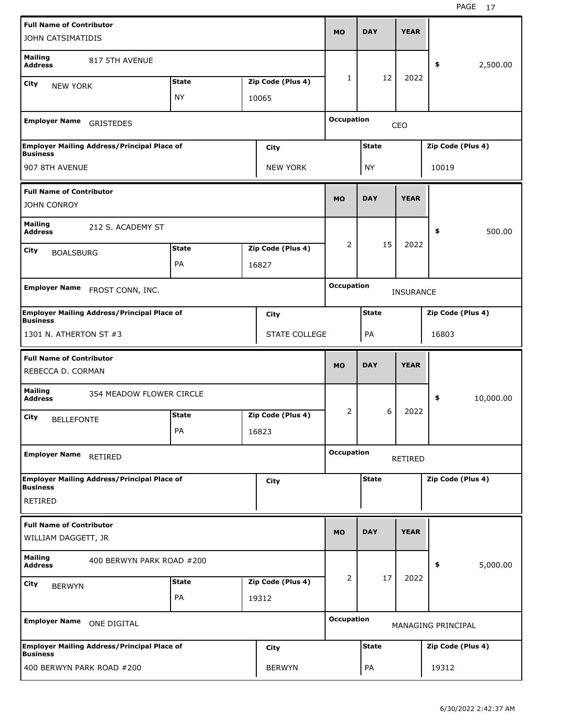| <b>Full Name of Contributor</b>                       |                                                    |              |                      | <b>MO</b>         | <b>DAY</b>   | <b>YEAR</b>      |                    |           |
|-------------------------------------------------------|----------------------------------------------------|--------------|----------------------|-------------------|--------------|------------------|--------------------|-----------|
| JOHN CATSIMATIDIS                                     |                                                    |              |                      |                   |              |                  |                    |           |
| <b>Mailing</b><br><b>Address</b>                      | 817 5TH AVENUE                                     |              |                      |                   |              |                  | \$                 | 2,500.00  |
| City<br><b>NEW YORK</b>                               |                                                    | <b>State</b> | Zip Code (Plus 4)    | 1                 | 12           | 2022             |                    |           |
|                                                       |                                                    | <b>NY</b>    | 10065                |                   |              |                  |                    |           |
| <b>Employer Name</b>                                  | <b>GRISTEDES</b>                                   |              |                      | <b>Occupation</b> |              | CEO              |                    |           |
| <b>Business</b>                                       | <b>Employer Mailing Address/Principal Place of</b> |              | City                 |                   | <b>State</b> |                  | Zip Code (Plus 4)  |           |
| 907 8TH AVENUE                                        |                                                    |              | <b>NEW YORK</b>      |                   | <b>NY</b>    |                  | 10019              |           |
| <b>Full Name of Contributor</b><br><b>JOHN CONROY</b> |                                                    |              |                      | <b>MO</b>         | <b>DAY</b>   | <b>YEAR</b>      |                    |           |
| <b>Mailing</b><br><b>Address</b>                      | 212 S. ACADEMY ST                                  |              |                      |                   |              |                  | \$                 | 500.00    |
|                                                       |                                                    | <b>State</b> | Zip Code (Plus 4)    | 2                 | 15           | 2022             |                    |           |
| City<br><b>BOALSBURG</b>                              |                                                    | PA           | 16827                |                   |              |                  |                    |           |
|                                                       |                                                    |              |                      |                   |              |                  |                    |           |
| <b>Employer Name</b>                                  | FROST CONN, INC.                                   |              |                      | <b>Occupation</b> |              | <b>INSURANCE</b> |                    |           |
| <b>Business</b>                                       | <b>Employer Mailing Address/Principal Place of</b> |              | City                 |                   | <b>State</b> |                  | Zip Code (Plus 4)  |           |
| 1301 N. ATHERTON ST #3                                |                                                    |              | <b>STATE COLLEGE</b> |                   | PA           |                  | 16803              |           |
|                                                       |                                                    |              |                      |                   |              |                  |                    |           |
| <b>Full Name of Contributor</b><br>REBECCA D. CORMAN  |                                                    |              |                      | <b>MO</b>         | <b>DAY</b>   | <b>YEAR</b>      |                    |           |
| <b>Mailing</b><br><b>Address</b>                      | 354 MEADOW FLOWER CIRCLE                           |              |                      |                   |              |                  | \$                 | 10,000.00 |
| City                                                  |                                                    | <b>State</b> | Zip Code (Plus 4)    | 2                 | 6            | 2022             |                    |           |
| <b>BELLEFONTE</b>                                     |                                                    | PA           | 16823                |                   |              |                  |                    |           |
| <b>Employer Name</b>                                  | RETIRED                                            |              |                      | <b>Occupation</b> |              | RETIRED          |                    |           |
|                                                       | <b>Employer Mailing Address/Principal Place of</b> |              | City                 |                   | <b>State</b> |                  | Zip Code (Plus 4)  |           |
| <b>Business</b><br><b>RETIRED</b>                     |                                                    |              |                      |                   |              |                  |                    |           |
| <b>Full Name of Contributor</b>                       |                                                    |              |                      | <b>MO</b>         | <b>DAY</b>   | <b>YEAR</b>      |                    |           |
| WILLIAM DAGGETT, JR                                   |                                                    |              |                      |                   |              |                  |                    |           |
| <b>Mailing</b><br><b>Address</b>                      | 400 BERWYN PARK ROAD #200                          |              |                      |                   |              |                  | \$                 | 5,000.00  |
| City<br><b>BERWYN</b>                                 |                                                    | <b>State</b> | Zip Code (Plus 4)    | 2                 | 17           | 2022             |                    |           |
|                                                       |                                                    | PA           | 19312                |                   |              |                  |                    |           |
| <b>Employer Name</b>                                  | ONE DIGITAL                                        |              |                      | <b>Occupation</b> |              |                  | MANAGING PRINCIPAL |           |
| <b>Business</b>                                       | <b>Employer Mailing Address/Principal Place of</b> |              | City                 |                   | <b>State</b> |                  | Zip Code (Plus 4)  |           |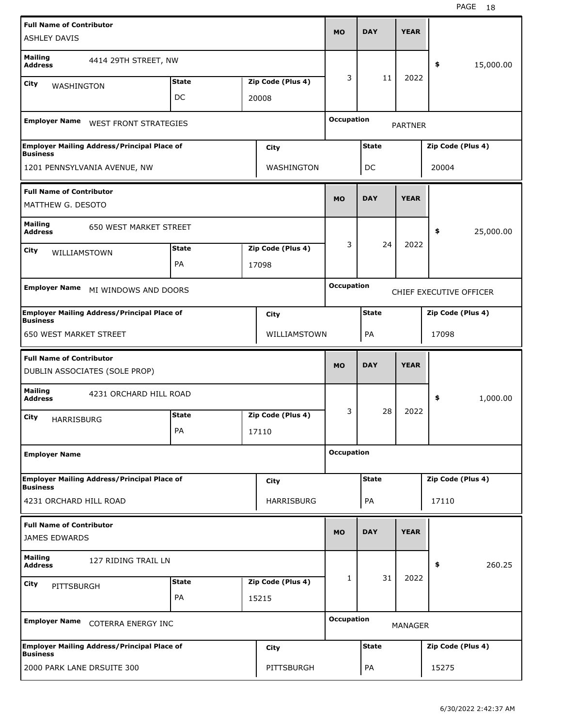| <b>Full Name of Contributor</b>                      |                                                    |              |                   | <b>MO</b>         | <b>DAY</b>   | <b>YEAR</b>    |                         |           |
|------------------------------------------------------|----------------------------------------------------|--------------|-------------------|-------------------|--------------|----------------|-------------------------|-----------|
| <b>ASHLEY DAVIS</b>                                  |                                                    |              |                   |                   |              |                |                         |           |
| <b>Mailing</b><br><b>Address</b>                     | 4414 29TH STREET, NW                               |              |                   |                   |              |                | \$                      | 15,000.00 |
| City<br>WASHINGTON                                   |                                                    | <b>State</b> | Zip Code (Plus 4) | 3                 | 11           | 2022           |                         |           |
|                                                      |                                                    | DC           | 20008             |                   |              |                |                         |           |
| <b>Employer Name</b>                                 | <b>WEST FRONT STRATEGIES</b>                       |              |                   | <b>Occupation</b> |              | <b>PARTNER</b> |                         |           |
| <b>Business</b>                                      | <b>Employer Mailing Address/Principal Place of</b> |              | City              |                   | <b>State</b> |                | Zip Code (Plus 4)       |           |
|                                                      | 1201 PENNSYLVANIA AVENUE, NW                       |              | WASHINGTON        |                   | DC           |                | 20004                   |           |
| <b>Full Name of Contributor</b><br>MATTHEW G. DESOTO |                                                    |              |                   | <b>MO</b>         | <b>DAY</b>   | <b>YEAR</b>    |                         |           |
| <b>Mailing</b><br><b>Address</b>                     | <b>650 WEST MARKET STREET</b>                      |              |                   |                   |              |                | \$                      | 25,000.00 |
| City                                                 |                                                    | <b>State</b> | Zip Code (Plus 4) | 3                 | 24           | 2022           |                         |           |
| WILLIAMSTOWN                                         |                                                    | PA           | 17098             |                   |              |                |                         |           |
|                                                      |                                                    |              |                   | <b>Occupation</b> |              |                |                         |           |
| <b>Employer Name</b>                                 | MI WINDOWS AND DOORS                               |              |                   |                   |              |                | CHIEF EXECUTIVE OFFICER |           |
| <b>Business</b>                                      | <b>Employer Mailing Address/Principal Place of</b> |              | City              |                   | <b>State</b> |                | Zip Code (Plus 4)       |           |
| <b>650 WEST MARKET STREET</b>                        |                                                    |              | WILLIAMSTOWN      |                   | PA           |                | 17098                   |           |
|                                                      |                                                    |              |                   |                   |              |                |                         |           |
| <b>Full Name of Contributor</b>                      | DUBLIN ASSOCIATES (SOLE PROP)                      |              |                   | <b>MO</b>         | <b>DAY</b>   | <b>YEAR</b>    |                         |           |
| <b>Mailing</b><br><b>Address</b>                     | 4231 ORCHARD HILL ROAD                             |              |                   |                   |              |                | \$                      | 1,000.00  |
| City                                                 |                                                    | <b>State</b> | Zip Code (Plus 4) | 3                 | 28           | 2022           |                         |           |
| HARRISBURG                                           |                                                    | PA           | 17110             |                   |              |                |                         |           |
| <b>Employer Name</b>                                 |                                                    |              |                   | <b>Occupation</b> |              |                |                         |           |
| <b>Business</b>                                      | <b>Employer Mailing Address/Principal Place of</b> |              | City              |                   | <b>State</b> |                | Zip Code (Plus 4)       |           |
| 4231 ORCHARD HILL ROAD                               |                                                    |              | HARRISBURG        |                   | PA           |                | 17110                   |           |
| <b>Full Name of Contributor</b><br>JAMES EDWARDS     |                                                    |              |                   | <b>MO</b>         | <b>DAY</b>   | <b>YEAR</b>    |                         |           |
| <b>Mailing</b><br><b>Address</b>                     | 127 RIDING TRAIL LN                                |              |                   |                   |              |                | \$                      | 260.25    |
| City                                                 |                                                    | <b>State</b> | Zip Code (Plus 4) | $\mathbf{1}$      | 31           | 2022           |                         |           |
| PITTSBURGH                                           |                                                    | PA           | 15215             |                   |              |                |                         |           |
| <b>Employer Name</b>                                 | <b>COTERRA ENERGY INC</b>                          |              |                   | <b>Occupation</b> |              | MANAGER        |                         |           |
| <b>Business</b>                                      | <b>Employer Mailing Address/Principal Place of</b> |              | <b>City</b>       |                   | <b>State</b> |                | Zip Code (Plus 4)       |           |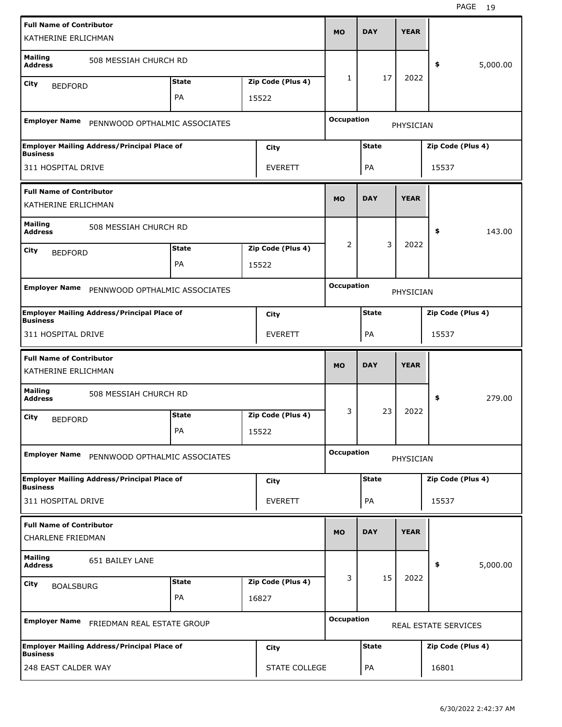| <b>Full Name of Contributor</b><br>KATHERINE ERLICHMAN      |                                                    |                    |                            | <b>MO</b>         | <b>DAY</b>   | <b>YEAR</b> |                      |          |
|-------------------------------------------------------------|----------------------------------------------------|--------------------|----------------------------|-------------------|--------------|-------------|----------------------|----------|
| <b>Mailing</b><br><b>Address</b>                            | 508 MESSIAH CHURCH RD                              |                    |                            |                   |              |             | \$                   | 5,000.00 |
| City<br><b>BEDFORD</b>                                      |                                                    | <b>State</b>       | Zip Code (Plus 4)          | $\mathbf{1}$      | 17           | 2022        |                      |          |
|                                                             |                                                    | PA                 | 15522                      |                   |              |             |                      |          |
| <b>Employer Name</b>                                        | PENNWOOD OPTHALMIC ASSOCIATES                      |                    |                            | <b>Occupation</b> |              | PHYSICIAN   |                      |          |
| <b>Business</b>                                             | <b>Employer Mailing Address/Principal Place of</b> |                    | City                       |                   | <b>State</b> |             | Zip Code (Plus 4)    |          |
| 311 HOSPITAL DRIVE                                          |                                                    |                    | <b>EVERETT</b>             |                   | PA           |             | 15537                |          |
| <b>Full Name of Contributor</b><br>KATHERINE ERLICHMAN      |                                                    |                    |                            | <b>MO</b>         | <b>DAY</b>   | <b>YEAR</b> |                      |          |
| <b>Mailing</b><br><b>Address</b>                            | 508 MESSIAH CHURCH RD                              |                    |                            |                   |              |             | \$                   | 143.00   |
| City                                                        |                                                    | <b>State</b>       | Zip Code (Plus 4)          | 2                 | 3            | 2022        |                      |          |
| <b>BEDFORD</b>                                              |                                                    | PA                 | 15522                      |                   |              |             |                      |          |
| <b>Employer Name</b>                                        | PENNWOOD OPTHALMIC ASSOCIATES                      |                    |                            | <b>Occupation</b> |              | PHYSICIAN   |                      |          |
| <b>Business</b>                                             | <b>Employer Mailing Address/Principal Place of</b> |                    | City                       |                   | <b>State</b> |             | Zip Code (Plus 4)    |          |
| 311 HOSPITAL DRIVE                                          |                                                    |                    | <b>EVERETT</b>             |                   | PA           |             | 15537                |          |
|                                                             |                                                    |                    |                            |                   |              |             |                      |          |
| <b>Full Name of Contributor</b><br>KATHERINE ERLICHMAN      |                                                    |                    |                            | <b>MO</b>         | <b>DAY</b>   | <b>YEAR</b> |                      |          |
| <b>Mailing</b><br><b>Address</b>                            | 508 MESSIAH CHURCH RD                              |                    |                            |                   |              |             | \$                   | 279.00   |
| City<br><b>BEDFORD</b>                                      |                                                    | <b>State</b><br>PA | Zip Code (Plus 4)<br>15522 | 3                 | 23           | 2022        |                      |          |
| <b>Employer Name</b>                                        | PENNWOOD OPTHALMIC ASSOCIATES                      |                    |                            | <b>Occupation</b> |              | PHYSICIAN   |                      |          |
| <b>Business</b>                                             | <b>Employer Mailing Address/Principal Place of</b> |                    | <b>City</b>                |                   | <b>State</b> |             | Zip Code (Plus 4)    |          |
| 311 HOSPITAL DRIVE                                          |                                                    |                    | <b>EVERETT</b>             |                   | PA           |             | 15537                |          |
| <b>Full Name of Contributor</b><br><b>CHARLENE FRIEDMAN</b> |                                                    |                    |                            | <b>MO</b>         | <b>DAY</b>   | <b>YEAR</b> |                      |          |
| <b>Mailing</b><br><b>Address</b>                            | 651 BAILEY LANE                                    |                    |                            |                   |              |             | \$                   | 5,000.00 |
| City                                                        |                                                    | <b>State</b>       | Zip Code (Plus 4)          | 3                 | 15           | 2022        |                      |          |
| <b>BOALSBURG</b>                                            |                                                    | PA                 | 16827                      |                   |              |             |                      |          |
|                                                             | Employer Name FRIEDMAN REAL ESTATE GROUP           |                    |                            | <b>Occupation</b> |              |             | REAL ESTATE SERVICES |          |
| <b>Business</b>                                             | <b>Employer Mailing Address/Principal Place of</b> |                    | <b>City</b>                |                   | <b>State</b> |             | Zip Code (Plus 4)    |          |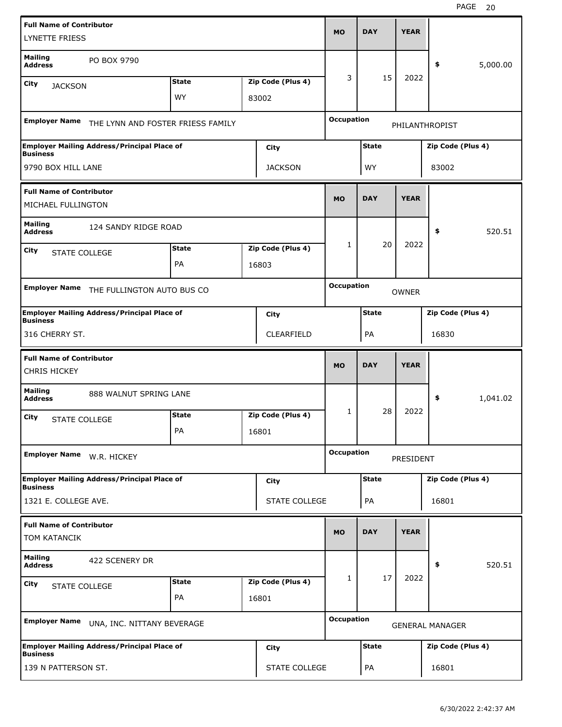| <b>Full Name of Contributor</b><br><b>LYNETTE FRIESS</b> |                                                    |              |                      | <b>MO</b>         | <b>DAY</b>   | <b>YEAR</b>  |                        |          |
|----------------------------------------------------------|----------------------------------------------------|--------------|----------------------|-------------------|--------------|--------------|------------------------|----------|
| <b>Mailing</b><br><b>Address</b>                         | PO BOX 9790                                        |              |                      |                   |              |              | \$                     | 5,000.00 |
| City                                                     |                                                    | <b>State</b> | Zip Code (Plus 4)    | 3                 | 15           | 2022         |                        |          |
| <b>JACKSON</b>                                           |                                                    | <b>WY</b>    | 83002                |                   |              |              |                        |          |
|                                                          |                                                    |              |                      |                   |              |              |                        |          |
| <b>Employer Name</b>                                     | THE LYNN AND FOSTER FRIESS FAMILY                  |              |                      | <b>Occupation</b> |              |              | PHILANTHROPIST         |          |
| <b>Business</b>                                          | <b>Employer Mailing Address/Principal Place of</b> |              | City                 |                   | <b>State</b> |              | Zip Code (Plus 4)      |          |
| 9790 BOX HILL LANE                                       |                                                    |              | <b>JACKSON</b>       |                   | WY           |              | 83002                  |          |
| <b>Full Name of Contributor</b><br>MICHAEL FULLINGTON    |                                                    |              |                      | <b>MO</b>         | <b>DAY</b>   | <b>YEAR</b>  |                        |          |
| <b>Mailing</b><br><b>Address</b>                         | 124 SANDY RIDGE ROAD                               |              |                      |                   |              |              | \$                     | 520.51   |
| City<br><b>STATE COLLEGE</b>                             |                                                    | <b>State</b> | Zip Code (Plus 4)    | 1                 | 20           | 2022         |                        |          |
|                                                          |                                                    | PA           | 16803                |                   |              |              |                        |          |
|                                                          |                                                    |              |                      |                   |              |              |                        |          |
| <b>Employer Name</b>                                     | THE FULLINGTON AUTO BUS CO                         |              |                      | <b>Occupation</b> |              | <b>OWNER</b> |                        |          |
| <b>Business</b>                                          | <b>Employer Mailing Address/Principal Place of</b> |              | City                 |                   | <b>State</b> |              | Zip Code (Plus 4)      |          |
| 316 CHERRY ST.                                           |                                                    |              | CLEARFIELD           |                   | PA           |              | 16830                  |          |
|                                                          |                                                    |              |                      |                   |              |              |                        |          |
| <b>Full Name of Contributor</b><br><b>CHRIS HICKEY</b>   |                                                    |              |                      | <b>MO</b>         | <b>DAY</b>   | <b>YEAR</b>  |                        |          |
| <b>Mailing</b><br><b>Address</b>                         | 888 WALNUT SPRING LANE                             |              |                      |                   |              |              | \$                     | 1,041.02 |
|                                                          |                                                    | <b>State</b> | Zip Code (Plus 4)    | $\mathbf{1}$      | 28           | 2022         |                        |          |
| City<br><b>STATE COLLEGE</b>                             |                                                    | PA           | 16801                |                   |              |              |                        |          |
| <b>Employer Name</b>                                     | W.R. HICKEY                                        |              |                      | <b>Occupation</b> |              | PRESIDENT    |                        |          |
| <b>Business</b>                                          | <b>Employer Mailing Address/Principal Place of</b> |              | City                 |                   | <b>State</b> |              | Zip Code (Plus 4)      |          |
| 1321 E. COLLEGE AVE.                                     |                                                    |              | <b>STATE COLLEGE</b> |                   | PA           |              | 16801                  |          |
| <b>Full Name of Contributor</b><br>TOM KATANCIK          |                                                    |              |                      | <b>MO</b>         | <b>DAY</b>   | <b>YEAR</b>  |                        |          |
| <b>Mailing</b><br><b>Address</b>                         | 422 SCENERY DR                                     |              |                      |                   |              |              | \$                     | 520.51   |
| City                                                     |                                                    | <b>State</b> | Zip Code (Plus 4)    | $\mathbf{1}$      | 17           | 2022         |                        |          |
| STATE COLLEGE                                            |                                                    | PA           | 16801                |                   |              |              |                        |          |
| <b>Employer Name</b>                                     | UNA, INC. NITTANY BEVERAGE                         |              |                      | <b>Occupation</b> |              |              | <b>GENERAL MANAGER</b> |          |
| <b>Business</b>                                          | <b>Employer Mailing Address/Principal Place of</b> |              | <b>City</b>          |                   | <b>State</b> |              | Zip Code (Plus 4)      |          |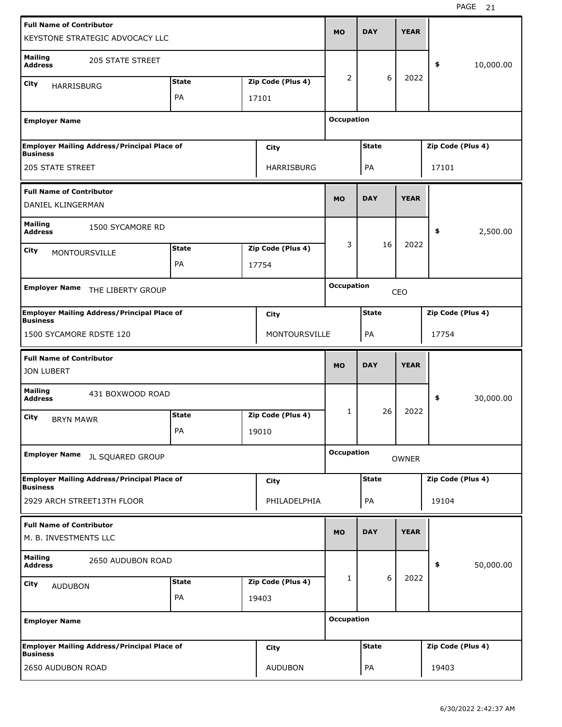| <b>Full Name of Contributor</b><br>KEYSTONE STRATEGIC ADVOCACY LLC    |              |                   | <b>MO</b>         | <b>DAY</b>   | <b>YEAR</b>  |                   |           |
|-----------------------------------------------------------------------|--------------|-------------------|-------------------|--------------|--------------|-------------------|-----------|
| <b>Mailing</b><br><b>205 STATE STREET</b><br><b>Address</b>           |              |                   |                   |              |              | \$                | 10,000.00 |
| City                                                                  | <b>State</b> | Zip Code (Plus 4) | 2                 | 6            | 2022         |                   |           |
| <b>HARRISBURG</b>                                                     | PA           | 17101             |                   |              |              |                   |           |
|                                                                       |              |                   |                   |              |              |                   |           |
| <b>Employer Name</b>                                                  |              |                   | <b>Occupation</b> |              |              |                   |           |
| <b>Employer Mailing Address/Principal Place of</b><br><b>Business</b> |              | City              |                   | <b>State</b> |              | Zip Code (Plus 4) |           |
| <b>205 STATE STREET</b>                                               |              | HARRISBURG        |                   | PA           |              | 17101             |           |
| <b>Full Name of Contributor</b><br>DANIEL KLINGERMAN                  |              |                   | <b>MO</b>         | <b>DAY</b>   | <b>YEAR</b>  |                   |           |
| <b>Mailing</b><br>1500 SYCAMORE RD<br><b>Address</b>                  |              |                   |                   |              |              | \$                | 2,500.00  |
| City<br><b>MONTOURSVILLE</b>                                          | <b>State</b> | Zip Code (Plus 4) | 3                 | 16           | 2022         |                   |           |
|                                                                       | <b>PA</b>    | 17754             |                   |              |              |                   |           |
|                                                                       |              |                   |                   |              |              |                   |           |
| <b>Employer Name</b><br>THE LIBERTY GROUP                             |              |                   | <b>Occupation</b> |              | CEO          |                   |           |
| <b>Employer Mailing Address/Principal Place of</b><br><b>Business</b> |              | City              |                   | <b>State</b> |              | Zip Code (Plus 4) |           |
| 1500 SYCAMORE RDSTE 120                                               |              | MONTOURSVILLE     |                   | PA           |              | 17754             |           |
| <b>Full Name of Contributor</b><br><b>JON LUBERT</b>                  |              |                   | <b>MO</b>         | <b>DAY</b>   | <b>YEAR</b>  |                   |           |
| <b>Mailing</b><br>431 BOXWOOD ROAD<br><b>Address</b>                  |              |                   |                   |              |              | \$                | 30,000.00 |
| City<br><b>BRYN MAWR</b>                                              | <b>State</b> | Zip Code (Plus 4) | 1                 | 26           | 2022         |                   |           |
|                                                                       | PA           | 19010             |                   |              |              |                   |           |
| <b>Employer Name</b><br>JL SQUARED GROUP                              |              |                   | <b>Occupation</b> |              | <b>OWNER</b> |                   |           |
| Employer Mailing Address/Principal Place of<br><b>Business</b>        |              | City              |                   | <b>State</b> |              | Zip Code (Plus 4) |           |
| 2929 ARCH STREET13TH FLOOR                                            |              |                   |                   |              |              |                   |           |
|                                                                       |              | PHILADELPHIA      |                   | PA           |              | 19104             |           |
| <b>Full Name of Contributor</b><br>M. B. INVESTMENTS LLC              |              |                   | <b>MO</b>         | <b>DAY</b>   | <b>YEAR</b>  |                   |           |
| <b>Mailing</b><br>2650 AUDUBON ROAD<br><b>Address</b>                 |              |                   |                   |              |              | \$                | 50,000.00 |
|                                                                       | <b>State</b> | Zip Code (Plus 4) | 1                 | 6            | 2022         |                   |           |
| City<br><b>AUDUBON</b>                                                | PA           | 19403             |                   |              |              |                   |           |
| <b>Employer Name</b>                                                  |              |                   | <b>Occupation</b> |              |              |                   |           |
| <b>Employer Mailing Address/Principal Place of</b><br><b>Business</b> |              | City              |                   | <b>State</b> |              | Zip Code (Plus 4) |           |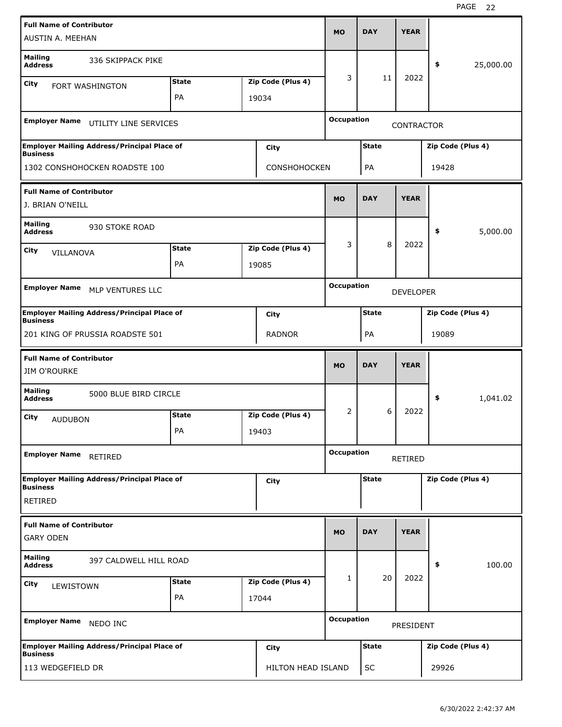| <b>Full Name of Contributor</b><br>AUSTIN A. MEEHAN    |                                                    |              |                   | <b>MO</b>         | <b>DAY</b>   | <b>YEAR</b>       |                   |           |
|--------------------------------------------------------|----------------------------------------------------|--------------|-------------------|-------------------|--------------|-------------------|-------------------|-----------|
| <b>Mailing</b><br><b>Address</b>                       | 336 SKIPPACK PIKE                                  |              |                   |                   |              |                   | \$                | 25,000.00 |
| City                                                   | <b>FORT WASHINGTON</b>                             | <b>State</b> | Zip Code (Plus 4) | 3                 | 11           | 2022              |                   |           |
|                                                        |                                                    | PA           | 19034             |                   |              |                   |                   |           |
|                                                        |                                                    |              |                   |                   |              |                   |                   |           |
| <b>Employer Name</b>                                   | UTILITY LINE SERVICES                              |              |                   | <b>Occupation</b> |              | <b>CONTRACTOR</b> |                   |           |
| <b>Business</b>                                        | <b>Employer Mailing Address/Principal Place of</b> |              | City              |                   | <b>State</b> |                   | Zip Code (Plus 4) |           |
|                                                        | 1302 CONSHOHOCKEN ROADSTE 100                      |              | CONSHOHOCKEN      |                   | PA           |                   | 19428             |           |
| <b>Full Name of Contributor</b><br>J. BRIAN O'NEILL    |                                                    |              |                   | <b>MO</b>         | <b>DAY</b>   | <b>YEAR</b>       |                   |           |
| <b>Mailing</b><br><b>Address</b>                       | 930 STOKE ROAD                                     |              |                   |                   |              |                   | \$                | 5,000.00  |
| City<br>VILLANOVA                                      |                                                    | <b>State</b> | Zip Code (Plus 4) | 3                 | 8            | 2022              |                   |           |
|                                                        |                                                    | PA           | 19085             |                   |              |                   |                   |           |
|                                                        |                                                    |              |                   |                   |              |                   |                   |           |
| <b>Employer Name</b>                                   | MLP VENTURES LLC                                   |              |                   | <b>Occupation</b> |              | <b>DEVELOPER</b>  |                   |           |
| <b>Business</b>                                        | <b>Employer Mailing Address/Principal Place of</b> |              | City              |                   | <b>State</b> |                   | Zip Code (Plus 4) |           |
|                                                        | 201 KING OF PRUSSIA ROADSTE 501                    |              | <b>RADNOR</b>     |                   | PA           |                   | 19089             |           |
| <b>Full Name of Contributor</b><br><b>JIM O'ROURKE</b> |                                                    |              |                   | <b>MO</b>         | <b>DAY</b>   | <b>YEAR</b>       |                   |           |
| <b>Mailing</b><br><b>Address</b>                       | 5000 BLUE BIRD CIRCLE                              |              |                   |                   |              |                   | \$                | 1,041.02  |
| City<br><b>AUDUBON</b>                                 |                                                    | <b>State</b> | Zip Code (Plus 4) | 2                 | 6            | 2022              |                   |           |
|                                                        |                                                    | PA           | 19403             |                   |              |                   |                   |           |
| <b>Employer Name</b>                                   | RETIRED                                            |              |                   | <b>Occupation</b> |              | RETIRED           |                   |           |
|                                                        | Employer Mailing Address/Principal Place of        |              | City              |                   | <b>State</b> |                   | Zip Code (Plus 4) |           |
| <b>Business</b><br><b>RETIRED</b>                      |                                                    |              |                   |                   |              |                   |                   |           |
| <b>Full Name of Contributor</b>                        |                                                    |              |                   |                   |              |                   |                   |           |
| <b>GARY ODEN</b>                                       |                                                    |              |                   | <b>MO</b>         | <b>DAY</b>   | <b>YEAR</b>       |                   |           |
| <b>Mailing</b><br><b>Address</b>                       | 397 CALDWELL HILL ROAD                             |              |                   |                   |              |                   | \$                | 100.00    |
| City<br>LEWISTOWN                                      |                                                    | <b>State</b> | Zip Code (Plus 4) | 1                 | 20           | 2022              |                   |           |
|                                                        |                                                    | PA           | 17044             |                   |              |                   |                   |           |
|                                                        |                                                    |              |                   |                   |              |                   |                   |           |
| <b>Employer Name</b>                                   | NEDO INC                                           |              |                   | <b>Occupation</b> |              | PRESIDENT         |                   |           |
| <b>Business</b>                                        | <b>Employer Mailing Address/Principal Place of</b> |              | City              |                   | <b>State</b> |                   | Zip Code (Plus 4) |           |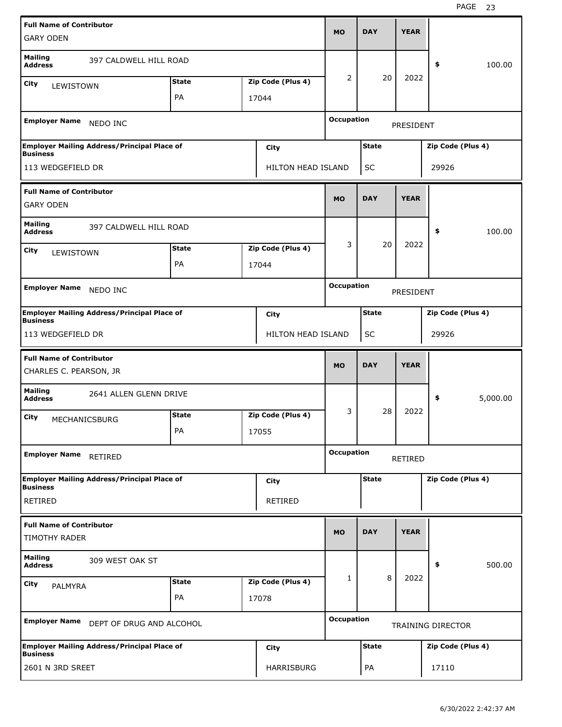| <b>Full Name of Contributor</b><br><b>GARY ODEN</b> |                                                    |              |                    | <b>MO</b>         | <b>DAY</b>   | <b>YEAR</b> |                   |          |
|-----------------------------------------------------|----------------------------------------------------|--------------|--------------------|-------------------|--------------|-------------|-------------------|----------|
|                                                     |                                                    |              |                    |                   |              |             |                   |          |
| <b>Mailing</b><br><b>Address</b>                    | 397 CALDWELL HILL ROAD                             |              |                    |                   |              |             | \$                | 100.00   |
| City<br>LEWISTOWN                                   |                                                    | <b>State</b> | Zip Code (Plus 4)  | 2                 | 20           | 2022        |                   |          |
|                                                     |                                                    | PA           | 17044              |                   |              |             |                   |          |
| <b>Employer Name</b>                                | NEDO INC                                           |              |                    | <b>Occupation</b> |              | PRESIDENT   |                   |          |
| <b>Business</b>                                     | <b>Employer Mailing Address/Principal Place of</b> |              | City               |                   | <b>State</b> |             | Zip Code (Plus 4) |          |
| 113 WEDGEFIELD DR                                   |                                                    |              | HILTON HEAD ISLAND |                   | SC           |             | 29926             |          |
| <b>Full Name of Contributor</b>                     |                                                    |              |                    |                   |              | <b>YEAR</b> |                   |          |
| <b>GARY ODEN</b>                                    |                                                    |              |                    | <b>MO</b>         | <b>DAY</b>   |             |                   |          |
| <b>Mailing</b><br><b>Address</b>                    | 397 CALDWELL HILL ROAD                             |              |                    |                   |              |             | \$                | 100.00   |
| City<br>LEWISTOWN                                   |                                                    | <b>State</b> | Zip Code (Plus 4)  | 3                 | 20           | 2022        |                   |          |
|                                                     |                                                    | PA           | 17044              |                   |              |             |                   |          |
| <b>Employer Name</b>                                | NEDO INC                                           |              |                    | <b>Occupation</b> |              |             |                   |          |
|                                                     |                                                    |              |                    |                   |              | PRESIDENT   |                   |          |
| <b>Business</b>                                     | <b>Employer Mailing Address/Principal Place of</b> |              | City               |                   | <b>State</b> |             | Zip Code (Plus 4) |          |
| 113 WEDGEFIELD DR                                   |                                                    |              | HILTON HEAD ISLAND |                   | SC           |             | 29926             |          |
|                                                     |                                                    |              |                    |                   |              |             |                   |          |
| <b>Full Name of Contributor</b>                     |                                                    |              |                    |                   |              |             |                   |          |
| CHARLES C. PEARSON, JR                              |                                                    |              |                    | <b>MO</b>         | <b>DAY</b>   | <b>YEAR</b> |                   |          |
| <b>Mailing</b><br><b>Address</b>                    | 2641 ALLEN GLENN DRIVE                             |              |                    |                   |              |             | \$                | 5,000.00 |
| City<br>MECHANICSBURG                               |                                                    | <b>State</b> | Zip Code (Plus 4)  | 3                 | 28           | 2022        |                   |          |
|                                                     |                                                    | PA           | 17055              |                   |              |             |                   |          |
| Employer Name RETIRED                               |                                                    |              |                    | <b>Occupation</b> |              | RETIRED     |                   |          |
|                                                     | <b>Employer Mailing Address/Principal Place of</b> |              | City               |                   | <b>State</b> |             | Zip Code (Plus 4) |          |
| <b>Business</b><br><b>RETIRED</b>                   |                                                    |              | <b>RETIRED</b>     |                   |              |             |                   |          |
| <b>Full Name of Contributor</b>                     |                                                    |              |                    |                   |              |             |                   |          |
| <b>TIMOTHY RADER</b>                                |                                                    |              |                    | <b>MO</b>         | <b>DAY</b>   | <b>YEAR</b> |                   |          |
| <b>Mailing</b><br><b>Address</b>                    | 309 WEST OAK ST                                    |              |                    |                   |              |             | \$                | 500.00   |
| City                                                |                                                    | <b>State</b> | Zip Code (Plus 4)  | 1                 | 8            | 2022        |                   |          |
| PALMYRA                                             |                                                    | PA           | 17078              |                   |              |             |                   |          |
|                                                     | Employer Name DEPT OF DRUG AND ALCOHOL             |              |                    | <b>Occupation</b> |              |             | TRAINING DIRECTOR |          |
| <b>Business</b>                                     | <b>Employer Mailing Address/Principal Place of</b> |              | City               |                   | <b>State</b> |             | Zip Code (Plus 4) |          |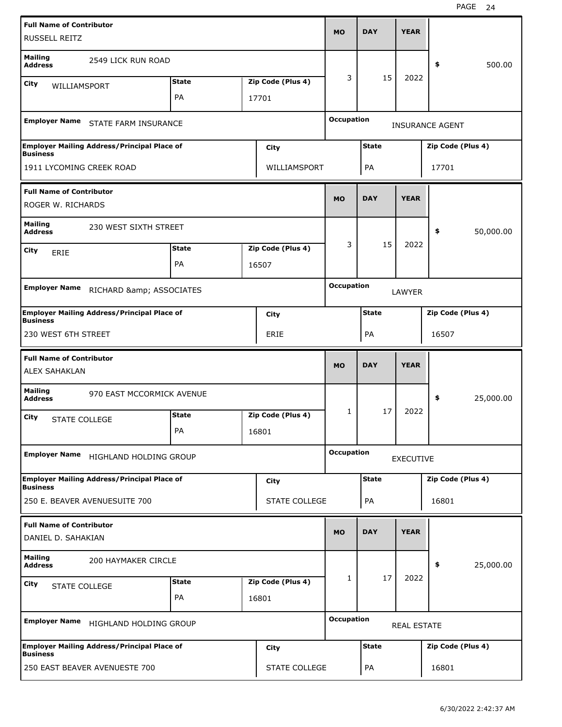| <b>Full Name of Contributor</b>                         |                                                    |              |                      | <b>MO</b>         | <b>DAY</b>   | <b>YEAR</b>        |                        |           |
|---------------------------------------------------------|----------------------------------------------------|--------------|----------------------|-------------------|--------------|--------------------|------------------------|-----------|
| RUSSELL REITZ                                           |                                                    |              |                      |                   |              |                    |                        |           |
| <b>Mailing</b><br><b>Address</b>                        | 2549 LICK RUN ROAD                                 |              |                      |                   |              |                    | \$                     | 500.00    |
| City<br>WILLIAMSPORT                                    |                                                    | <b>State</b> | Zip Code (Plus 4)    | 3                 | 15           | 2022               |                        |           |
|                                                         |                                                    | PA           | 17701                |                   |              |                    |                        |           |
| <b>Employer Name</b>                                    | STATE FARM INSURANCE                               |              |                      | <b>Occupation</b> |              |                    | <b>INSURANCE AGENT</b> |           |
| <b>Business</b>                                         | <b>Employer Mailing Address/Principal Place of</b> |              | City                 |                   | <b>State</b> |                    | Zip Code (Plus 4)      |           |
| 1911 LYCOMING CREEK ROAD                                |                                                    |              | WILLIAMSPORT         |                   | PA           |                    | 17701                  |           |
| <b>Full Name of Contributor</b>                         |                                                    |              |                      |                   |              |                    |                        |           |
| ROGER W. RICHARDS                                       |                                                    |              |                      | <b>MO</b>         | <b>DAY</b>   | <b>YEAR</b>        |                        |           |
| <b>Mailing</b><br><b>Address</b>                        | 230 WEST SIXTH STREET                              |              |                      |                   |              |                    | \$                     | 50,000.00 |
| City<br>ERIE                                            |                                                    | <b>State</b> | Zip Code (Plus 4)    | 3                 | 15           | 2022               |                        |           |
|                                                         |                                                    | PA           | 16507                |                   |              |                    |                        |           |
|                                                         |                                                    |              |                      | <b>Occupation</b> |              |                    |                        |           |
| <b>Employer Name</b>                                    | RICHARD & ASSOCIATES                               |              |                      |                   |              | LAWYER             |                        |           |
| <b>Business</b>                                         | <b>Employer Mailing Address/Principal Place of</b> |              | City                 |                   | <b>State</b> |                    | Zip Code (Plus 4)      |           |
| 230 WEST 6TH STREET                                     |                                                    |              | ERIE                 |                   | PA           |                    | 16507                  |           |
|                                                         |                                                    |              |                      |                   |              |                    |                        |           |
|                                                         |                                                    |              |                      |                   |              |                    |                        |           |
| <b>Full Name of Contributor</b><br><b>ALEX SAHAKLAN</b> |                                                    |              |                      | <b>MO</b>         | <b>DAY</b>   | <b>YEAR</b>        |                        |           |
| <b>Mailing</b><br><b>Address</b>                        | 970 EAST MCCORMICK AVENUE                          |              |                      |                   |              |                    | \$                     | 25,000.00 |
| City<br><b>STATE COLLEGE</b>                            |                                                    | <b>State</b> | Zip Code (Plus 4)    | 1                 | 17           | 2022               |                        |           |
|                                                         |                                                    | РA           | 16801                |                   |              |                    |                        |           |
| <b>Employer Name</b>                                    | HIGHLAND HOLDING GROUP                             |              |                      | <b>Occupation</b> |              | <b>EXECUTIVE</b>   |                        |           |
|                                                         | <b>Employer Mailing Address/Principal Place of</b> |              |                      |                   | <b>State</b> |                    | Zip Code (Plus 4)      |           |
| <b>Business</b>                                         |                                                    |              | City                 |                   |              |                    |                        |           |
|                                                         | 250 E. BEAVER AVENUESUITE 700                      |              | <b>STATE COLLEGE</b> |                   | PA           |                    | 16801                  |           |
| <b>Full Name of Contributor</b><br>DANIEL D. SAHAKIAN   |                                                    |              |                      | <b>MO</b>         | <b>DAY</b>   | <b>YEAR</b>        |                        |           |
| <b>Mailing</b><br><b>Address</b>                        | 200 HAYMAKER CIRCLE                                |              |                      |                   |              |                    | \$                     | 25,000.00 |
| <b>City</b>                                             |                                                    | <b>State</b> | Zip Code (Plus 4)    | $\mathbf{1}$      | 17           | 2022               |                        |           |
| <b>STATE COLLEGE</b>                                    |                                                    | PA           | 16801                |                   |              |                    |                        |           |
|                                                         | Employer Name HIGHLAND HOLDING GROUP               |              |                      | <b>Occupation</b> |              | <b>REAL ESTATE</b> |                        |           |
| <b>Business</b>                                         | <b>Employer Mailing Address/Principal Place of</b> |              | City                 |                   | <b>State</b> |                    | Zip Code (Plus 4)      |           |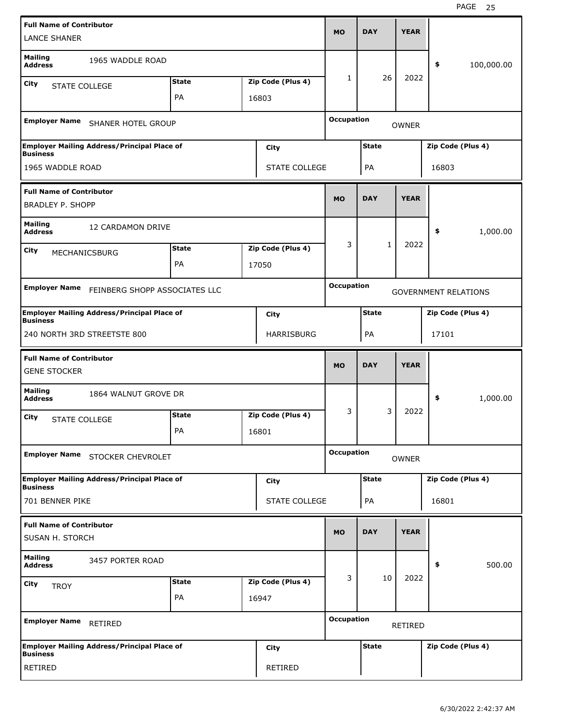| <b>Full Name of Contributor</b><br><b>LANCE SHANER</b>     |                                                    |              |                      | <b>MO</b>         | <b>DAY</b>   | <b>YEAR</b>  |                             |            |
|------------------------------------------------------------|----------------------------------------------------|--------------|----------------------|-------------------|--------------|--------------|-----------------------------|------------|
| <b>Mailing</b><br><b>Address</b>                           | 1965 WADDLE ROAD                                   |              |                      |                   |              |              | \$                          | 100,000.00 |
| City                                                       |                                                    | <b>State</b> | Zip Code (Plus 4)    | 1                 | 26           | 2022         |                             |            |
| <b>STATE COLLEGE</b>                                       |                                                    | PA           | 16803                |                   |              |              |                             |            |
| <b>Employer Name</b>                                       | <b>SHANER HOTEL GROUP</b>                          |              |                      | <b>Occupation</b> |              | <b>OWNER</b> |                             |            |
| <b>Business</b>                                            | <b>Employer Mailing Address/Principal Place of</b> |              | City                 |                   | <b>State</b> |              | Zip Code (Plus 4)           |            |
| 1965 WADDLE ROAD                                           |                                                    |              | <b>STATE COLLEGE</b> |                   | PA           |              | 16803                       |            |
| <b>Full Name of Contributor</b><br><b>BRADLEY P. SHOPP</b> |                                                    |              |                      | <b>MO</b>         | <b>DAY</b>   | <b>YEAR</b>  |                             |            |
| <b>Mailing</b><br><b>Address</b>                           | 12 CARDAMON DRIVE                                  |              |                      |                   |              |              | \$                          | 1,000.00   |
| City                                                       |                                                    | <b>State</b> | Zip Code (Plus 4)    | 3                 | $\mathbf{1}$ | 2022         |                             |            |
| MECHANICSBURG                                              |                                                    | PA           | 17050                |                   |              |              |                             |            |
|                                                            |                                                    |              |                      |                   |              |              |                             |            |
| <b>Employer Name</b>                                       | FEINBERG SHOPP ASSOCIATES LLC                      |              |                      | <b>Occupation</b> |              |              | <b>GOVERNMENT RELATIONS</b> |            |
| <b>Business</b>                                            | <b>Employer Mailing Address/Principal Place of</b> |              | <b>City</b>          |                   | <b>State</b> |              | Zip Code (Plus 4)           |            |
| 240 NORTH 3RD STREETSTE 800                                |                                                    |              | <b>HARRISBURG</b>    |                   | PA           |              | 17101                       |            |
|                                                            |                                                    |              |                      |                   |              |              |                             |            |
|                                                            |                                                    |              |                      |                   |              |              |                             |            |
| <b>Full Name of Contributor</b><br><b>GENE STOCKER</b>     |                                                    |              |                      | <b>MO</b>         | <b>DAY</b>   | <b>YEAR</b>  |                             |            |
| <b>Mailing</b><br><b>Address</b>                           | 1864 WALNUT GROVE DR                               |              |                      |                   |              |              | \$                          | 1,000.00   |
| City                                                       |                                                    | <b>State</b> | Zip Code (Plus 4)    | 3                 | 3            | 2022         |                             |            |
| <b>STATE COLLEGE</b>                                       |                                                    | PA           | 16801                |                   |              |              |                             |            |
|                                                            | Employer Name STOCKER CHEVROLET                    |              |                      | <b>Occupation</b> |              | <b>OWNER</b> |                             |            |
| <b>Business</b>                                            | <b>Employer Mailing Address/Principal Place of</b> |              | <b>City</b>          |                   | <b>State</b> |              | Zip Code (Plus 4)           |            |
| 701 BENNER PIKE                                            |                                                    |              | STATE COLLEGE        |                   | PA           |              | 16801                       |            |
| <b>Full Name of Contributor</b><br>SUSAN H. STORCH         |                                                    |              |                      | <b>MO</b>         | <b>DAY</b>   | <b>YEAR</b>  |                             |            |
| <b>Mailing</b><br><b>Address</b>                           | 3457 PORTER ROAD                                   |              |                      |                   |              |              | \$                          | 500.00     |
|                                                            |                                                    | <b>State</b> | Zip Code (Plus 4)    | 3                 | 10           | 2022         |                             |            |
| City<br><b>TROY</b>                                        |                                                    | PA           | 16947                |                   |              |              |                             |            |
| Employer Name RETIRED                                      |                                                    |              |                      | <b>Occupation</b> |              | RETIRED      |                             |            |
| <b>Business</b>                                            | <b>Employer Mailing Address/Principal Place of</b> |              | City                 |                   | <b>State</b> |              | Zip Code (Plus 4)           |            |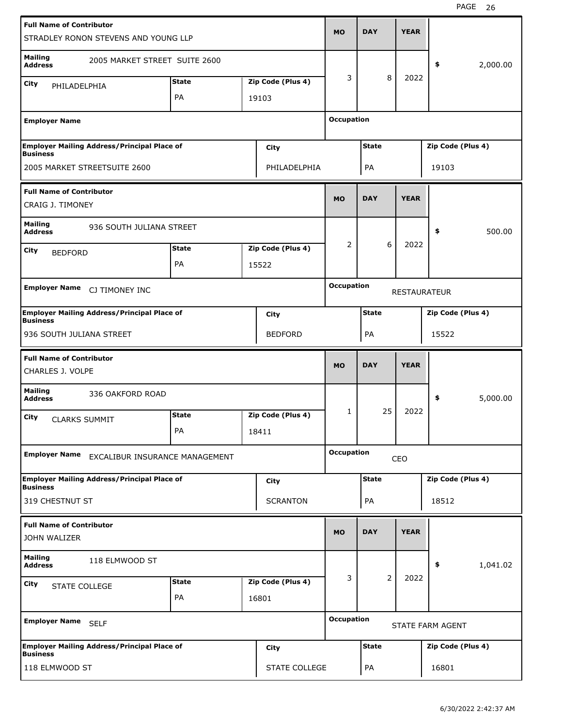| <b>Full Name of Contributor</b>                            | STRADLEY RONON STEVENS AND YOUNG LLP               |                    |                            | <b>MO</b>         | <b>DAY</b>   | <b>YEAR</b>         |                   |          |
|------------------------------------------------------------|----------------------------------------------------|--------------------|----------------------------|-------------------|--------------|---------------------|-------------------|----------|
| <b>Mailing</b><br><b>Address</b>                           | 2005 MARKET STREET SUITE 2600                      |                    |                            |                   |              |                     | \$                | 2,000.00 |
| City<br>PHILADELPHIA                                       |                                                    | <b>State</b>       | Zip Code (Plus 4)          | 3                 | 8            | 2022                |                   |          |
|                                                            |                                                    | PA                 | 19103                      |                   |              |                     |                   |          |
| <b>Employer Name</b>                                       |                                                    |                    |                            | <b>Occupation</b> |              |                     |                   |          |
| <b>Business</b>                                            | <b>Employer Mailing Address/Principal Place of</b> |                    | City                       |                   | <b>State</b> |                     | Zip Code (Plus 4) |          |
| 2005 MARKET STREETSUITE 2600                               |                                                    |                    | PHILADELPHIA               |                   | PA           |                     | 19103             |          |
| <b>Full Name of Contributor</b><br>CRAIG J. TIMONEY        |                                                    |                    |                            | <b>MO</b>         | <b>DAY</b>   | <b>YEAR</b>         |                   |          |
| <b>Mailing</b><br><b>Address</b>                           | 936 SOUTH JULIANA STREET                           |                    |                            |                   |              |                     | \$                | 500.00   |
| City<br><b>BEDFORD</b>                                     |                                                    | <b>State</b>       | Zip Code (Plus 4)          | 2                 | 6            | 2022                |                   |          |
|                                                            |                                                    | PA                 | 15522                      |                   |              |                     |                   |          |
| <b>Employer Name</b>                                       | CJ TIMONEY INC                                     |                    |                            | <b>Occupation</b> |              | <b>RESTAURATEUR</b> |                   |          |
| <b>Business</b>                                            | <b>Employer Mailing Address/Principal Place of</b> |                    | City                       |                   | <b>State</b> |                     | Zip Code (Plus 4) |          |
| 936 SOUTH JULIANA STREET                                   |                                                    |                    | <b>BEDFORD</b>             |                   | PA           |                     | 15522             |          |
|                                                            |                                                    |                    |                            |                   |              |                     |                   |          |
| <b>Full Name of Contributor</b><br><b>CHARLES J. VOLPE</b> |                                                    |                    |                            | <b>MO</b>         | <b>DAY</b>   | <b>YEAR</b>         |                   |          |
| <b>Mailing</b><br><b>Address</b>                           | 336 OAKFORD ROAD                                   |                    |                            |                   |              |                     | \$                | 5,000.00 |
| City<br><b>CLARKS SUMMIT</b>                               |                                                    | <b>State</b><br>PA | Zip Code (Plus 4)<br>18411 | 1                 | 25           | 2022                |                   |          |
| <b>Employer Name</b>                                       | EXCALIBUR INSURANCE MANAGEMENT                     |                    |                            | <b>Occupation</b> |              | CEO                 |                   |          |
|                                                            | <b>Employer Mailing Address/Principal Place of</b> |                    | <b>City</b>                |                   | <b>State</b> |                     | Zip Code (Plus 4) |          |
| <b>Business</b><br>319 CHESTNUT ST                         |                                                    |                    | <b>SCRANTON</b>            |                   | PA           |                     | 18512             |          |
| <b>Full Name of Contributor</b><br>JOHN WALIZER            |                                                    |                    |                            | <b>MO</b>         | <b>DAY</b>   | <b>YEAR</b>         |                   |          |
| <b>Mailing</b><br><b>Address</b>                           | 118 ELMWOOD ST                                     |                    |                            |                   |              |                     | \$                | 1,041.02 |
|                                                            |                                                    | <b>State</b>       | Zip Code (Plus 4)          | 3                 | 2            | 2022                |                   |          |
| City<br><b>STATE COLLEGE</b>                               |                                                    | PA                 | 16801                      |                   |              |                     |                   |          |
| Employer Name SELF                                         |                                                    |                    |                            | <b>Occupation</b> |              |                     | STATE FARM AGENT  |          |
| <b>Business</b>                                            | <b>Employer Mailing Address/Principal Place of</b> |                    | City                       |                   | <b>State</b> |                     | Zip Code (Plus 4) |          |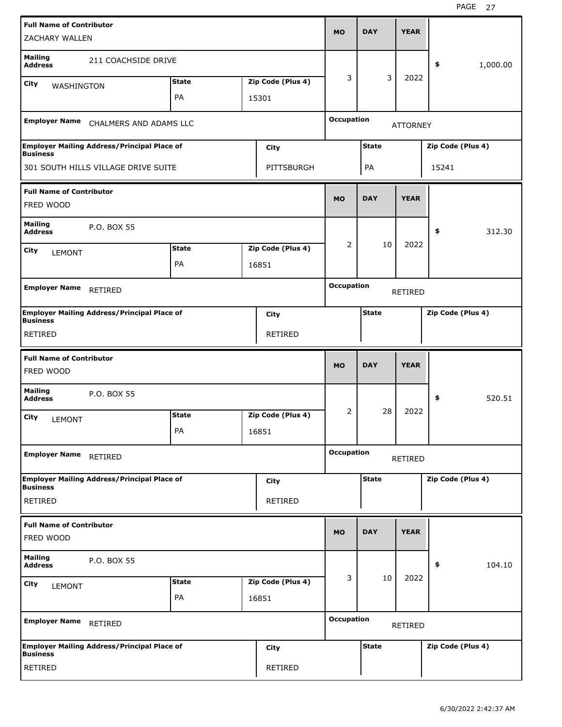| <b>Full Name of Contributor</b><br><b>ZACHARY WALLEN</b> |                                                    |              |                   | <b>MO</b>         | <b>DAY</b>   | <b>YEAR</b>     |                   |  |
|----------------------------------------------------------|----------------------------------------------------|--------------|-------------------|-------------------|--------------|-----------------|-------------------|--|
| <b>Mailing</b><br><b>Address</b>                         | 211 COACHSIDE DRIVE                                |              |                   |                   |              |                 | \$<br>1,000.00    |  |
| City<br>WASHINGTON                                       |                                                    | <b>State</b> | Zip Code (Plus 4) | 3                 | 3            | 2022            |                   |  |
|                                                          |                                                    | PA           | 15301             |                   |              |                 |                   |  |
| <b>Employer Name</b>                                     | CHALMERS AND ADAMS LLC                             |              |                   | <b>Occupation</b> |              | <b>ATTORNEY</b> |                   |  |
| <b>Business</b>                                          | <b>Employer Mailing Address/Principal Place of</b> |              | <b>City</b>       |                   | <b>State</b> |                 | Zip Code (Plus 4) |  |
|                                                          | 301 SOUTH HILLS VILLAGE DRIVE SUITE                |              | PITTSBURGH        |                   | PA           |                 | 15241             |  |
| <b>Full Name of Contributor</b><br>FRED WOOD             |                                                    |              |                   | <b>MO</b>         | <b>DAY</b>   | <b>YEAR</b>     |                   |  |
| <b>Mailing</b><br><b>Address</b>                         | P.O. BOX 55                                        |              |                   |                   |              |                 | \$<br>312.30      |  |
| City<br><b>LEMONT</b>                                    |                                                    | <b>State</b> | Zip Code (Plus 4) | 2                 | 10           | 2022            |                   |  |
|                                                          |                                                    | PA           | 16851             |                   |              |                 |                   |  |
| <b>Employer Name</b>                                     | RETIRED                                            |              |                   | <b>Occupation</b> |              | <b>RETIRED</b>  |                   |  |
| <b>Business</b>                                          | <b>Employer Mailing Address/Principal Place of</b> |              | City              |                   | <b>State</b> |                 | Zip Code (Plus 4) |  |
| RETIRED                                                  |                                                    |              | <b>RETIRED</b>    |                   |              |                 |                   |  |
|                                                          |                                                    |              |                   |                   |              |                 |                   |  |
| <b>Full Name of Contributor</b><br>FRED WOOD             |                                                    |              |                   | <b>MO</b>         | <b>DAY</b>   | <b>YEAR</b>     |                   |  |
| <b>Mailing</b><br><b>Address</b>                         | P.O. BOX 55                                        |              |                   |                   |              |                 | \$<br>520.51      |  |
| City                                                     |                                                    | <b>State</b> | Zip Code (Plus 4) | $\overline{2}$    | 28           | 2022            |                   |  |
| <b>LEMONT</b>                                            |                                                    | PA           | 16851             |                   |              |                 |                   |  |
| <b>Employer Name</b>                                     | RETIRED                                            |              |                   | <b>Occupation</b> |              | RETIRED         |                   |  |
| <b>Business</b>                                          | <b>Employer Mailing Address/Principal Place of</b> |              | <b>City</b>       |                   | State        |                 | Zip Code (Plus 4) |  |
| <b>RETIRED</b>                                           |                                                    |              | RETIRED           |                   |              |                 |                   |  |
| <b>Full Name of Contributor</b><br>FRED WOOD             |                                                    |              |                   | <b>MO</b>         | <b>DAY</b>   | <b>YEAR</b>     |                   |  |
| <b>Mailing</b><br><b>Address</b>                         | P.O. BOX 55                                        |              |                   |                   |              |                 | \$<br>104.10      |  |
|                                                          |                                                    | <b>State</b> | Zip Code (Plus 4) | 3                 | 10           | 2022            |                   |  |
| <b>City</b><br><b>LEMONT</b>                             |                                                    | PA           | 16851             |                   |              |                 |                   |  |
| <b>Employer Name</b>                                     | RETIRED                                            |              |                   | <b>Occupation</b> |              | RETIRED         |                   |  |
| <b>Business</b>                                          | <b>Employer Mailing Address/Principal Place of</b> |              | <b>City</b>       |                   | <b>State</b> |                 | Zip Code (Plus 4) |  |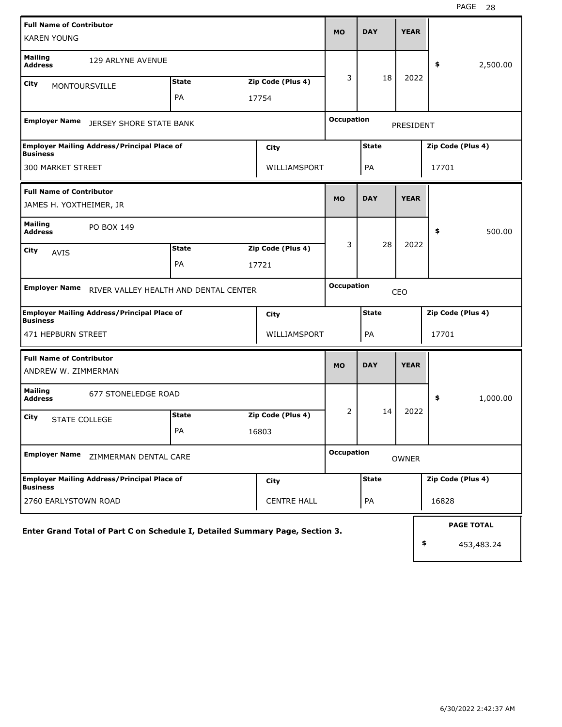| <b>Full Name of Contributor</b><br><b>KAREN YOUNG</b>                        |              |  |                    | <b>MO</b>         | <b>DAY</b>   | <b>YEAR</b>  |       |                   |
|------------------------------------------------------------------------------|--------------|--|--------------------|-------------------|--------------|--------------|-------|-------------------|
| <b>Mailing</b><br>129 ARLYNE AVENUE<br><b>Address</b>                        |              |  |                    |                   |              |              | \$    | 2,500.00          |
| <b>City</b><br><b>MONTOURSVILLE</b>                                          | <b>State</b> |  | Zip Code (Plus 4)  | 3                 | 18           | 2022         |       |                   |
|                                                                              | <b>PA</b>    |  | 17754              |                   |              |              |       |                   |
| <b>Employer Name</b><br><b>JERSEY SHORE STATE BANK</b>                       |              |  |                    | <b>Occupation</b> |              | PRESIDENT    |       |                   |
| <b>Employer Mailing Address/Principal Place of</b><br><b>Business</b>        |              |  | City               |                   | <b>State</b> |              |       | Zip Code (Plus 4) |
| 300 MARKET STREET                                                            | WILLIAMSPORT |  | PA                 |                   | 17701        |              |       |                   |
| <b>Full Name of Contributor</b>                                              |              |  |                    | <b>MO</b>         | <b>DAY</b>   | <b>YEAR</b>  |       |                   |
| JAMES H. YOXTHEIMER, JR                                                      |              |  |                    |                   |              |              |       |                   |
| <b>Mailing</b><br>PO BOX 149<br><b>Address</b>                               |              |  |                    |                   |              |              | \$    | 500.00            |
| City<br><b>AVIS</b>                                                          | <b>State</b> |  | Zip Code (Plus 4)  | 3                 | 28           | 2022         |       |                   |
|                                                                              | PA           |  | 17721              |                   |              |              |       |                   |
| <b>Employer Name</b><br>RIVER VALLEY HEALTH AND DENTAL CENTER                |              |  |                    | <b>Occupation</b> |              | CEO          |       |                   |
| <b>Employer Mailing Address/Principal Place of</b><br><b>Business</b>        |              |  | City               |                   | <b>State</b> |              |       | Zip Code (Plus 4) |
| 471 HEPBURN STREET                                                           |              |  | WILLIAMSPORT       |                   | PA           |              | 17701 |                   |
| <b>Full Name of Contributor</b>                                              |              |  |                    | <b>MO</b>         | <b>DAY</b>   | <b>YEAR</b>  |       |                   |
| ANDREW W. ZIMMERMAN                                                          |              |  |                    |                   |              |              |       |                   |
| <b>Mailing</b><br>677 STONELEDGE ROAD<br><b>Address</b>                      |              |  |                    |                   |              |              | \$    | 1,000.00          |
| City<br><b>STATE COLLEGE</b>                                                 | <b>State</b> |  | Zip Code (Plus 4)  | 2                 | 14           | 2022         |       |                   |
|                                                                              | PA           |  | 16803              |                   |              |              |       |                   |
| <b>Employer Name</b><br>ZIMMERMAN DENTAL CARE                                |              |  |                    | <b>Occupation</b> |              | <b>OWNER</b> |       |                   |
| <b>Employer Mailing Address/Principal Place of</b><br><b>Business</b>        |              |  | City               |                   | <b>State</b> |              |       | Zip Code (Plus 4) |
| 2760 EARLYSTOWN ROAD                                                         |              |  | <b>CENTRE HALL</b> |                   | PA           |              | 16828 |                   |
| Enter Grand Total of Part C on Schedule I, Detailed Summary Page, Section 3. |              |  |                    |                   |              |              |       | <b>PAGE TOTAL</b> |
|                                                                              |              |  |                    |                   |              |              | \$    | 453,483.24        |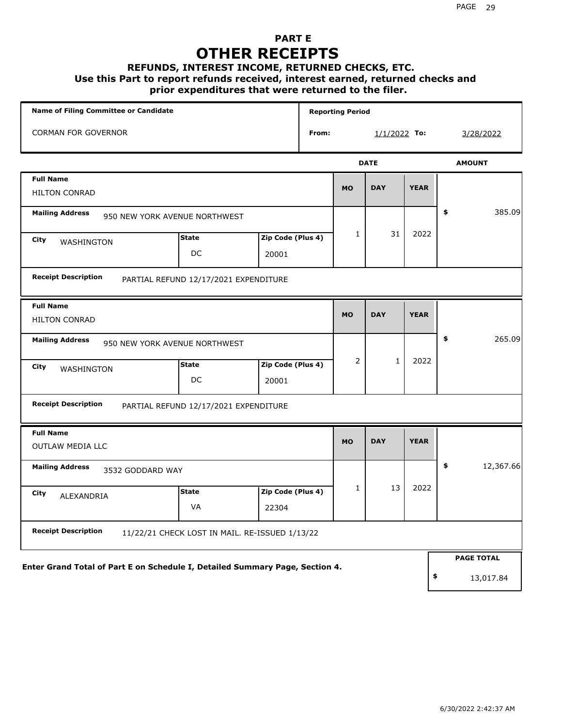### **PART E OTHER RECEIPTS**

## **REFUNDS, INTEREST INCOME, RETURNED CHECKS, ETC.**

 **Use this Part to report refunds received, interest earned, returned checks and**

#### **prior expenditures that were returned to the filer.**

|                                                                              | <b>Name of Filing Committee or Candidate</b>   |                   |       |              | <b>Reporting Period</b> |             |                   |
|------------------------------------------------------------------------------|------------------------------------------------|-------------------|-------|--------------|-------------------------|-------------|-------------------|
| <b>CORMAN FOR GOVERNOR</b>                                                   |                                                |                   | From: |              | 1/1/2022 To:            |             | 3/28/2022         |
|                                                                              |                                                |                   |       |              | <b>DATE</b>             |             | <b>AMOUNT</b>     |
| <b>Full Name</b>                                                             |                                                |                   |       | <b>MO</b>    | <b>DAY</b>              | <b>YEAR</b> |                   |
| <b>HILTON CONRAD</b>                                                         |                                                |                   |       |              |                         |             |                   |
| <b>Mailing Address</b>                                                       | 950 NEW YORK AVENUE NORTHWEST                  |                   |       |              |                         |             | \$<br>385.09      |
| City<br>WASHINGTON                                                           | <b>State</b>                                   | Zip Code (Plus 4) |       | $\mathbf{1}$ | 31                      | 2022        |                   |
|                                                                              | DC                                             | 20001             |       |              |                         |             |                   |
| <b>Receipt Description</b>                                                   | PARTIAL REFUND 12/17/2021 EXPENDITURE          |                   |       |              |                         |             |                   |
| <b>Full Name</b>                                                             |                                                |                   |       | <b>MO</b>    | <b>DAY</b>              | <b>YEAR</b> |                   |
| <b>HILTON CONRAD</b>                                                         |                                                |                   |       |              |                         |             |                   |
| <b>Mailing Address</b>                                                       | 950 NEW YORK AVENUE NORTHWEST                  |                   |       |              |                         |             | \$<br>265.09      |
| City<br>WASHINGTON                                                           | <b>State</b>                                   | Zip Code (Plus 4) |       | 2            | $\mathbf{1}$            | 2022        |                   |
|                                                                              | DC                                             | 20001             |       |              |                         |             |                   |
| <b>Receipt Description</b>                                                   | PARTIAL REFUND 12/17/2021 EXPENDITURE          |                   |       |              |                         |             |                   |
| <b>Full Name</b>                                                             |                                                |                   |       |              |                         |             |                   |
| <b>OUTLAW MEDIA LLC</b>                                                      |                                                |                   |       | <b>MO</b>    | <b>DAY</b>              | <b>YEAR</b> |                   |
| <b>Mailing Address</b><br>3532 GODDARD WAY                                   |                                                |                   |       |              |                         |             | \$<br>12,367.66   |
| City<br>ALEXANDRIA                                                           | <b>State</b>                                   | Zip Code (Plus 4) |       | 1            | 13                      | 2022        |                   |
|                                                                              | <b>VA</b>                                      | 22304             |       |              |                         |             |                   |
| <b>Receipt Description</b>                                                   | 11/22/21 CHECK LOST IN MAIL. RE-ISSUED 1/13/22 |                   |       |              |                         |             |                   |
|                                                                              |                                                |                   |       |              |                         |             | <b>PAGE TOTAL</b> |
| Enter Grand Total of Part E on Schedule I, Detailed Summary Page, Section 4. |                                                |                   |       |              |                         |             | \$<br>13,017.84   |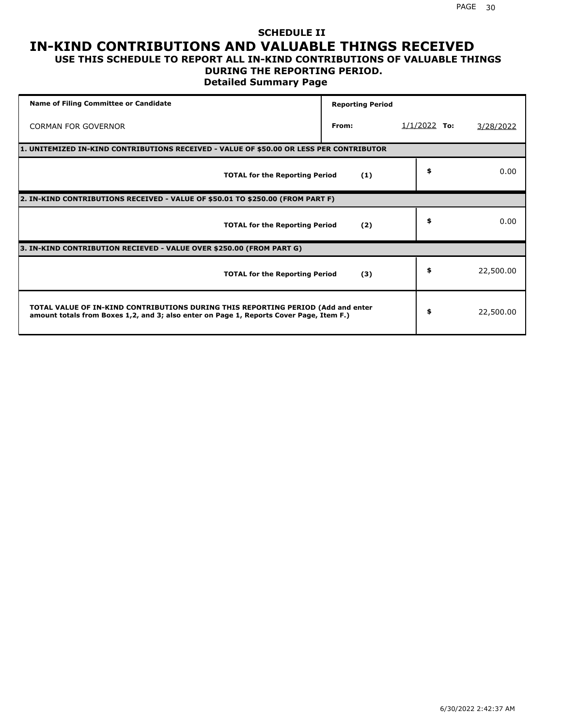#### **SCHEDULE II IN-KIND CONTRIBUTIONS AND VALUABLE THINGS RECEIVED USE THIS SCHEDULE TO REPORT ALL IN-KIND CONTRIBUTIONS OF VALUABLE THINGS**

### **DURING THE REPORTING PERIOD.**

**Detailed Summary Page**

| <b>Name of Filing Committee or Candidate</b>                                                                                                                                | <b>Reporting Period</b> |                |           |
|-----------------------------------------------------------------------------------------------------------------------------------------------------------------------------|-------------------------|----------------|-----------|
| <b>CORMAN FOR GOVERNOR</b>                                                                                                                                                  | From:                   | $1/1/2022$ To: | 3/28/2022 |
| 1. UNITEMIZED IN-KIND CONTRIBUTIONS RECEIVED - VALUE OF \$50.00 OR LESS PER CONTRIBUTOR                                                                                     |                         |                |           |
| <b>TOTAL for the Reporting Period</b>                                                                                                                                       | (1)                     | \$             | 0.00      |
| 2. IN-KIND CONTRIBUTIONS RECEIVED - VALUE OF \$50.01 TO \$250.00 (FROM PART F)                                                                                              |                         |                |           |
| <b>TOTAL for the Reporting Period</b>                                                                                                                                       | (2)                     | \$             | 0.00      |
| 3. IN-KIND CONTRIBUTION RECIEVED - VALUE OVER \$250.00 (FROM PART G)                                                                                                        |                         |                |           |
| <b>TOTAL for the Reporting Period</b>                                                                                                                                       | (3)                     | \$             | 22,500.00 |
| TOTAL VALUE OF IN-KIND CONTRIBUTIONS DURING THIS REPORTING PERIOD (Add and enter<br>amount totals from Boxes 1,2, and 3; also enter on Page 1, Reports Cover Page, Item F.) |                         | \$             | 22,500.00 |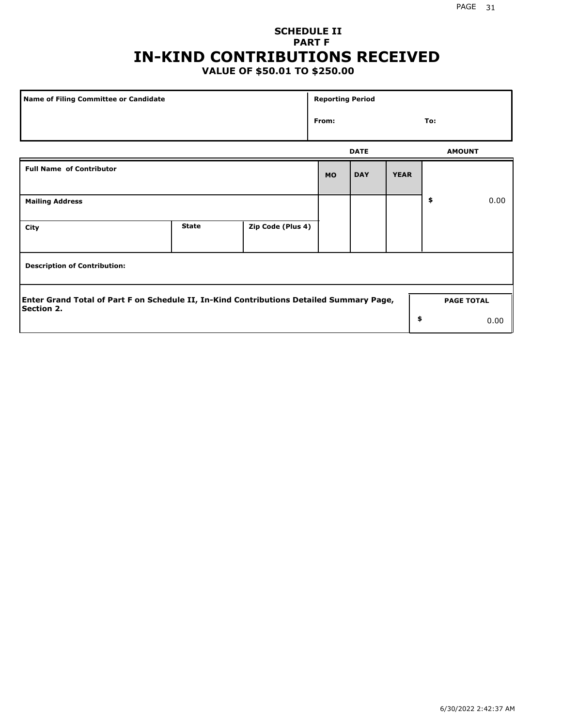### **SCHEDULE II PART F IN-KIND CONTRIBUTIONS RECEIVED**

### **VALUE OF \$50.01 TO \$250.00**

| Name of Filing Committee or Candidate                                                                         |              |                   |           |             |             |               |                   |
|---------------------------------------------------------------------------------------------------------------|--------------|-------------------|-----------|-------------|-------------|---------------|-------------------|
|                                                                                                               |              |                   |           |             |             | To:           |                   |
|                                                                                                               |              |                   |           | <b>DATE</b> |             | <b>AMOUNT</b> |                   |
| <b>Full Name of Contributor</b>                                                                               |              |                   | <b>MO</b> | <b>DAY</b>  | <b>YEAR</b> |               |                   |
| <b>Mailing Address</b>                                                                                        |              |                   |           |             |             | \$            | 0.00              |
| City                                                                                                          | <b>State</b> | Zip Code (Plus 4) |           |             |             |               |                   |
| <b>Description of Contribution:</b>                                                                           |              |                   |           |             |             |               |                   |
| Enter Grand Total of Part F on Schedule II, In-Kind Contributions Detailed Summary Page,<br><b>Section 2.</b> |              |                   |           |             |             |               | <b>PAGE TOTAL</b> |
|                                                                                                               |              |                   |           |             | \$          |               | 0.00              |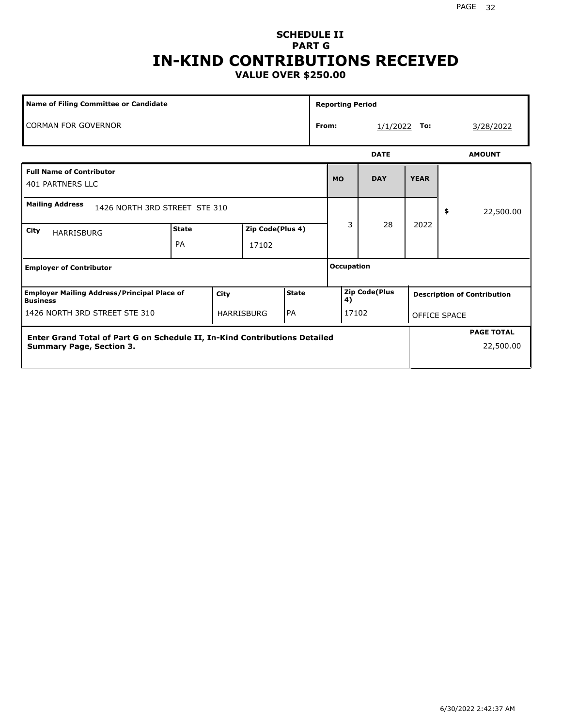#### PAGE 32

#### **SCHEDULE II PART G IN-KIND CONTRIBUTIONS RECEIVED VALUE OVER \$250.00**

| <b>Name of Filing Committee or Candidate</b>                                                                  |                           |      |                           |           |       | <b>Reporting Period</b> |                      |             |                     |                                    |
|---------------------------------------------------------------------------------------------------------------|---------------------------|------|---------------------------|-----------|-------|-------------------------|----------------------|-------------|---------------------|------------------------------------|
| <b>CORMAN FOR GOVERNOR</b>                                                                                    |                           |      |                           |           | From: |                         | 1/1/2022             | To:         |                     | 3/28/2022                          |
|                                                                                                               |                           |      |                           |           |       |                         | <b>DATE</b>          |             |                     | <b>AMOUNT</b>                      |
| <b>Full Name of Contributor</b><br><b>401 PARTNERS LLC</b>                                                    |                           |      |                           |           |       | <b>MO</b>               | <b>DAY</b>           | <b>YEAR</b> |                     |                                    |
| <b>Mailing Address</b><br>1426 NORTH 3RD STREET STE 310                                                       |                           |      |                           |           |       |                         |                      |             | \$                  | 22,500.00                          |
| City<br><b>HARRISBURG</b>                                                                                     | <b>State</b><br><b>PA</b> |      | Zip Code(Plus 4)<br>17102 |           |       | 3                       | 28                   | 2022        |                     |                                    |
| <b>Employer of Contributor</b>                                                                                |                           |      |                           |           |       | <b>Occupation</b>       |                      |             |                     |                                    |
| <b>Employer Mailing Address/Principal Place of</b><br><b>Business</b>                                         |                           | City |                           | State     |       | 4)                      | <b>Zip Code(Plus</b> |             |                     | <b>Description of Contribution</b> |
| 1426 NORTH 3RD STREET STE 310                                                                                 |                           |      | <b>HARRISBURG</b>         | <b>PA</b> |       |                         | 17102                |             | <b>OFFICE SPACE</b> |                                    |
| Enter Grand Total of Part G on Schedule II, In-Kind Contributions Detailed<br><b>Summary Page, Section 3.</b> |                           |      |                           |           |       |                         |                      |             |                     | <b>PAGE TOTAL</b><br>22,500.00     |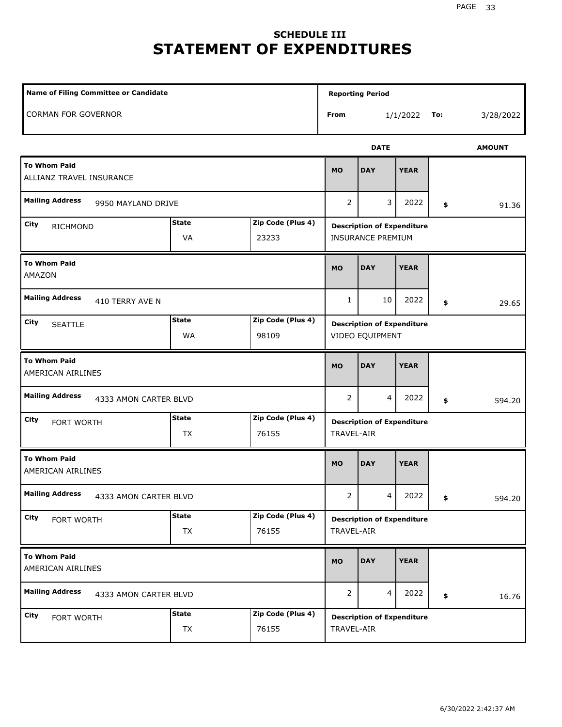## **SCHEDULE III STATEMENT OF EXPENDITURES**

| <b>Name of Filing Committee or Candidate</b>    |                                                  |                            |                | <b>Reporting Period</b>                              |                                                               |     |               |
|-------------------------------------------------|--------------------------------------------------|----------------------------|----------------|------------------------------------------------------|---------------------------------------------------------------|-----|---------------|
| <b>CORMAN FOR GOVERNOR</b>                      |                                                  |                            | From           |                                                      | 1/1/2022                                                      | To: | 3/28/2022     |
|                                                 |                                                  |                            |                | <b>DATE</b>                                          |                                                               |     | <b>AMOUNT</b> |
| <b>To Whom Paid</b><br>ALLIANZ TRAVEL INSURANCE |                                                  |                            | <b>MO</b>      | <b>DAY</b>                                           | <b>YEAR</b>                                                   |     |               |
| <b>Mailing Address</b><br>9950 MAYLAND DRIVE    |                                                  |                            | 2              | 3                                                    | 2022                                                          | \$  | 91.36         |
| City<br>RICHMOND                                | <b>State</b><br>Zip Code (Plus 4)<br>VA<br>23233 |                            |                |                                                      | <b>Description of Expenditure</b><br><b>INSURANCE PREMIUM</b> |     |               |
| <b>To Whom Paid</b><br><b>AMAZON</b>            |                                                  |                            | <b>MO</b>      | <b>DAY</b>                                           | <b>YEAR</b>                                                   |     |               |
| <b>Mailing Address</b><br>410 TERRY AVE N       | $\mathbf{1}$                                     | 10                         | 2022           | \$                                                   | 29.65                                                         |     |               |
| City<br><b>SEATTLE</b>                          | <b>State</b><br>WA                               | Zip Code (Plus 4)<br>98109 |                | <b>Description of Expenditure</b><br>VIDEO EQUIPMENT |                                                               |     |               |
| <b>To Whom Paid</b><br>AMERICAN AIRLINES        |                                                  |                            | <b>MO</b>      | <b>DAY</b>                                           | <b>YEAR</b>                                                   |     |               |
| <b>Mailing Address</b><br>4333 AMON CARTER BLVD |                                                  |                            | $\overline{2}$ | $\overline{4}$                                       | 2022                                                          | \$  | 594.20        |
| City<br>FORT WORTH                              | <b>State</b><br><b>TX</b>                        | Zip Code (Plus 4)<br>76155 | TRAVEL-AIR     | <b>Description of Expenditure</b>                    |                                                               |     |               |
| <b>To Whom Paid</b><br>AMERICAN AIRLINES        |                                                  |                            | <b>MO</b>      | <b>DAY</b>                                           | <b>YEAR</b>                                                   |     |               |
| <b>Mailing Address</b><br>4333 AMON CARTER BLVD |                                                  |                            | $\overline{2}$ | 4                                                    | 2022                                                          | \$  | 594.20        |
| City<br>FORT WORTH                              | <b>State</b><br>TX                               | Zip Code (Plus 4)<br>76155 | TRAVEL-AIR     | <b>Description of Expenditure</b>                    |                                                               |     |               |
| <b>To Whom Paid</b><br>AMERICAN AIRLINES        |                                                  |                            | <b>MO</b>      | <b>DAY</b>                                           | <b>YEAR</b>                                                   |     |               |
| <b>Mailing Address</b><br>4333 AMON CARTER BLVD |                                                  |                            | 2              | 4                                                    | 2022                                                          | \$  | 16.76         |
| City<br>FORT WORTH                              | <b>State</b><br>TX                               | Zip Code (Plus 4)<br>76155 | TRAVEL-AIR     | <b>Description of Expenditure</b>                    |                                                               |     |               |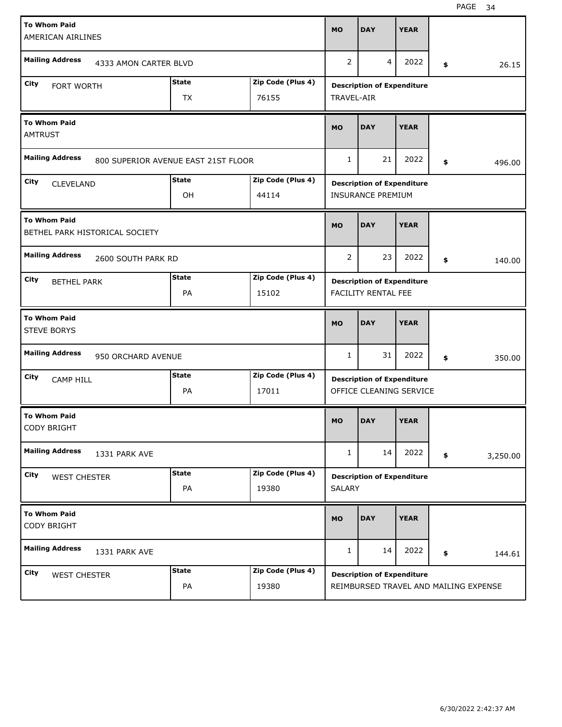| <b>To Whom Paid</b><br>AMERICAN AIRLINES  |                                |                                     |                   | <b>MO</b>     | <b>DAY</b>                                                   | <b>YEAR</b> |                |
|-------------------------------------------|--------------------------------|-------------------------------------|-------------------|---------------|--------------------------------------------------------------|-------------|----------------|
| <b>Mailing Address</b>                    | 4333 AMON CARTER BLVD          |                                     |                   | 2             | 4                                                            | 2022        | \$<br>26.15    |
| City<br>FORT WORTH                        |                                | <b>State</b>                        | Zip Code (Plus 4) |               | <b>Description of Expenditure</b>                            |             |                |
|                                           |                                | <b>TX</b>                           | 76155             | TRAVEL-AIR    |                                                              |             |                |
| <b>To Whom Paid</b><br><b>AMTRUST</b>     |                                |                                     |                   | <b>MO</b>     | <b>DAY</b>                                                   | <b>YEAR</b> |                |
| <b>Mailing Address</b>                    |                                | 800 SUPERIOR AVENUE EAST 21ST FLOOR |                   | $\mathbf{1}$  | 21                                                           | 2022        | \$<br>496.00   |
| City<br><b>CLEVELAND</b>                  |                                | <b>State</b>                        | Zip Code (Plus 4) |               | <b>Description of Expenditure</b>                            |             |                |
|                                           |                                | OH                                  | 44114             |               | <b>INSURANCE PREMIUM</b>                                     |             |                |
| <b>To Whom Paid</b>                       | BETHEL PARK HISTORICAL SOCIETY |                                     |                   | <b>MO</b>     | <b>DAY</b>                                                   | <b>YEAR</b> |                |
| <b>Mailing Address</b>                    | 2600 SOUTH PARK RD             |                                     |                   | 2             | 23                                                           | 2022        | \$<br>140.00   |
| City<br><b>BETHEL PARK</b>                |                                | <b>State</b>                        | Zip Code (Plus 4) |               | <b>Description of Expenditure</b>                            |             |                |
|                                           |                                | PA                                  | 15102             |               | FACILITY RENTAL FEE                                          |             |                |
|                                           |                                |                                     |                   |               |                                                              |             |                |
| <b>To Whom Paid</b><br><b>STEVE BORYS</b> |                                |                                     |                   | <b>MO</b>     | <b>DAY</b>                                                   | <b>YEAR</b> |                |
| <b>Mailing Address</b>                    | 950 ORCHARD AVENUE             |                                     |                   | 1             | 31                                                           | 2022        | \$<br>350.00   |
| City                                      |                                | <b>State</b>                        | Zip Code (Plus 4) |               |                                                              |             |                |
| <b>CAMP HILL</b>                          |                                | PA                                  | 17011             |               | <b>Description of Expenditure</b><br>OFFICE CLEANING SERVICE |             |                |
| <b>To Whom Paid</b><br><b>CODY BRIGHT</b> |                                |                                     |                   | <b>MO</b>     | <b>DAY</b>                                                   | <b>YEAR</b> |                |
| <b>Mailing Address</b>                    | 1331 PARK AVE                  |                                     |                   | 1             | 14                                                           | 2022        | \$<br>3,250.00 |
| City                                      |                                | <b>State</b>                        | Zip Code (Plus 4) |               | <b>Description of Expenditure</b>                            |             |                |
| <b>WEST CHESTER</b>                       |                                | PA                                  | 19380             | <b>SALARY</b> |                                                              |             |                |
| <b>To Whom Paid</b><br><b>CODY BRIGHT</b> |                                |                                     |                   | <b>MO</b>     | <b>DAY</b>                                                   | <b>YEAR</b> |                |
| <b>Mailing Address</b>                    | 1331 PARK AVE                  |                                     |                   | 1             | 14                                                           | 2022        | \$<br>144.61   |
| <b>City</b><br><b>WEST CHESTER</b>        |                                | <b>State</b>                        | Zip Code (Plus 4) |               | <b>Description of Expenditure</b>                            |             |                |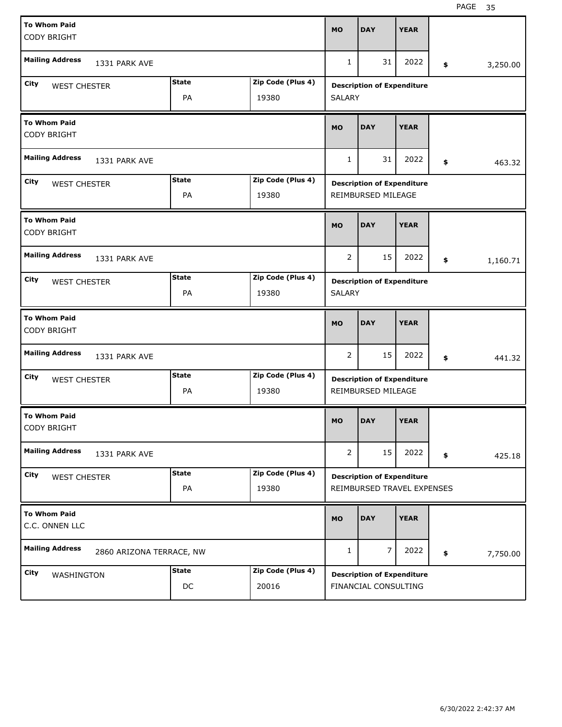| <b>To Whom Paid</b><br><b>CODY BRIGHT</b> |                          |                    |                            | <b>MO</b>      | <b>DAY</b>                                                      | <b>YEAR</b> |                |
|-------------------------------------------|--------------------------|--------------------|----------------------------|----------------|-----------------------------------------------------------------|-------------|----------------|
| <b>Mailing Address</b>                    | 1331 PARK AVE            |                    |                            | 1              | 31                                                              | 2022        | \$<br>3,250.00 |
| City<br><b>WEST CHESTER</b>               |                          | <b>State</b><br>PA | Zip Code (Plus 4)<br>19380 | <b>SALARY</b>  | <b>Description of Expenditure</b>                               |             |                |
| <b>To Whom Paid</b><br><b>CODY BRIGHT</b> |                          |                    |                            | <b>MO</b>      | <b>DAY</b>                                                      | <b>YEAR</b> |                |
| <b>Mailing Address</b>                    | 1331 PARK AVE            |                    |                            | 1              | 31                                                              | 2022        | \$<br>463.32   |
| City<br><b>WEST CHESTER</b>               |                          | <b>State</b><br>PA | Zip Code (Plus 4)<br>19380 |                | <b>Description of Expenditure</b><br>REIMBURSED MILEAGE         |             |                |
| <b>To Whom Paid</b><br><b>CODY BRIGHT</b> |                          |                    |                            | <b>MO</b>      | <b>DAY</b>                                                      | <b>YEAR</b> |                |
| <b>Mailing Address</b>                    | 1331 PARK AVE            |                    |                            | $\overline{2}$ | 15                                                              | 2022        | \$<br>1,160.71 |
| City<br><b>WEST CHESTER</b>               |                          | <b>State</b><br>PA | Zip Code (Plus 4)<br>19380 | <b>SALARY</b>  | <b>Description of Expenditure</b>                               |             |                |
|                                           |                          |                    |                            |                |                                                                 |             |                |
| <b>To Whom Paid</b><br><b>CODY BRIGHT</b> |                          |                    |                            | <b>MO</b>      | <b>DAY</b>                                                      | <b>YEAR</b> |                |
| <b>Mailing Address</b>                    | 1331 PARK AVE            |                    |                            | 2              | 15                                                              | 2022        | \$<br>441.32   |
| City<br><b>WEST CHESTER</b>               |                          | <b>State</b><br>PA | Zip Code (Plus 4)<br>19380 |                | <b>Description of Expenditure</b><br>REIMBURSED MILEAGE         |             |                |
| <b>To Whom Paid</b><br>CODY BRIGHT        |                          |                    |                            | <b>MO</b>      | <b>DAY</b>                                                      | <b>YEAR</b> |                |
| <b>Mailing Address</b>                    | 1331 PARK AVE            |                    |                            | $\overline{2}$ | 15                                                              | 2022        | \$<br>425.18   |
| City<br><b>WEST CHESTER</b>               |                          | <b>State</b><br>PA | Zip Code (Plus 4)<br>19380 |                | <b>Description of Expenditure</b><br>REIMBURSED TRAVEL EXPENSES |             |                |
| <b>To Whom Paid</b><br>C.C. ONNEN LLC     |                          |                    |                            | <b>MO</b>      | <b>DAY</b>                                                      | <b>YEAR</b> |                |
| <b>Mailing Address</b>                    | 2860 ARIZONA TERRACE, NW |                    |                            | 1              | 7                                                               | 2022        | \$<br>7,750.00 |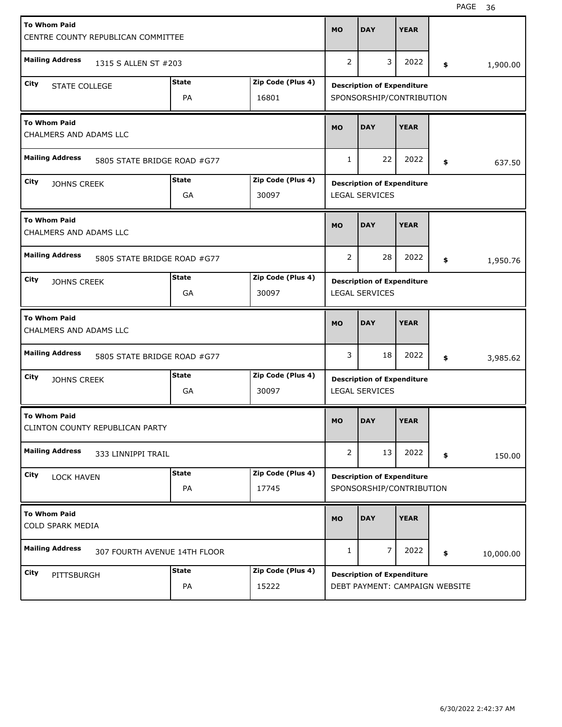| <b>To Whom Paid</b>                                    |                              |              |                   | <b>MO</b>      | <b>DAY</b>                        | <b>YEAR</b> |     |           |
|--------------------------------------------------------|------------------------------|--------------|-------------------|----------------|-----------------------------------|-------------|-----|-----------|
| CENTRE COUNTY REPUBLICAN COMMITTEE                     |                              |              |                   |                |                                   |             |     |           |
| <b>Mailing Address</b>                                 | 1315 S ALLEN ST #203         |              |                   | 2              | 3                                 | 2022        | \$. | 1,900.00  |
| City<br><b>STATE COLLEGE</b>                           |                              | <b>State</b> | Zip Code (Plus 4) |                | <b>Description of Expenditure</b> |             |     |           |
|                                                        |                              | PA           | 16801             |                | SPONSORSHIP/CONTRIBUTION          |             |     |           |
| <b>To Whom Paid</b><br>CHALMERS AND ADAMS LLC          |                              |              |                   | <b>MO</b>      | <b>DAY</b>                        | <b>YEAR</b> |     |           |
| <b>Mailing Address</b>                                 | 5805 STATE BRIDGE ROAD #G77  |              |                   | 1              | 22                                | 2022        | \$  | 637.50    |
| City<br><b>JOHNS CREEK</b>                             |                              | <b>State</b> | Zip Code (Plus 4) |                | <b>Description of Expenditure</b> |             |     |           |
|                                                        |                              | GA           | 30097             |                | <b>LEGAL SERVICES</b>             |             |     |           |
| <b>To Whom Paid</b><br>CHALMERS AND ADAMS LLC          |                              |              |                   | <b>MO</b>      | <b>DAY</b>                        | <b>YEAR</b> |     |           |
| <b>Mailing Address</b>                                 | 5805 STATE BRIDGE ROAD #G77  |              |                   | 2              | 28                                | 2022        | \$  | 1,950.76  |
| City<br><b>JOHNS CREEK</b>                             |                              | <b>State</b> | Zip Code (Plus 4) |                | <b>Description of Expenditure</b> |             |     |           |
|                                                        |                              | GA           | 30097             |                | <b>LEGAL SERVICES</b>             |             |     |           |
|                                                        |                              |              |                   |                |                                   |             |     |           |
| <b>To Whom Paid</b><br>CHALMERS AND ADAMS LLC          |                              |              |                   | <b>MO</b>      | <b>DAY</b>                        | <b>YEAR</b> |     |           |
| <b>Mailing Address</b>                                 | 5805 STATE BRIDGE ROAD #G77  |              |                   | 3              | 18                                | 2022        | \$  | 3,985.62  |
| City<br><b>JOHNS CREEK</b>                             |                              | <b>State</b> | Zip Code (Plus 4) |                | <b>Description of Expenditure</b> |             |     |           |
|                                                        |                              | GA           | 30097             |                | <b>LEGAL SERVICES</b>             |             |     |           |
| <b>To Whom Paid</b><br>CLINTON COUNTY REPUBLICAN PARTY |                              |              |                   | <b>MO</b>      | <b>DAY</b>                        | <b>YEAR</b> |     |           |
| <b>Mailing Address</b>                                 | 333 LINNIPPI TRAIL           |              |                   | $\overline{2}$ | 13                                | 2022        | \$  | 150.00    |
| City<br><b>LOCK HAVEN</b>                              |                              | <b>State</b> | Zip Code (Plus 4) |                | <b>Description of Expenditure</b> |             |     |           |
|                                                        |                              | PA           | 17745             |                | SPONSORSHIP/CONTRIBUTION          |             |     |           |
| <b>To Whom Paid</b><br><b>COLD SPARK MEDIA</b>         |                              |              |                   | <b>MO</b>      | <b>DAY</b>                        | <b>YEAR</b> |     |           |
| <b>Mailing Address</b>                                 | 307 FOURTH AVENUE 14TH FLOOR |              |                   | 1              | $\overline{7}$                    | 2022        | \$  | 10,000.00 |
| City<br>PITTSBURGH                                     |                              | <b>State</b> | Zip Code (Plus 4) |                | <b>Description of Expenditure</b> |             |     |           |

H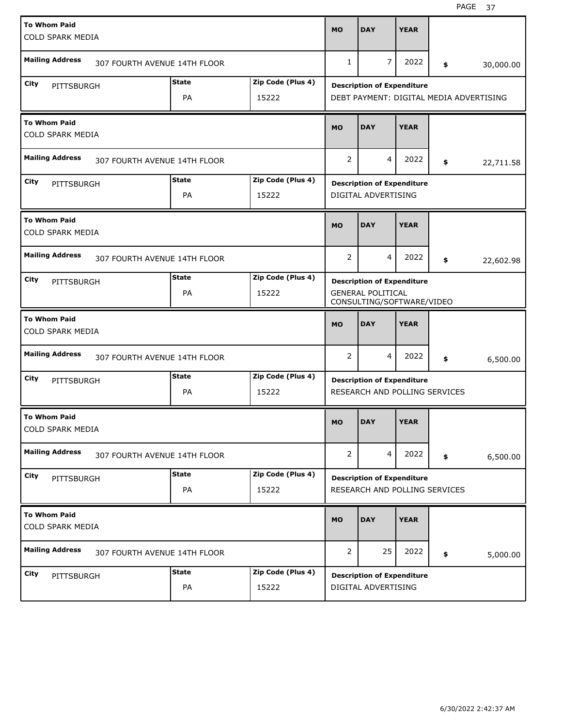| <b>To Whom Paid</b><br>COLD SPARK MEDIA        |                              |                    |                            | <b>MO</b>      | <b>DAY</b>                                                                                 | <b>YEAR</b> |                                         |
|------------------------------------------------|------------------------------|--------------------|----------------------------|----------------|--------------------------------------------------------------------------------------------|-------------|-----------------------------------------|
| <b>Mailing Address</b>                         | 307 FOURTH AVENUE 14TH FLOOR |                    |                            | $\mathbf{1}$   | 7                                                                                          | 2022        | \$<br>30,000.00                         |
| City<br>PITTSBURGH                             |                              | <b>State</b><br>PA | Zip Code (Plus 4)<br>15222 |                | <b>Description of Expenditure</b>                                                          |             | DEBT PAYMENT: DIGITAL MEDIA ADVERTISING |
| <b>To Whom Paid</b><br><b>COLD SPARK MEDIA</b> |                              |                    |                            | <b>MO</b>      | <b>DAY</b>                                                                                 | <b>YEAR</b> |                                         |
| <b>Mailing Address</b>                         | 307 FOURTH AVENUE 14TH FLOOR |                    |                            | $\overline{2}$ | 4                                                                                          | 2022        | \$<br>22,711.58                         |
| City<br>PITTSBURGH                             |                              | <b>State</b><br>PA | Zip Code (Plus 4)<br>15222 |                | <b>Description of Expenditure</b><br>DIGITAL ADVERTISING                                   |             |                                         |
| <b>To Whom Paid</b><br><b>COLD SPARK MEDIA</b> |                              |                    |                            | <b>MO</b>      | <b>DAY</b>                                                                                 | <b>YEAR</b> |                                         |
| <b>Mailing Address</b>                         | 307 FOURTH AVENUE 14TH FLOOR |                    |                            | $\overline{2}$ | 4                                                                                          | 2022        | \$<br>22,602.98                         |
| City<br>PITTSBURGH                             |                              | <b>State</b><br>PA | Zip Code (Plus 4)<br>15222 |                | <b>Description of Expenditure</b><br><b>GENERAL POLITICAL</b><br>CONSULTING/SOFTWARE/VIDEO |             |                                         |
| <b>To Whom Paid</b><br><b>COLD SPARK MEDIA</b> |                              |                    |                            | <b>MO</b>      | <b>DAY</b>                                                                                 | <b>YEAR</b> |                                         |
| <b>Mailing Address</b>                         | 307 FOURTH AVENUE 14TH FLOOR |                    |                            | $\overline{2}$ | 4                                                                                          | 2022        | \$<br>6,500.00                          |
| City<br>PITTSBURGH                             |                              | <b>State</b><br>PA | Zip Code (Plus 4)          |                | <b>Description of Expenditure</b>                                                          |             |                                         |
|                                                |                              |                    | 15222                      |                | RESEARCH AND POLLING SERVICES                                                              |             |                                         |
| <b>To Whom Paid</b><br>COLD SPARK MEDIA        |                              |                    |                            | <b>MO</b>      | <b>DAY</b>                                                                                 | <b>YEAR</b> |                                         |
| <b>Mailing Address</b>                         | 307 FOURTH AVENUE 14TH FLOOR |                    |                            | 2              | 4                                                                                          | 2022        | \$<br>6,500.00                          |
| City<br>PITTSBURGH                             |                              | <b>State</b><br>PA | Zip Code (Plus 4)<br>15222 |                | <b>Description of Expenditure</b><br>RESEARCH AND POLLING SERVICES                         |             |                                         |
| <b>To Whom Paid</b><br>COLD SPARK MEDIA        |                              |                    |                            | <b>MO</b>      | <b>DAY</b>                                                                                 | <b>YEAR</b> |                                         |
| <b>Mailing Address</b>                         | 307 FOURTH AVENUE 14TH FLOOR |                    |                            | $\overline{2}$ | 25                                                                                         | 2022        | \$<br>5,000.00                          |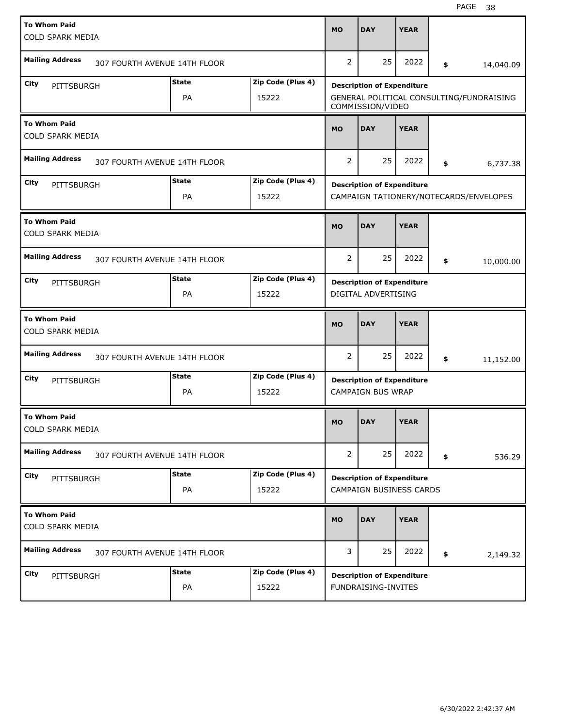| <b>To Whom Paid</b>                            |                              |              |                   |                |                                   |             |                                          |
|------------------------------------------------|------------------------------|--------------|-------------------|----------------|-----------------------------------|-------------|------------------------------------------|
| <b>COLD SPARK MEDIA</b>                        |                              |              |                   | <b>MO</b>      | <b>DAY</b>                        | <b>YEAR</b> |                                          |
|                                                |                              |              |                   |                |                                   |             |                                          |
| <b>Mailing Address</b>                         | 307 FOURTH AVENUE 14TH FLOOR |              |                   | $\overline{2}$ | 25                                | 2022        | \$<br>14,040.09                          |
| City<br>PITTSBURGH                             |                              | <b>State</b> | Zip Code (Plus 4) |                | <b>Description of Expenditure</b> |             |                                          |
|                                                |                              | PA           | 15222             |                | COMMISSION/VIDEO                  |             | GENERAL POLITICAL CONSULTING/FUNDRAISING |
| <b>To Whom Paid</b>                            |                              |              |                   | <b>MO</b>      | <b>DAY</b>                        | <b>YEAR</b> |                                          |
| COLD SPARK MEDIA                               |                              |              |                   |                |                                   |             |                                          |
| <b>Mailing Address</b>                         | 307 FOURTH AVENUE 14TH FLOOR |              |                   | $\overline{2}$ | 25                                | 2022        | \$<br>6,737.38                           |
| City<br>PITTSBURGH                             |                              | <b>State</b> | Zip Code (Plus 4) |                | <b>Description of Expenditure</b> |             |                                          |
|                                                |                              | PA           | 15222             |                |                                   |             | CAMPAIGN TATIONERY/NOTECARDS/ENVELOPES   |
| <b>To Whom Paid</b>                            |                              |              |                   | <b>MO</b>      | <b>DAY</b>                        | <b>YEAR</b> |                                          |
| <b>COLD SPARK MEDIA</b>                        |                              |              |                   |                |                                   |             |                                          |
| <b>Mailing Address</b>                         | 307 FOURTH AVENUE 14TH FLOOR |              |                   | $\overline{2}$ | 25                                | 2022        | \$<br>10,000.00                          |
| City<br>PITTSBURGH                             |                              | <b>State</b> | Zip Code (Plus 4) |                | <b>Description of Expenditure</b> |             |                                          |
|                                                |                              | PA           | 15222             |                | DIGITAL ADVERTISING               |             |                                          |
|                                                |                              |              |                   |                |                                   |             |                                          |
| <b>To Whom Paid</b>                            |                              |              |                   |                |                                   |             |                                          |
| <b>COLD SPARK MEDIA</b>                        |                              |              |                   | <b>MO</b>      | <b>DAY</b>                        | <b>YEAR</b> |                                          |
| <b>Mailing Address</b>                         | 307 FOURTH AVENUE 14TH FLOOR |              |                   | $\overline{2}$ | 25                                | 2022        | \$<br>11,152.00                          |
| City<br>PITTSBURGH                             |                              | <b>State</b> | Zip Code (Plus 4) |                | <b>Description of Expenditure</b> |             |                                          |
|                                                |                              | PA           | 15222             |                | <b>CAMPAIGN BUS WRAP</b>          |             |                                          |
| <b>To Whom Paid</b>                            |                              |              |                   |                |                                   |             |                                          |
| COLD SPARK MEDIA                               |                              |              |                   | <b>MO</b>      | <b>DAY</b>                        | <b>YEAR</b> |                                          |
| <b>Mailing Address</b>                         | 307 FOURTH AVENUE 14TH FLOOR |              |                   | $\overline{2}$ | 25                                | 2022        | \$<br>536.29                             |
| City<br>PITTSBURGH                             |                              | <b>State</b> | Zip Code (Plus 4) |                | <b>Description of Expenditure</b> |             |                                          |
|                                                |                              | PA           | 15222             |                | CAMPAIGN BUSINESS CARDS           |             |                                          |
|                                                |                              |              |                   |                |                                   |             |                                          |
| <b>To Whom Paid</b><br><b>COLD SPARK MEDIA</b> |                              |              |                   | <b>MO</b>      | <b>DAY</b>                        | <b>YEAR</b> |                                          |
| <b>Mailing Address</b>                         | 307 FOURTH AVENUE 14TH FLOOR |              |                   | 3              | 25                                | 2022        | \$<br>2,149.32                           |
| City<br>PITTSBURGH                             |                              | <b>State</b> | Zip Code (Plus 4) |                | <b>Description of Expenditure</b> |             |                                          |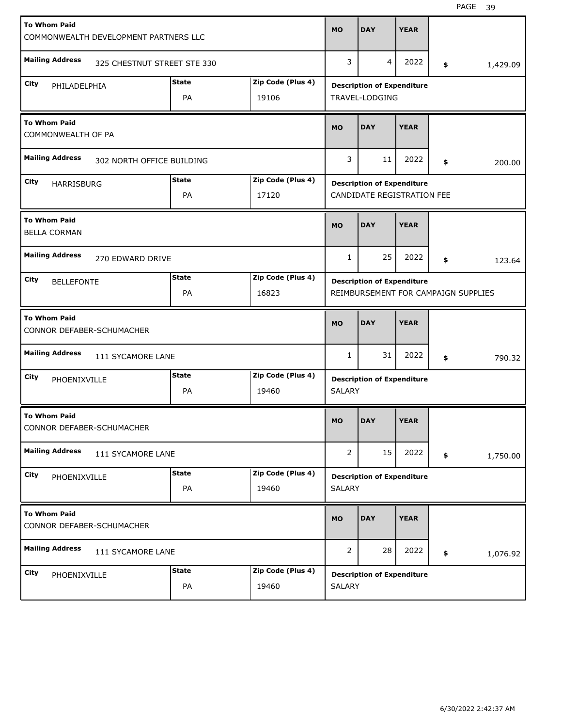| <b>To Whom Paid</b>                                   |              |                   |                |                                   |             |                                     |
|-------------------------------------------------------|--------------|-------------------|----------------|-----------------------------------|-------------|-------------------------------------|
| COMMONWEALTH DEVELOPMENT PARTNERS LLC                 |              |                   | <b>MO</b>      | <b>DAY</b>                        | <b>YEAR</b> |                                     |
|                                                       |              |                   |                |                                   |             |                                     |
| <b>Mailing Address</b><br>325 CHESTNUT STREET STE 330 |              |                   | 3              | 4                                 | 2022        | \$<br>1,429.09                      |
| City<br>PHILADELPHIA                                  | <b>State</b> | Zip Code (Plus 4) |                | <b>Description of Expenditure</b> |             |                                     |
|                                                       | PA           | 19106             |                | TRAVEL-LODGING                    |             |                                     |
| <b>To Whom Paid</b>                                   |              |                   | <b>MO</b>      | <b>DAY</b>                        | <b>YEAR</b> |                                     |
| COMMONWEALTH OF PA                                    |              |                   |                |                                   |             |                                     |
| <b>Mailing Address</b><br>302 NORTH OFFICE BUILDING   |              |                   | 3              | 11                                | 2022        | \$<br>200.00                        |
| City<br><b>HARRISBURG</b>                             | <b>State</b> | Zip Code (Plus 4) |                | <b>Description of Expenditure</b> |             |                                     |
|                                                       | PA           | 17120             |                | CANDIDATE REGISTRATION FEE        |             |                                     |
| <b>To Whom Paid</b>                                   |              |                   | <b>MO</b>      | <b>DAY</b>                        | <b>YEAR</b> |                                     |
| <b>BELLA CORMAN</b>                                   |              |                   |                |                                   |             |                                     |
| <b>Mailing Address</b><br>270 EDWARD DRIVE            |              |                   | 1              | 25                                | 2022        | \$<br>123.64                        |
| City<br><b>BELLEFONTE</b>                             | <b>State</b> | Zip Code (Plus 4) |                | <b>Description of Expenditure</b> |             |                                     |
|                                                       | PA           | 16823             |                |                                   |             | REIMBURSEMENT FOR CAMPAIGN SUPPLIES |
|                                                       |              |                   |                |                                   |             |                                     |
| <b>To Whom Paid</b><br>CONNOR DEFABER-SCHUMACHER      |              |                   | <b>MO</b>      | <b>DAY</b>                        | <b>YEAR</b> |                                     |
| <b>Mailing Address</b><br>111 SYCAMORE LANE           |              |                   | 1              | 31                                | 2022        | \$<br>790.32                        |
| City<br>PHOENIXVILLE                                  | <b>State</b> | Zip Code (Plus 4) |                | <b>Description of Expenditure</b> |             |                                     |
|                                                       | PA           | 19460             | <b>SALARY</b>  |                                   |             |                                     |
| <b>To Whom Paid</b>                                   |              |                   | <b>MO</b>      | <b>DAY</b>                        | <b>YEAR</b> |                                     |
| CONNOR DEFABER-SCHUMACHER                             |              |                   |                |                                   |             |                                     |
| <b>Mailing Address</b><br>111 SYCAMORE LANE           |              |                   | $\overline{2}$ | 15                                | 2022        | \$<br>1,750.00                      |
| City<br>PHOENIXVILLE                                  | <b>State</b> | Zip Code (Plus 4) |                | <b>Description of Expenditure</b> |             |                                     |
|                                                       | PA           | 19460             | SALARY         |                                   |             |                                     |
| <b>To Whom Paid</b><br>CONNOR DEFABER-SCHUMACHER      |              |                   | <b>MO</b>      | <b>DAY</b>                        | <b>YEAR</b> |                                     |
| <b>Mailing Address</b><br>111 SYCAMORE LANE           |              |                   | $\overline{2}$ | 28                                | 2022        | \$<br>1,076.92                      |
| City<br>PHOENIXVILLE                                  | <b>State</b> | Zip Code (Plus 4) |                | <b>Description of Expenditure</b> |             |                                     |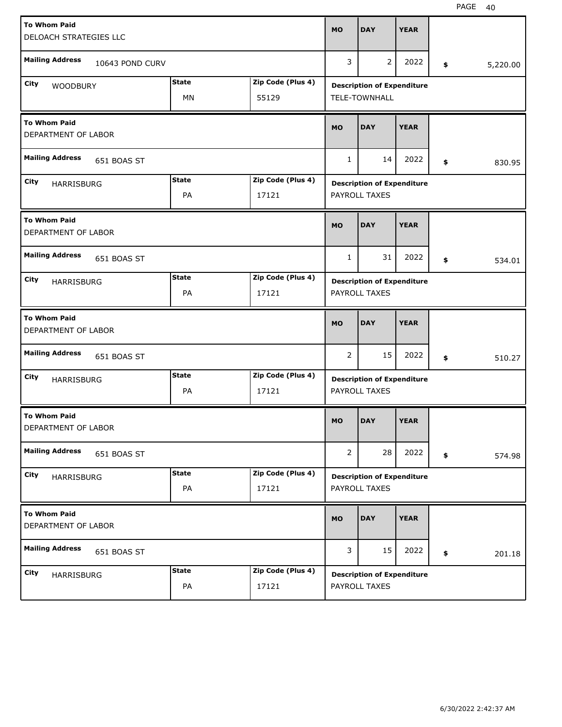| <b>To Whom Paid</b>                        |                 |              |                   | <b>MO</b>      | <b>DAY</b>                                         | <b>YEAR</b> |                |
|--------------------------------------------|-----------------|--------------|-------------------|----------------|----------------------------------------------------|-------------|----------------|
| DELOACH STRATEGIES LLC                     |                 |              |                   |                |                                                    |             |                |
| <b>Mailing Address</b>                     | 10643 POND CURV |              |                   | 3              | $\overline{2}$                                     | 2022        | \$<br>5,220.00 |
| City                                       |                 | <b>State</b> | Zip Code (Plus 4) |                | <b>Description of Expenditure</b>                  |             |                |
| <b>WOODBURY</b>                            |                 | MN           | 55129             |                | TELE-TOWNHALL                                      |             |                |
|                                            |                 |              |                   |                |                                                    |             |                |
| <b>To Whom Paid</b><br>DEPARTMENT OF LABOR |                 |              |                   | <b>MO</b>      | <b>DAY</b>                                         | <b>YEAR</b> |                |
| <b>Mailing Address</b>                     | 651 BOAS ST     |              |                   | $\mathbf{1}$   | 14                                                 | 2022        | \$<br>830.95   |
| City<br><b>HARRISBURG</b>                  |                 | <b>State</b> | Zip Code (Plus 4) |                | <b>Description of Expenditure</b>                  |             |                |
|                                            |                 | PA           | 17121             |                | PAYROLL TAXES                                      |             |                |
|                                            |                 |              |                   |                |                                                    |             |                |
| <b>To Whom Paid</b><br>DEPARTMENT OF LABOR |                 |              |                   | <b>MO</b>      | <b>DAY</b>                                         | <b>YEAR</b> |                |
| <b>Mailing Address</b>                     | 651 BOAS ST     |              |                   | 1              | 31                                                 | 2022        | \$<br>534.01   |
| City<br><b>HARRISBURG</b>                  |                 | <b>State</b> | Zip Code (Plus 4) |                | <b>Description of Expenditure</b>                  |             |                |
|                                            |                 | PA           | 17121             |                | PAYROLL TAXES                                      |             |                |
|                                            |                 |              |                   |                |                                                    |             |                |
|                                            |                 |              |                   |                |                                                    |             |                |
| <b>To Whom Paid</b><br>DEPARTMENT OF LABOR |                 |              |                   | <b>MO</b>      | <b>DAY</b>                                         | <b>YEAR</b> |                |
| <b>Mailing Address</b>                     | 651 BOAS ST     |              |                   | 2              | 15                                                 | 2022        | \$<br>510.27   |
| City                                       |                 | <b>State</b> | Zip Code (Plus 4) |                |                                                    |             |                |
| <b>HARRISBURG</b>                          |                 | PA           | 17121             |                | <b>Description of Expenditure</b><br>PAYROLL TAXES |             |                |
|                                            |                 |              |                   |                |                                                    |             |                |
| <b>To Whom Paid</b><br>DEPARTMENT OF LABOR |                 |              |                   | <b>MO</b>      | <b>DAY</b>                                         | <b>YEAR</b> |                |
| <b>Mailing Address</b>                     | 651 BOAS ST     |              |                   | $\overline{2}$ | 28                                                 | 2022        | \$<br>574.98   |
|                                            |                 | <b>State</b> | Zip Code (Plus 4) |                |                                                    |             |                |
| City<br>HARRISBURG                         |                 | PA           | 17121             |                | <b>Description of Expenditure</b><br>PAYROLL TAXES |             |                |
| <b>To Whom Paid</b><br>DEPARTMENT OF LABOR |                 |              |                   | <b>MO</b>      | <b>DAY</b>                                         | <b>YEAR</b> |                |
| <b>Mailing Address</b>                     | 651 BOAS ST     |              |                   | 3              | 15                                                 | 2022        | \$<br>201.18   |
| City<br>HARRISBURG                         |                 | <b>State</b> | Zip Code (Plus 4) |                | <b>Description of Expenditure</b>                  |             |                |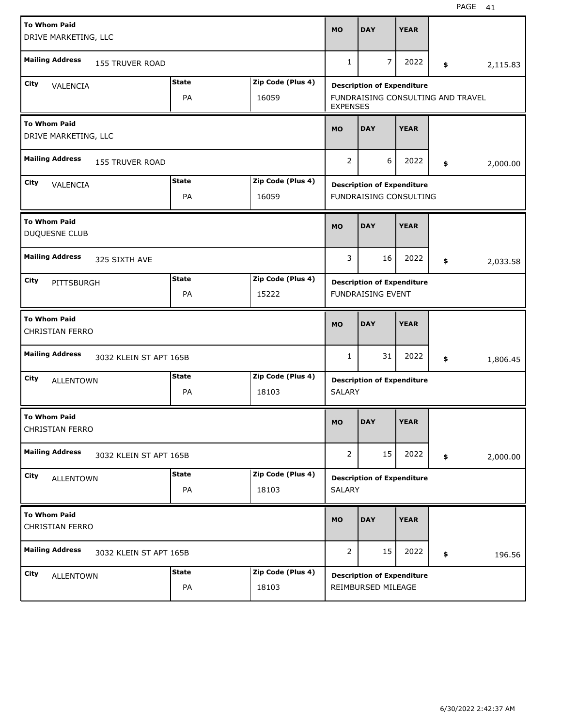| <b>To Whom Paid</b><br>DRIVE MARKETING, LLC   |                        |              |                   | <b>MO</b>             | <b>DAY</b>                        | <b>YEAR</b> |    |          |
|-----------------------------------------------|------------------------|--------------|-------------------|-----------------------|-----------------------------------|-------------|----|----------|
| <b>Mailing Address</b>                        | <b>155 TRUVER ROAD</b> |              |                   | $\mathbf{1}$          | 7                                 | 2022        | \$ | 2,115.83 |
| City<br>VALENCIA                              |                        | <b>State</b> | Zip Code (Plus 4) |                       | <b>Description of Expenditure</b> |             |    |          |
|                                               |                        | PA           | 16059             | <b>EXPENSES</b>       | FUNDRAISING CONSULTING AND TRAVEL |             |    |          |
| <b>To Whom Paid</b><br>DRIVE MARKETING, LLC   |                        |              |                   | <b>MO</b>             | <b>DAY</b>                        | <b>YEAR</b> |    |          |
| <b>Mailing Address</b>                        | <b>155 TRUVER ROAD</b> |              |                   | $\overline{2}$        | 6                                 | 2022        | \$ | 2,000.00 |
| City<br>VALENCIA                              |                        | <b>State</b> | Zip Code (Plus 4) |                       | <b>Description of Expenditure</b> |             |    |          |
|                                               |                        | PA           | 16059             |                       | <b>FUNDRAISING CONSULTING</b>     |             |    |          |
| <b>To Whom Paid</b><br>DUQUESNE CLUB          |                        |              |                   | <b>MO</b>             | <b>DAY</b>                        | <b>YEAR</b> |    |          |
| <b>Mailing Address</b>                        | 325 SIXTH AVE          |              |                   | 3                     | 16                                | 2022        | \$ | 2,033.58 |
| City<br>PITTSBURGH                            |                        | <b>State</b> | Zip Code (Plus 4) |                       | <b>Description of Expenditure</b> |             |    |          |
|                                               |                        | PA           | 15222             |                       | <b>FUNDRAISING EVENT</b>          |             |    |          |
|                                               |                        |              |                   |                       |                                   |             |    |          |
| <b>To Whom Paid</b><br><b>CHRISTIAN FERRO</b> |                        |              |                   | <b>MO</b>             | <b>DAY</b>                        | <b>YEAR</b> |    |          |
| <b>Mailing Address</b>                        | 3032 KLEIN ST APT 165B |              |                   | 1                     | 31                                | 2022        | \$ | 1,806.45 |
| City                                          |                        | <b>State</b> | Zip Code (Plus 4) |                       |                                   |             |    |          |
| <b>ALLENTOWN</b>                              |                        | PA           | 18103             | <b>SALARY</b>         | <b>Description of Expenditure</b> |             |    |          |
| <b>To Whom Paid</b><br>CHRISTIAN FERRO        |                        |              |                   | MO                    | <b>DAY</b>                        | <b>YEAR</b> |    |          |
| <b>Mailing Address</b>                        | 3032 KLEIN ST APT 165B |              |                   | $\mathbf{2}^{\prime}$ | 15                                | 2022        | \$ | 2,000.00 |
| City                                          |                        | <b>State</b> | Zip Code (Plus 4) |                       |                                   |             |    |          |
| <b>ALLENTOWN</b>                              |                        | PA           | 18103             | <b>SALARY</b>         | <b>Description of Expenditure</b> |             |    |          |
| <b>To Whom Paid</b><br><b>CHRISTIAN FERRO</b> |                        |              |                   | <b>MO</b>             | <b>DAY</b>                        | <b>YEAR</b> |    |          |
| <b>Mailing Address</b>                        | 3032 KLEIN ST APT 165B |              |                   | $\overline{2}$        | 15                                | 2022        | \$ | 196.56   |
| City<br><b>ALLENTOWN</b>                      |                        | <b>State</b> | Zip Code (Plus 4) |                       | <b>Description of Expenditure</b> |             |    |          |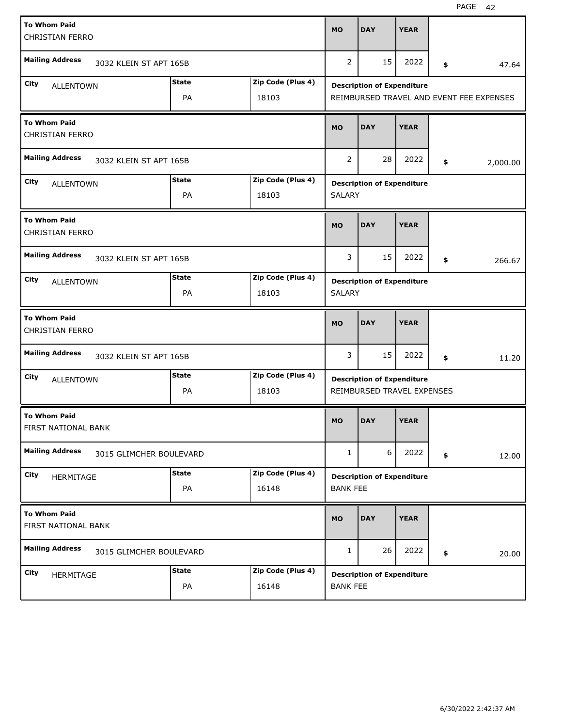| <b>To Whom Paid</b>                           |                         |              |                   | <b>MO</b>       | <b>DAY</b>                                                      | <b>YEAR</b> |                                          |
|-----------------------------------------------|-------------------------|--------------|-------------------|-----------------|-----------------------------------------------------------------|-------------|------------------------------------------|
| <b>CHRISTIAN FERRO</b>                        |                         |              |                   |                 |                                                                 |             |                                          |
| <b>Mailing Address</b>                        | 3032 KLEIN ST APT 165B  |              |                   | $\overline{2}$  | 15                                                              | 2022        | \$<br>47.64                              |
| City<br><b>ALLENTOWN</b>                      |                         | <b>State</b> | Zip Code (Plus 4) |                 | <b>Description of Expenditure</b>                               |             |                                          |
|                                               |                         | PA           | 18103             |                 |                                                                 |             | REIMBURSED TRAVEL AND EVENT FEE EXPENSES |
| <b>To Whom Paid</b><br><b>CHRISTIAN FERRO</b> |                         |              |                   | <b>MO</b>       | <b>DAY</b>                                                      | <b>YEAR</b> |                                          |
| <b>Mailing Address</b>                        | 3032 KLEIN ST APT 165B  |              |                   | $\overline{2}$  | 28                                                              | 2022        | \$<br>2,000.00                           |
| City<br><b>ALLENTOWN</b>                      |                         | <b>State</b> | Zip Code (Plus 4) |                 | <b>Description of Expenditure</b>                               |             |                                          |
|                                               |                         | PA           | 18103             | <b>SALARY</b>   |                                                                 |             |                                          |
| <b>To Whom Paid</b><br><b>CHRISTIAN FERRO</b> |                         |              |                   | <b>MO</b>       | <b>DAY</b>                                                      | <b>YEAR</b> |                                          |
| <b>Mailing Address</b>                        | 3032 KLEIN ST APT 165B  |              |                   | 3               | 15                                                              | 2022        | \$<br>266.67                             |
| City<br><b>ALLENTOWN</b>                      |                         | <b>State</b> | Zip Code (Plus 4) |                 | <b>Description of Expenditure</b>                               |             |                                          |
|                                               |                         | PA           | 18103             | <b>SALARY</b>   |                                                                 |             |                                          |
|                                               |                         |              |                   |                 |                                                                 |             |                                          |
| <b>To Whom Paid</b><br><b>CHRISTIAN FERRO</b> |                         |              |                   | <b>MO</b>       | <b>DAY</b>                                                      | <b>YEAR</b> |                                          |
| <b>Mailing Address</b>                        | 3032 KLEIN ST APT 165B  |              |                   | 3               | 15                                                              | 2022        | \$<br>11.20                              |
| City                                          |                         | <b>State</b> | Zip Code (Plus 4) |                 |                                                                 |             |                                          |
| <b>ALLENTOWN</b>                              |                         | PA           | 18103             |                 | <b>Description of Expenditure</b><br>REIMBURSED TRAVEL EXPENSES |             |                                          |
| <b>To Whom Paid</b><br>FIRST NATIONAL BANK    |                         |              |                   | <b>MO</b>       | <b>DAY</b>                                                      | <b>YEAR</b> |                                          |
| <b>Mailing Address</b>                        | 3015 GLIMCHER BOULEVARD |              |                   | $\mathbf{1}$    | 6                                                               | 2022        | \$<br>12.00                              |
| City                                          |                         | <b>State</b> | Zip Code (Plus 4) |                 |                                                                 |             |                                          |
| HERMITAGE                                     |                         | PA           | 16148             | <b>BANK FEE</b> | <b>Description of Expenditure</b>                               |             |                                          |
| <b>To Whom Paid</b><br>FIRST NATIONAL BANK    |                         |              |                   | <b>MO</b>       | <b>DAY</b>                                                      | <b>YEAR</b> |                                          |
| <b>Mailing Address</b>                        | 3015 GLIMCHER BOULEVARD |              |                   | $\mathbf{1}$    | 26                                                              | 2022        | \$<br>20.00                              |
| City<br>HERMITAGE                             |                         | <b>State</b> | Zip Code (Plus 4) |                 | <b>Description of Expenditure</b>                               |             |                                          |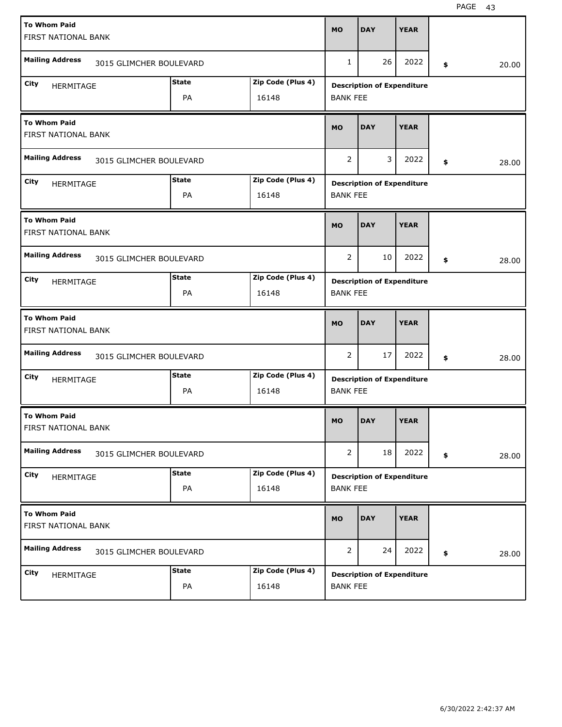| <b>To Whom Paid</b><br>FIRST NATIONAL BANK |                         |              |                   | <b>MO</b>       | <b>DAY</b>                        | <b>YEAR</b> |    |       |
|--------------------------------------------|-------------------------|--------------|-------------------|-----------------|-----------------------------------|-------------|----|-------|
| <b>Mailing Address</b>                     | 3015 GLIMCHER BOULEVARD |              |                   | 1               | 26                                | 2022        | \$ | 20.00 |
| City<br>HERMITAGE                          |                         | <b>State</b> | Zip Code (Plus 4) |                 | <b>Description of Expenditure</b> |             |    |       |
|                                            |                         | PA           | 16148             | <b>BANK FEE</b> |                                   |             |    |       |
| <b>To Whom Paid</b><br>FIRST NATIONAL BANK |                         |              |                   | <b>MO</b>       | <b>DAY</b>                        | <b>YEAR</b> |    |       |
| <b>Mailing Address</b>                     | 3015 GLIMCHER BOULEVARD |              |                   | 2               | 3                                 | 2022        | \$ | 28.00 |
| City<br><b>HERMITAGE</b>                   |                         | <b>State</b> | Zip Code (Plus 4) |                 | <b>Description of Expenditure</b> |             |    |       |
|                                            |                         | PA           | 16148             | <b>BANK FEE</b> |                                   |             |    |       |
| <b>To Whom Paid</b><br>FIRST NATIONAL BANK |                         |              |                   | <b>MO</b>       | <b>DAY</b>                        | <b>YEAR</b> |    |       |
| <b>Mailing Address</b>                     | 3015 GLIMCHER BOULEVARD |              |                   | 2               | 10                                | 2022        | \$ | 28.00 |
| City<br><b>HERMITAGE</b>                   |                         | <b>State</b> | Zip Code (Plus 4) |                 | <b>Description of Expenditure</b> |             |    |       |
|                                            |                         | PA           | 16148             | <b>BANK FEE</b> |                                   |             |    |       |
|                                            |                         |              |                   |                 |                                   |             |    |       |
| <b>To Whom Paid</b><br>FIRST NATIONAL BANK |                         |              |                   | <b>MO</b>       | <b>DAY</b>                        | <b>YEAR</b> |    |       |
| <b>Mailing Address</b>                     | 3015 GLIMCHER BOULEVARD |              |                   | 2               | 17                                | 2022        | \$ | 28.00 |
| City                                       |                         | <b>State</b> | Zip Code (Plus 4) |                 |                                   |             |    |       |
| HERMITAGE                                  |                         | PA           | 16148             | <b>BANK FEE</b> | <b>Description of Expenditure</b> |             |    |       |
| <b>To Whom Paid</b><br>FIRST NATIONAL BANK |                         |              |                   | <b>MO</b>       | DAY                               | <b>YEAR</b> |    |       |
| <b>Mailing Address</b>                     | 3015 GLIMCHER BOULEVARD |              |                   | $\overline{2}$  | 18                                | 2022        | \$ | 28.00 |
| City                                       |                         | <b>State</b> | Zip Code (Plus 4) |                 |                                   |             |    |       |
| HERMITAGE                                  |                         | PA           | 16148             | <b>BANK FEE</b> | <b>Description of Expenditure</b> |             |    |       |
| <b>To Whom Paid</b><br>FIRST NATIONAL BANK |                         |              |                   | <b>MO</b>       | <b>DAY</b>                        | <b>YEAR</b> |    |       |
| <b>Mailing Address</b>                     | 3015 GLIMCHER BOULEVARD |              |                   | 2               | 24                                | 2022        | \$ | 28.00 |
| City<br>HERMITAGE                          |                         | <b>State</b> | Zip Code (Plus 4) |                 | <b>Description of Expenditure</b> |             |    |       |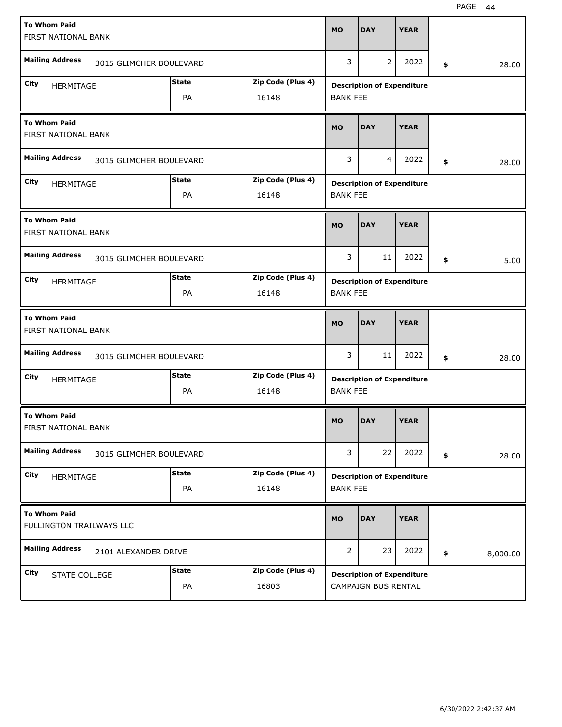| <b>To Whom Paid</b><br>FIRST NATIONAL BANK      |                         |                            | <b>MO</b>       | <b>DAY</b>                        | <b>YEAR</b> |                |
|-------------------------------------------------|-------------------------|----------------------------|-----------------|-----------------------------------|-------------|----------------|
| <b>Mailing Address</b>                          | 3015 GLIMCHER BOULEVARD |                            | 3               | 2                                 | 2022        | \$<br>28.00    |
| City<br>HERMITAGE                               | <b>State</b><br>PA      | Zip Code (Plus 4)<br>16148 | <b>BANK FEE</b> | <b>Description of Expenditure</b> |             |                |
| <b>To Whom Paid</b><br>FIRST NATIONAL BANK      |                         |                            | <b>MO</b>       | <b>DAY</b>                        | <b>YEAR</b> |                |
| <b>Mailing Address</b>                          | 3015 GLIMCHER BOULEVARD |                            | 3               | $\overline{4}$                    | 2022        | \$<br>28.00    |
| City<br>HERMITAGE                               | <b>State</b><br>PA      | Zip Code (Plus 4)<br>16148 | <b>BANK FEE</b> | <b>Description of Expenditure</b> |             |                |
| <b>To Whom Paid</b><br>FIRST NATIONAL BANK      |                         |                            | <b>MO</b>       | <b>DAY</b>                        | <b>YEAR</b> |                |
| <b>Mailing Address</b>                          | 3015 GLIMCHER BOULEVARD |                            | 3               | 11                                | 2022        | \$<br>5.00     |
| City<br>HERMITAGE                               | <b>State</b><br>PA      | Zip Code (Plus 4)<br>16148 | <b>BANK FEE</b> | <b>Description of Expenditure</b> |             |                |
|                                                 |                         |                            |                 |                                   |             |                |
| <b>To Whom Paid</b><br>FIRST NATIONAL BANK      |                         |                            | <b>MO</b>       | <b>DAY</b>                        | <b>YEAR</b> |                |
| <b>Mailing Address</b>                          | 3015 GLIMCHER BOULEVARD |                            | 3               | 11                                | 2022        | \$<br>28.00    |
| City<br><b>HERMITAGE</b>                        | <b>State</b><br>PA      | Zip Code (Plus 4)<br>16148 | <b>BANK FEE</b> | <b>Description of Expenditure</b> |             |                |
| <b>To Whom Paid</b><br>FIRST NATIONAL BANK      |                         |                            | <b>MO</b>       | <b>DAY</b>                        | <b>YEAR</b> |                |
| <b>Mailing Address</b>                          | 3015 GLIMCHER BOULEVARD |                            | 3               | 22                                | 2022        | \$<br>28.00    |
| City<br>HERMITAGE                               | <b>State</b><br>PA      | Zip Code (Plus 4)<br>16148 | <b>BANK FEE</b> | <b>Description of Expenditure</b> |             |                |
| <b>To Whom Paid</b><br>FULLINGTON TRAILWAYS LLC |                         |                            | <b>MO</b>       | <b>DAY</b>                        | <b>YEAR</b> |                |
| <b>Mailing Address</b>                          | 2101 ALEXANDER DRIVE    |                            | $\overline{2}$  | 23                                | 2022        | \$<br>8,000.00 |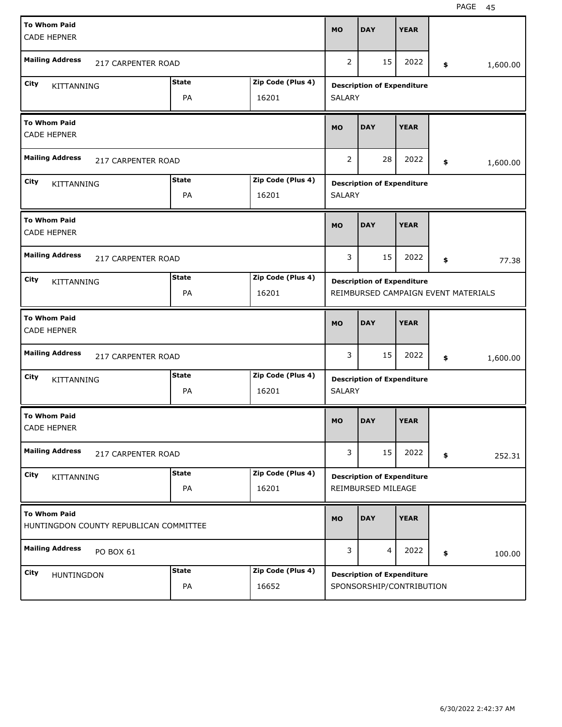| <b>To Whom Paid</b><br><b>CADE HEPNER</b>                     |              |                   | <b>MO</b>      | <b>DAY</b>                        | <b>YEAR</b> |                                     |
|---------------------------------------------------------------|--------------|-------------------|----------------|-----------------------------------|-------------|-------------------------------------|
| <b>Mailing Address</b><br><b>217 CARPENTER ROAD</b>           |              |                   | $\overline{2}$ | 15                                | 2022        | \$<br>1,600.00                      |
| City<br>KITTANNING                                            | <b>State</b> | Zip Code (Plus 4) |                | <b>Description of Expenditure</b> |             |                                     |
|                                                               | PA           | 16201             | <b>SALARY</b>  |                                   |             |                                     |
| <b>To Whom Paid</b><br><b>CADE HEPNER</b>                     |              |                   | <b>MO</b>      | <b>DAY</b>                        | <b>YEAR</b> |                                     |
| <b>Mailing Address</b><br>217 CARPENTER ROAD                  |              |                   | 2              | 28                                | 2022        | \$<br>1,600.00                      |
| City<br>KITTANNING                                            | <b>State</b> | Zip Code (Plus 4) |                | <b>Description of Expenditure</b> |             |                                     |
|                                                               | PA           | 16201             | <b>SALARY</b>  |                                   |             |                                     |
| <b>To Whom Paid</b><br><b>CADE HEPNER</b>                     |              |                   | <b>MO</b>      | <b>DAY</b>                        | <b>YEAR</b> |                                     |
| <b>Mailing Address</b><br>217 CARPENTER ROAD                  |              |                   | 3              | 15                                | 2022        | \$<br>77.38                         |
| City<br>KITTANNING                                            | <b>State</b> | Zip Code (Plus 4) |                | <b>Description of Expenditure</b> |             |                                     |
|                                                               | PA           | 16201             |                |                                   |             | REIMBURSED CAMPAIGN EVENT MATERIALS |
|                                                               |              |                   |                |                                   |             |                                     |
| <b>To Whom Paid</b><br><b>CADE HEPNER</b>                     |              |                   | <b>MO</b>      | <b>DAY</b>                        | <b>YEAR</b> |                                     |
| <b>Mailing Address</b><br>217 CARPENTER ROAD                  |              |                   | 3              | 15                                | 2022        | \$<br>1,600.00                      |
| City                                                          | <b>State</b> | Zip Code (Plus 4) |                | <b>Description of Expenditure</b> |             |                                     |
| KITTANNING                                                    | PA           | 16201             | <b>SALARY</b>  |                                   |             |                                     |
| <b>To Whom Paid</b><br><b>CADE HEPNER</b>                     |              |                   | <b>MO</b>      | DAY                               | <b>YEAR</b> |                                     |
| <b>Mailing Address</b><br>217 CARPENTER ROAD                  |              |                   | 3              | 15                                | 2022        | \$<br>252.31                        |
| City                                                          | <b>State</b> | Zip Code (Plus 4) |                | <b>Description of Expenditure</b> |             |                                     |
| KITTANNING                                                    | PA           | 16201             |                | REIMBURSED MILEAGE                |             |                                     |
| <b>To Whom Paid</b><br>HUNTINGDON COUNTY REPUBLICAN COMMITTEE |              |                   | <b>MO</b>      | <b>DAY</b>                        | <b>YEAR</b> |                                     |
| <b>Mailing Address</b><br>PO BOX 61                           |              |                   | 3              | 4                                 | 2022        | \$<br>100.00                        |
| City<br>HUNTINGDON                                            | <b>State</b> | Zip Code (Plus 4) |                | <b>Description of Expenditure</b> |             |                                     |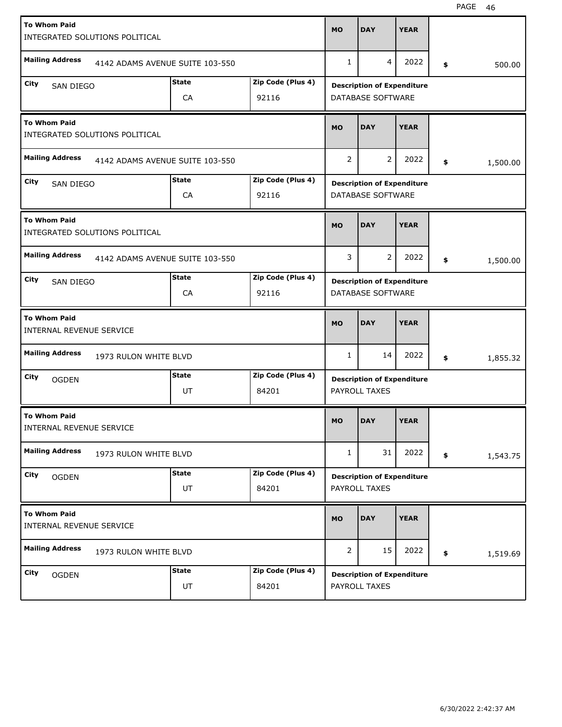| <b>To Whom Paid</b><br>INTEGRATED SOLUTIONS POLITICAL |                       |                                 |                   | <b>MO</b>      | <b>DAY</b>                                             | <b>YEAR</b> |                |        |
|-------------------------------------------------------|-----------------------|---------------------------------|-------------------|----------------|--------------------------------------------------------|-------------|----------------|--------|
| <b>Mailing Address</b>                                |                       | 4142 ADAMS AVENUE SUITE 103-550 |                   | $\mathbf{1}$   | 4                                                      | 2022        | \$             | 500.00 |
| City                                                  |                       | <b>State</b>                    | Zip Code (Plus 4) |                |                                                        |             |                |        |
| <b>SAN DIEGO</b>                                      |                       | CA                              | 92116             |                | <b>Description of Expenditure</b><br>DATABASE SOFTWARE |             |                |        |
| <b>To Whom Paid</b><br>INTEGRATED SOLUTIONS POLITICAL |                       |                                 |                   | <b>MO</b>      | <b>DAY</b>                                             | <b>YEAR</b> |                |        |
| <b>Mailing Address</b>                                |                       | 4142 ADAMS AVENUE SUITE 103-550 |                   | $\overline{2}$ | 2                                                      | 2022        | \$<br>1,500.00 |        |
| City<br>SAN DIEGO                                     |                       | <b>State</b>                    | Zip Code (Plus 4) |                | <b>Description of Expenditure</b>                      |             |                |        |
|                                                       |                       | CA                              | 92116             |                | DATABASE SOFTWARE                                      |             |                |        |
| <b>To Whom Paid</b><br>INTEGRATED SOLUTIONS POLITICAL |                       |                                 |                   | <b>MO</b>      | <b>DAY</b>                                             | <b>YEAR</b> |                |        |
| <b>Mailing Address</b>                                |                       | 4142 ADAMS AVENUE SUITE 103-550 |                   | 3              | 2                                                      | 2022        | \$<br>1,500.00 |        |
| City<br><b>SAN DIEGO</b>                              |                       | <b>State</b>                    | Zip Code (Plus 4) |                | <b>Description of Expenditure</b>                      |             |                |        |
|                                                       |                       | CA                              | 92116             |                | DATABASE SOFTWARE                                      |             |                |        |
|                                                       |                       |                                 |                   |                |                                                        |             |                |        |
| <b>To Whom Paid</b><br>INTERNAL REVENUE SERVICE       |                       |                                 |                   | <b>MO</b>      | <b>DAY</b>                                             | <b>YEAR</b> |                |        |
| <b>Mailing Address</b>                                | 1973 RULON WHITE BLVD |                                 |                   | $\mathbf{1}$   | 14                                                     | 2022        | \$<br>1,855.32 |        |
| City<br><b>OGDEN</b>                                  |                       | <b>State</b>                    | Zip Code (Plus 4) |                | <b>Description of Expenditure</b>                      |             |                |        |
|                                                       |                       | UT                              | 84201             |                | PAYROLL TAXES                                          |             |                |        |
| <b>To Whom Paid</b><br>INTERNAL REVENUE SERVICE       |                       |                                 |                   | <b>MO</b>      | <b>DAY</b>                                             | <b>YEAR</b> |                |        |
| <b>Mailing Address</b>                                | 1973 RULON WHITE BLVD |                                 |                   | $\mathbf{1}$   | 31                                                     | 2022        | \$<br>1,543.75 |        |
| City<br><b>OGDEN</b>                                  |                       | <b>State</b>                    | Zip Code (Plus 4) |                | <b>Description of Expenditure</b>                      |             |                |        |
|                                                       |                       | UT                              | 84201             |                | PAYROLL TAXES                                          |             |                |        |
| <b>To Whom Paid</b><br>INTERNAL REVENUE SERVICE       |                       |                                 |                   | <b>MO</b>      | <b>DAY</b>                                             | <b>YEAR</b> |                |        |
| <b>Mailing Address</b>                                | 1973 RULON WHITE BLVD |                                 |                   | $\overline{2}$ | 15                                                     | 2022        | \$<br>1,519.69 |        |
| City<br><b>OGDEN</b>                                  |                       | <b>State</b>                    | Zip Code (Plus 4) |                | <b>Description of Expenditure</b>                      |             |                |        |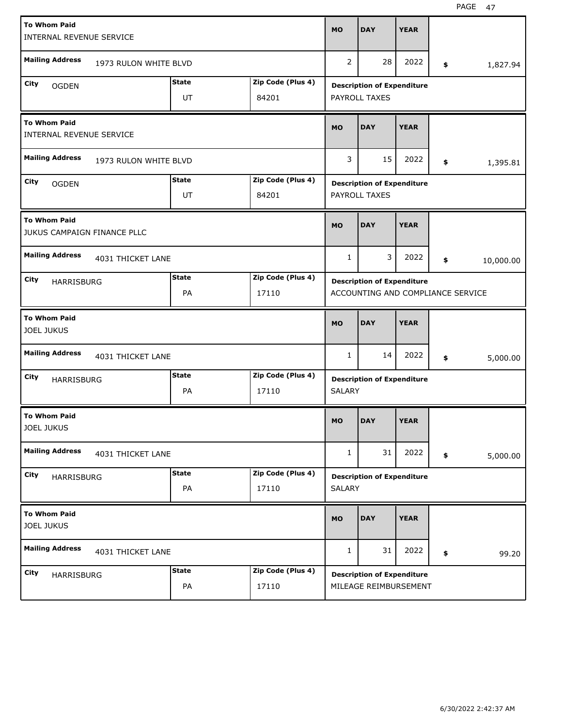| <b>To Whom Paid</b>                      | INTERNAL REVENUE SERVICE    |              |                   | <b>MO</b>     | <b>DAY</b>                        | <b>YEAR</b> |    |           |
|------------------------------------------|-----------------------------|--------------|-------------------|---------------|-----------------------------------|-------------|----|-----------|
| <b>Mailing Address</b>                   | 1973 RULON WHITE BLVD       |              |                   | 2             | 28                                | 2022        | \$ | 1,827.94  |
| City<br><b>OGDEN</b>                     |                             | <b>State</b> | Zip Code (Plus 4) |               | <b>Description of Expenditure</b> |             |    |           |
|                                          |                             | UT           | 84201             |               | PAYROLL TAXES                     |             |    |           |
| <b>To Whom Paid</b>                      | INTERNAL REVENUE SERVICE    |              |                   | <b>MO</b>     | <b>DAY</b>                        | <b>YEAR</b> |    |           |
| <b>Mailing Address</b>                   | 1973 RULON WHITE BLVD       |              |                   | 3             | 15                                | 2022        | \$ | 1,395.81  |
| City<br><b>OGDEN</b>                     |                             | <b>State</b> | Zip Code (Plus 4) |               | <b>Description of Expenditure</b> |             |    |           |
|                                          |                             | UT           | 84201             |               | PAYROLL TAXES                     |             |    |           |
| <b>To Whom Paid</b>                      | JUKUS CAMPAIGN FINANCE PLLC |              |                   | <b>MO</b>     | <b>DAY</b>                        | <b>YEAR</b> |    |           |
| <b>Mailing Address</b>                   | 4031 THICKET LANE           |              |                   | $\mathbf{1}$  | 3                                 | 2022        | \$ | 10,000.00 |
| City                                     | HARRISBURG                  | <b>State</b> | Zip Code (Plus 4) |               | <b>Description of Expenditure</b> |             |    |           |
|                                          |                             | PA           | 17110             |               | ACCOUNTING AND COMPLIANCE SERVICE |             |    |           |
|                                          |                             |              |                   |               |                                   |             |    |           |
| <b>To Whom Paid</b><br><b>JOEL JUKUS</b> |                             |              |                   | <b>MO</b>     | <b>DAY</b>                        | <b>YEAR</b> |    |           |
| <b>Mailing Address</b>                   | 4031 THICKET LANE           |              |                   | 1             | 14                                | 2022        | \$ | 5,000.00  |
| City                                     | <b>HARRISBURG</b>           | <b>State</b> | Zip Code (Plus 4) |               | <b>Description of Expenditure</b> |             |    |           |
|                                          |                             | PA           | 17110             | <b>SALARY</b> |                                   |             |    |           |
| <b>To Whom Paid</b><br><b>JOEL JUKUS</b> |                             |              |                   | <b>MO</b>     | <b>DAY</b>                        | <b>YEAR</b> |    |           |
| <b>Mailing Address</b>                   | 4031 THICKET LANE           |              |                   | 1             | 31                                | 2022        | \$ | 5,000.00  |
| City                                     |                             | <b>State</b> | Zip Code (Plus 4) |               | <b>Description of Expenditure</b> |             |    |           |
|                                          | HARRISBURG                  | PA           | 17110             | SALARY        |                                   |             |    |           |
| <b>To Whom Paid</b><br><b>JOEL JUKUS</b> |                             |              |                   | <b>MO</b>     | <b>DAY</b>                        | <b>YEAR</b> |    |           |
| <b>Mailing Address</b>                   | 4031 THICKET LANE           |              |                   | 1             | 31                                | 2022        | \$ | 99.20     |
| City                                     | HARRISBURG                  | <b>State</b> | Zip Code (Plus 4) |               | <b>Description of Expenditure</b> |             |    |           |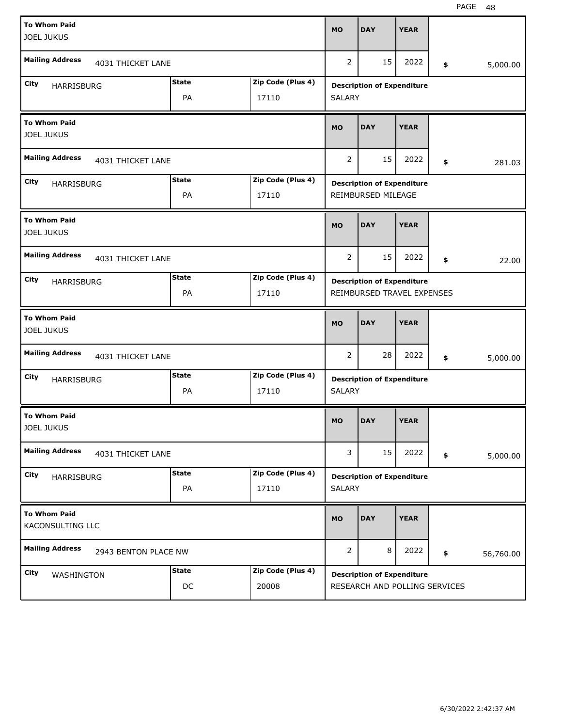| <b>To Whom Paid</b><br><b>JOEL JUKUS</b>    |                      |                            | <b>MO</b>      | <b>DAY</b>                                                      | <b>YEAR</b> |                 |
|---------------------------------------------|----------------------|----------------------------|----------------|-----------------------------------------------------------------|-------------|-----------------|
| <b>Mailing Address</b><br>4031 THICKET LANE |                      |                            | 2              | 15                                                              | 2022        | \$<br>5,000.00  |
| City<br>HARRISBURG                          | <b>State</b><br>PA   | Zip Code (Plus 4)<br>17110 | <b>SALARY</b>  | <b>Description of Expenditure</b>                               |             |                 |
| <b>To Whom Paid</b><br><b>JOEL JUKUS</b>    |                      |                            | <b>MO</b>      | <b>DAY</b>                                                      | <b>YEAR</b> |                 |
| <b>Mailing Address</b><br>4031 THICKET LANE |                      |                            | 2              | 15                                                              | 2022        | \$<br>281.03    |
| City<br>HARRISBURG                          | <b>State</b><br>PA   | Zip Code (Plus 4)<br>17110 |                | <b>Description of Expenditure</b><br>REIMBURSED MILEAGE         |             |                 |
| <b>To Whom Paid</b><br><b>JOEL JUKUS</b>    |                      |                            | <b>MO</b>      | <b>DAY</b>                                                      | <b>YEAR</b> |                 |
| <b>Mailing Address</b><br>4031 THICKET LANE |                      |                            | 2              | 15                                                              | 2022        | \$<br>22.00     |
| City<br>HARRISBURG                          | <b>State</b><br>PA   | Zip Code (Plus 4)<br>17110 |                | <b>Description of Expenditure</b><br>REIMBURSED TRAVEL EXPENSES |             |                 |
|                                             |                      |                            |                |                                                                 |             |                 |
| <b>To Whom Paid</b><br><b>JOEL JUKUS</b>    |                      |                            | <b>MO</b>      | <b>DAY</b>                                                      | <b>YEAR</b> |                 |
| <b>Mailing Address</b><br>4031 THICKET LANE |                      |                            | 2              | 28                                                              | 2022        | \$<br>5,000.00  |
| City<br>HARRISBURG                          | <b>State</b><br>PA   | Zip Code (Plus 4)<br>17110 | <b>SALARY</b>  | <b>Description of Expenditure</b>                               |             |                 |
| <b>To Whom Paid</b><br><b>JOEL JUKUS</b>    |                      |                            | MO             | <b>DAY</b>                                                      | <b>YEAR</b> |                 |
| <b>Mailing Address</b><br>4031 THICKET LANE |                      |                            | 3              | 15                                                              | 2022        | \$<br>5,000.00  |
| City<br>HARRISBURG                          | <b>State</b><br>PA   | Zip Code (Plus 4)<br>17110 | <b>SALARY</b>  | <b>Description of Expenditure</b>                               |             |                 |
| <b>To Whom Paid</b><br>KACONSULTING LLC     |                      |                            | <b>MO</b>      | <b>DAY</b>                                                      | <b>YEAR</b> |                 |
| <b>Mailing Address</b>                      | 2943 BENTON PLACE NW |                            | $\overline{2}$ | 8                                                               | 2022        | \$<br>56,760.00 |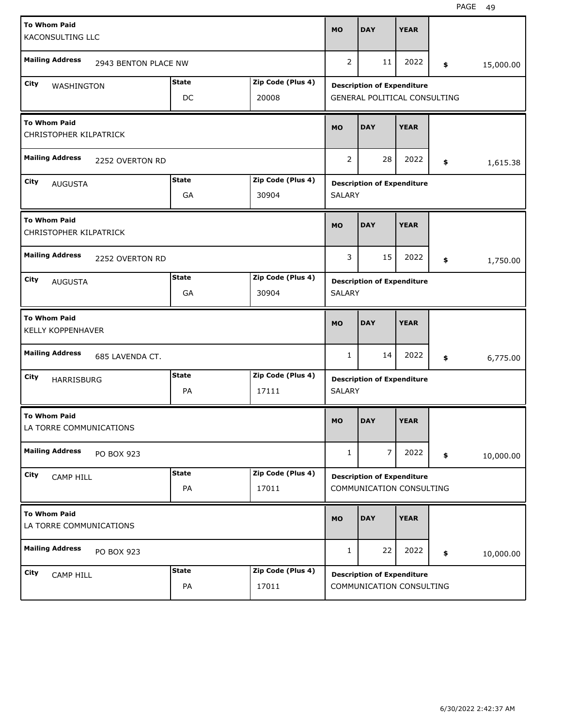|                     | <b>To Whom Paid</b><br><b>KACONSULTING LLC</b> |                      |              |                   | <b>MO</b>      | <b>DAY</b>                                                        | <b>YEAR</b> |                 |
|---------------------|------------------------------------------------|----------------------|--------------|-------------------|----------------|-------------------------------------------------------------------|-------------|-----------------|
|                     | <b>Mailing Address</b>                         | 2943 BENTON PLACE NW |              |                   | $\overline{2}$ | 11                                                                | 2022        | \$<br>15,000.00 |
| City                |                                                |                      | <b>State</b> | Zip Code (Plus 4) |                |                                                                   |             |                 |
|                     | WASHINGTON                                     |                      | DC           | 20008             |                | <b>Description of Expenditure</b><br>GENERAL POLITICAL CONSULTING |             |                 |
|                     | <b>To Whom Paid</b><br>CHRISTOPHER KILPATRICK  |                      |              |                   | <b>MO</b>      | <b>DAY</b>                                                        | <b>YEAR</b> |                 |
|                     | <b>Mailing Address</b>                         | 2252 OVERTON RD      |              |                   | 2              | 28                                                                | 2022        | \$<br>1,615.38  |
| City                | <b>AUGUSTA</b>                                 |                      | <b>State</b> | Zip Code (Plus 4) |                | <b>Description of Expenditure</b>                                 |             |                 |
|                     |                                                |                      | GA           | 30904             | <b>SALARY</b>  |                                                                   |             |                 |
|                     | <b>To Whom Paid</b><br>CHRISTOPHER KILPATRICK  |                      |              |                   | <b>MO</b>      | <b>DAY</b>                                                        | <b>YEAR</b> |                 |
|                     | <b>Mailing Address</b>                         | 2252 OVERTON RD      |              |                   | 3              | 15                                                                | 2022        | \$<br>1,750.00  |
| City                | <b>AUGUSTA</b>                                 |                      | <b>State</b> | Zip Code (Plus 4) |                | <b>Description of Expenditure</b>                                 |             |                 |
|                     |                                                |                      | GA           | 30904             | <b>SALARY</b>  |                                                                   |             |                 |
| <b>To Whom Paid</b> |                                                |                      |              |                   |                |                                                                   |             |                 |
|                     | <b>KELLY KOPPENHAVER</b>                       |                      |              |                   | <b>MO</b>      | <b>DAY</b>                                                        | <b>YEAR</b> |                 |
|                     | <b>Mailing Address</b>                         | 685 LAVENDA CT.      |              |                   | 1              | 14                                                                | 2022        | \$<br>6,775.00  |
| City                |                                                |                      | <b>State</b> | Zip Code (Plus 4) |                |                                                                   |             |                 |
|                     | <b>HARRISBURG</b>                              |                      | PA           | 17111             | <b>SALARY</b>  | <b>Description of Expenditure</b>                                 |             |                 |
|                     | <b>To Whom Paid</b><br>LA TORRE COMMUNICATIONS |                      |              |                   | <b>MO</b>      | <b>DAY</b>                                                        | <b>YEAR</b> |                 |
|                     | <b>Mailing Address</b>                         | PO BOX 923           |              |                   | 1              | $\overline{7}$                                                    | 2022        | \$<br>10,000.00 |
| City                |                                                |                      | <b>State</b> | Zip Code (Plus 4) |                |                                                                   |             |                 |
|                     | CAMP HILL                                      |                      | PA           | 17011             |                | <b>Description of Expenditure</b><br>COMMUNICATION CONSULTING     |             |                 |
|                     | <b>To Whom Paid</b><br>LA TORRE COMMUNICATIONS |                      |              |                   | <b>MO</b>      | <b>DAY</b>                                                        | <b>YEAR</b> |                 |
|                     | <b>Mailing Address</b>                         | PO BOX 923           |              |                   | $\mathbf{1}$   | 22                                                                | 2022        | \$<br>10,000.00 |
| City                | CAMP HILL                                      |                      | <b>State</b> | Zip Code (Plus 4) |                | <b>Description of Expenditure</b>                                 |             |                 |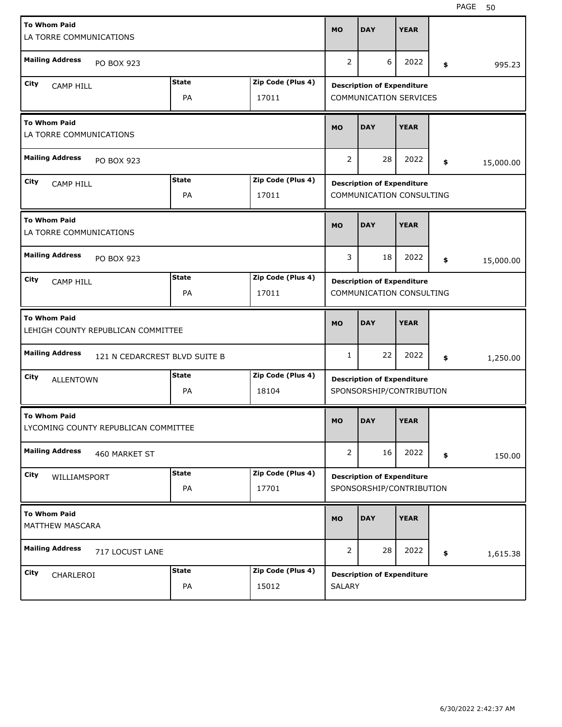| <b>To Whom Paid</b><br>LA TORRE COMMUNICATIONS |                                      |              |                   | <b>MO</b>      | <b>DAY</b>                                                    | <b>YEAR</b> |                 |
|------------------------------------------------|--------------------------------------|--------------|-------------------|----------------|---------------------------------------------------------------|-------------|-----------------|
| <b>Mailing Address</b>                         | PO BOX 923                           |              |                   | 2              | 6                                                             | 2022        | \$<br>995.23    |
| City                                           |                                      | <b>State</b> | Zip Code (Plus 4) |                |                                                               |             |                 |
| <b>CAMP HILL</b>                               |                                      | PA           | 17011             |                | <b>Description of Expenditure</b><br>COMMUNICATION SERVICES   |             |                 |
| <b>To Whom Paid</b><br>LA TORRE COMMUNICATIONS |                                      |              |                   | <b>MO</b>      | <b>DAY</b>                                                    | <b>YEAR</b> |                 |
| <b>Mailing Address</b>                         | PO BOX 923                           |              |                   | $\overline{2}$ | 28                                                            | 2022        | \$<br>15,000.00 |
| City<br><b>CAMP HILL</b>                       |                                      | <b>State</b> | Zip Code (Plus 4) |                | <b>Description of Expenditure</b>                             |             |                 |
|                                                |                                      | PA           | 17011             |                | COMMUNICATION CONSULTING                                      |             |                 |
| <b>To Whom Paid</b><br>LA TORRE COMMUNICATIONS |                                      |              |                   | <b>MO</b>      | <b>DAY</b>                                                    | <b>YEAR</b> |                 |
| <b>Mailing Address</b>                         | PO BOX 923                           |              |                   | 3              | 18                                                            | 2022        | \$<br>15,000.00 |
| City<br><b>CAMP HILL</b>                       |                                      | <b>State</b> | Zip Code (Plus 4) |                | <b>Description of Expenditure</b>                             |             |                 |
|                                                |                                      | PA           | 17011             |                | COMMUNICATION CONSULTING                                      |             |                 |
|                                                |                                      |              |                   |                |                                                               |             |                 |
| <b>To Whom Paid</b>                            | LEHIGH COUNTY REPUBLICAN COMMITTEE   |              |                   | <b>MO</b>      | <b>DAY</b>                                                    | <b>YEAR</b> |                 |
| <b>Mailing Address</b>                         | 121 N CEDARCREST BLVD SUITE B        |              |                   | $\mathbf{1}$   | 22                                                            | 2022        | \$<br>1,250.00  |
| City                                           |                                      | <b>State</b> | Zip Code (Plus 4) |                |                                                               |             |                 |
| <b>ALLENTOWN</b>                               |                                      | PA           | 18104             |                | <b>Description of Expenditure</b><br>SPONSORSHIP/CONTRIBUTION |             |                 |
| <b>To Whom Paid</b>                            | LYCOMING COUNTY REPUBLICAN COMMITTEE |              |                   | <b>MO</b>      | <b>DAY</b>                                                    | <b>YEAR</b> |                 |
| <b>Mailing Address</b>                         | 460 MARKET ST                        |              |                   | 2              | 16                                                            | 2022        | \$<br>150.00    |
| City                                           |                                      | <b>State</b> | Zip Code (Plus 4) |                |                                                               |             |                 |
| WILLIAMSPORT                                   |                                      | PA           | 17701             |                | <b>Description of Expenditure</b><br>SPONSORSHIP/CONTRIBUTION |             |                 |
| <b>To Whom Paid</b><br>MATTHEW MASCARA         |                                      |              |                   | <b>MO</b>      | <b>DAY</b>                                                    | <b>YEAR</b> |                 |
| <b>Mailing Address</b>                         | 717 LOCUST LANE                      |              |                   | $\overline{2}$ | 28                                                            | 2022        | \$<br>1,615.38  |
| City<br>CHARLEROI                              |                                      | <b>State</b> | Zip Code (Plus 4) |                | <b>Description of Expenditure</b>                             |             |                 |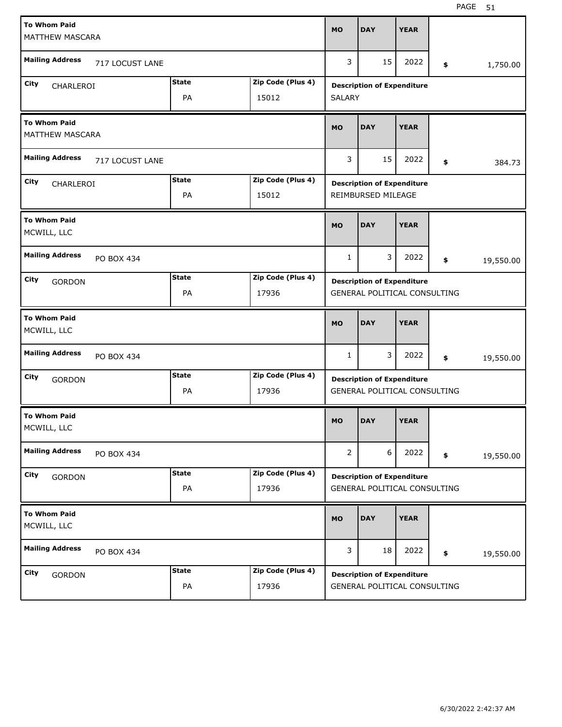| <b>To Whom Paid</b><br><b>MATTHEW MASCARA</b> |                 |                    |                            | <b>MO</b>      | <b>DAY</b>                                                        | <b>YEAR</b> |                 |
|-----------------------------------------------|-----------------|--------------------|----------------------------|----------------|-------------------------------------------------------------------|-------------|-----------------|
| <b>Mailing Address</b>                        | 717 LOCUST LANE |                    |                            | 3              | 15                                                                | 2022        | \$<br>1,750.00  |
| City<br>CHARLEROI                             |                 | <b>State</b><br>PA | Zip Code (Plus 4)<br>15012 | <b>SALARY</b>  | <b>Description of Expenditure</b>                                 |             |                 |
| <b>To Whom Paid</b><br><b>MATTHEW MASCARA</b> |                 |                    |                            | <b>MO</b>      | <b>DAY</b>                                                        | <b>YEAR</b> |                 |
| <b>Mailing Address</b>                        | 717 LOCUST LANE |                    |                            | 3              | 15                                                                | 2022        | \$<br>384.73    |
| City<br>CHARLEROI                             |                 | <b>State</b><br>PA | Zip Code (Plus 4)<br>15012 |                | <b>Description of Expenditure</b><br>REIMBURSED MILEAGE           |             |                 |
| <b>To Whom Paid</b><br>MCWILL, LLC            |                 |                    |                            | <b>MO</b>      | <b>DAY</b>                                                        | <b>YEAR</b> |                 |
| <b>Mailing Address</b>                        | PO BOX 434      |                    |                            | $\mathbf{1}$   | 3                                                                 | 2022        | \$<br>19,550.00 |
| City<br><b>GORDON</b>                         |                 | <b>State</b><br>PA | Zip Code (Plus 4)<br>17936 |                | <b>Description of Expenditure</b><br>GENERAL POLITICAL CONSULTING |             |                 |
|                                               |                 |                    |                            |                |                                                                   |             |                 |
| <b>To Whom Paid</b><br>MCWILL, LLC            |                 |                    |                            | <b>MO</b>      | <b>DAY</b>                                                        | <b>YEAR</b> |                 |
| <b>Mailing Address</b>                        | PO BOX 434      |                    |                            | 1              | 3                                                                 | 2022        | \$<br>19,550.00 |
| City<br><b>GORDON</b>                         |                 | <b>State</b><br>PA | Zip Code (Plus 4)<br>17936 |                | <b>Description of Expenditure</b><br>GENERAL POLITICAL CONSULTING |             |                 |
| <b>To Whom Paid</b><br>MCWILL, LLC            |                 |                    |                            | <b>MO</b>      | <b>DAY</b>                                                        | <b>YEAR</b> |                 |
| <b>Mailing Address</b>                        | PO BOX 434      |                    |                            | $\overline{2}$ | 6                                                                 | 2022        | \$<br>19,550.00 |
| City<br><b>GORDON</b>                         |                 | <b>State</b><br>PA | Zip Code (Plus 4)<br>17936 |                | <b>Description of Expenditure</b><br>GENERAL POLITICAL CONSULTING |             |                 |
| <b>To Whom Paid</b><br>MCWILL, LLC            |                 |                    |                            | <b>MO</b>      | <b>DAY</b>                                                        | <b>YEAR</b> |                 |
| <b>Mailing Address</b>                        | PO BOX 434      |                    |                            | 3              | 18                                                                | 2022        | \$<br>19,550.00 |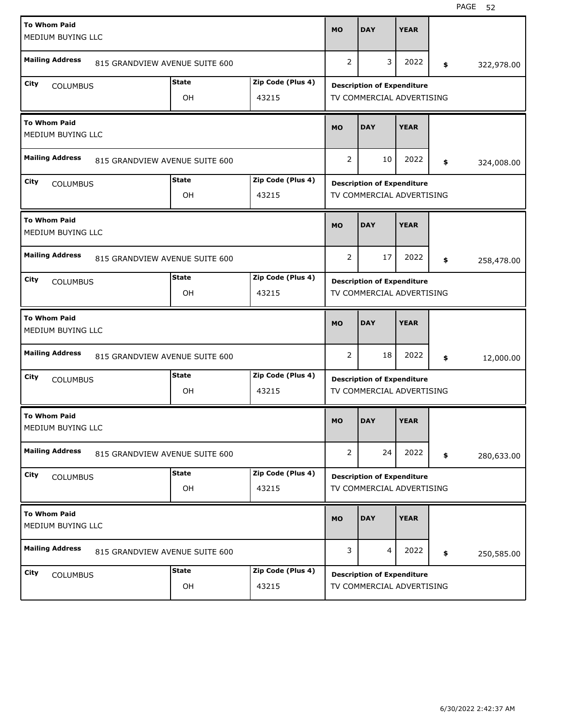| <b>To Whom Paid</b><br>MEDIUM BUYING LLC |                                |                    |                            | <b>MO</b>      | <b>DAY</b>                                                     | <b>YEAR</b> |                  |
|------------------------------------------|--------------------------------|--------------------|----------------------------|----------------|----------------------------------------------------------------|-------------|------------------|
| <b>Mailing Address</b>                   | 815 GRANDVIEW AVENUE SUITE 600 |                    |                            | 2              | 3                                                              | 2022        | \$<br>322,978.00 |
| City<br><b>COLUMBUS</b>                  |                                | <b>State</b><br>OH | Zip Code (Plus 4)<br>43215 |                | <b>Description of Expenditure</b><br>TV COMMERCIAL ADVERTISING |             |                  |
| <b>To Whom Paid</b><br>MEDIUM BUYING LLC |                                |                    |                            | <b>MO</b>      | <b>DAY</b>                                                     | <b>YEAR</b> |                  |
| <b>Mailing Address</b>                   | 815 GRANDVIEW AVENUE SUITE 600 |                    |                            | 2              | 10                                                             | 2022        | \$<br>324,008.00 |
| City<br><b>COLUMBUS</b>                  |                                | <b>State</b><br>OH | Zip Code (Plus 4)<br>43215 |                | <b>Description of Expenditure</b><br>TV COMMERCIAL ADVERTISING |             |                  |
| <b>To Whom Paid</b><br>MEDIUM BUYING LLC |                                |                    |                            | <b>MO</b>      | <b>DAY</b>                                                     | <b>YEAR</b> |                  |
| <b>Mailing Address</b>                   | 815 GRANDVIEW AVENUE SUITE 600 |                    |                            | 2              | 17                                                             | 2022        | \$<br>258,478.00 |
| City<br><b>COLUMBUS</b>                  |                                | <b>State</b><br>OH | Zip Code (Plus 4)<br>43215 |                | <b>Description of Expenditure</b><br>TV COMMERCIAL ADVERTISING |             |                  |
|                                          |                                |                    |                            |                |                                                                |             |                  |
| <b>To Whom Paid</b><br>MEDIUM BUYING LLC |                                |                    |                            | <b>MO</b>      | <b>DAY</b>                                                     | <b>YEAR</b> |                  |
| <b>Mailing Address</b>                   | 815 GRANDVIEW AVENUE SUITE 600 |                    |                            | 2              | 18                                                             | 2022        | \$<br>12,000.00  |
| City<br><b>COLUMBUS</b>                  |                                | <b>State</b><br>OH | Zip Code (Plus 4)<br>43215 |                | <b>Description of Expenditure</b><br>TV COMMERCIAL ADVERTISING |             |                  |
| <b>To Whom Paid</b><br>MEDIUM BUYING LLC |                                |                    |                            | <b>MO</b>      | <b>DAY</b>                                                     | <b>YEAR</b> |                  |
| <b>Mailing Address</b>                   | 815 GRANDVIEW AVENUE SUITE 600 |                    |                            | $\overline{2}$ | 24                                                             | 2022        | \$<br>280,633.00 |
| City<br><b>COLUMBUS</b>                  |                                | <b>State</b><br>OH | Zip Code (Plus 4)<br>43215 |                | <b>Description of Expenditure</b><br>TV COMMERCIAL ADVERTISING |             |                  |
| <b>To Whom Paid</b><br>MEDIUM BUYING LLC |                                |                    |                            | <b>MO</b>      | <b>DAY</b>                                                     | <b>YEAR</b> |                  |
| <b>Mailing Address</b>                   | 815 GRANDVIEW AVENUE SUITE 600 |                    |                            | 3              | 4                                                              | 2022        | \$<br>250,585.00 |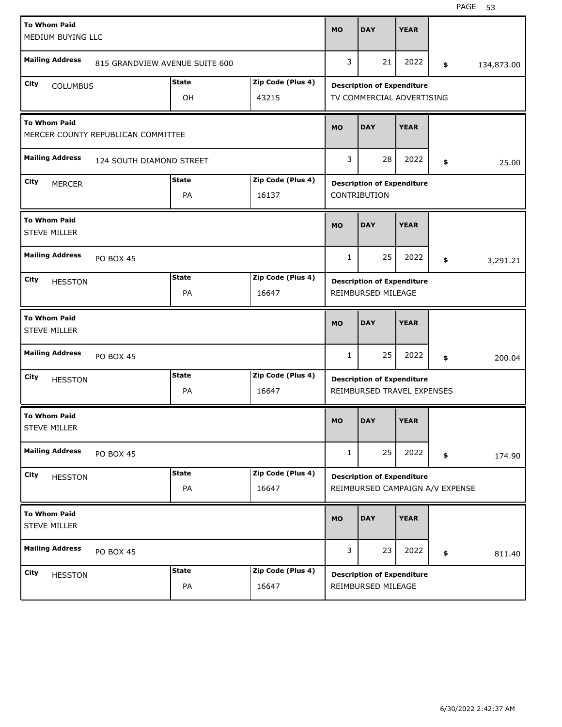| <b>To Whom Paid</b><br>MEDIUM BUYING LLC   |                                    |                    |                            | <b>MO</b>    | <b>DAY</b>                                                           | <b>YEAR</b> |                  |
|--------------------------------------------|------------------------------------|--------------------|----------------------------|--------------|----------------------------------------------------------------------|-------------|------------------|
| <b>Mailing Address</b>                     | 815 GRANDVIEW AVENUE SUITE 600     |                    |                            | 3            | 21                                                                   | 2022        | \$<br>134,873.00 |
| City<br><b>COLUMBUS</b>                    |                                    | <b>State</b><br>OH | Zip Code (Plus 4)<br>43215 |              | <b>Description of Expenditure</b><br>TV COMMERCIAL ADVERTISING       |             |                  |
| <b>To Whom Paid</b>                        | MERCER COUNTY REPUBLICAN COMMITTEE |                    |                            | <b>MO</b>    | <b>DAY</b>                                                           | <b>YEAR</b> |                  |
| <b>Mailing Address</b>                     | 124 SOUTH DIAMOND STREET           |                    |                            | 3            | 28                                                                   | 2022        | \$<br>25.00      |
| City<br><b>MERCER</b>                      |                                    | <b>State</b><br>PA | Zip Code (Plus 4)<br>16137 |              | <b>Description of Expenditure</b><br>CONTRIBUTION                    |             |                  |
| <b>To Whom Paid</b><br><b>STEVE MILLER</b> |                                    |                    |                            | <b>MO</b>    | <b>DAY</b>                                                           | <b>YEAR</b> |                  |
| <b>Mailing Address</b>                     | <b>PO BOX 45</b>                   |                    |                            | $\mathbf{1}$ | 25                                                                   | 2022        | \$<br>3,291.21   |
| City<br><b>HESSTON</b>                     |                                    | <b>State</b><br>PA | Zip Code (Plus 4)<br>16647 |              | <b>Description of Expenditure</b><br>REIMBURSED MILEAGE              |             |                  |
|                                            |                                    |                    |                            |              |                                                                      |             |                  |
| <b>To Whom Paid</b><br><b>STEVE MILLER</b> |                                    |                    |                            | <b>MO</b>    | <b>DAY</b>                                                           | <b>YEAR</b> |                  |
| <b>Mailing Address</b>                     | <b>PO BOX 45</b>                   |                    |                            | $\mathbf{1}$ | 25                                                                   | 2022        | \$<br>200.04     |
| City<br><b>HESSTON</b>                     |                                    | <b>State</b><br>PA | Zip Code (Plus 4)<br>16647 |              | <b>Description of Expenditure</b><br>REIMBURSED TRAVEL EXPENSES      |             |                  |
| <b>To Whom Paid</b><br><b>STEVE MILLER</b> |                                    |                    |                            | <b>MO</b>    | <b>DAY</b>                                                           | <b>YEAR</b> |                  |
| <b>Mailing Address</b>                     | PO BOX 45                          |                    |                            | $\mathbf{1}$ | 25                                                                   | 2022        | \$<br>174.90     |
| City<br><b>HESSTON</b>                     |                                    | <b>State</b><br>PA | Zip Code (Plus 4)<br>16647 |              | <b>Description of Expenditure</b><br>REIMBURSED CAMPAIGN A/V EXPENSE |             |                  |
| <b>To Whom Paid</b><br><b>STEVE MILLER</b> |                                    |                    |                            | <b>MO</b>    | <b>DAY</b>                                                           | <b>YEAR</b> |                  |
| <b>Mailing Address</b>                     | <b>PO BOX 45</b>                   |                    |                            | 3            | 23                                                                   | 2022        | \$<br>811.40     |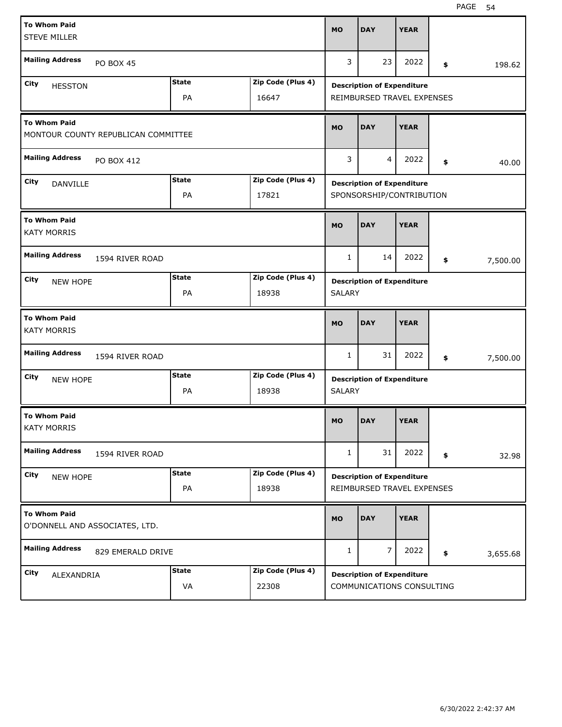| <b>To Whom Paid</b><br><b>STEVE MILLER</b> |                                     |                    |                            | <b>MO</b>     | <b>DAY</b>                                                      | <b>YEAR</b> |     |          |
|--------------------------------------------|-------------------------------------|--------------------|----------------------------|---------------|-----------------------------------------------------------------|-------------|-----|----------|
| <b>Mailing Address</b>                     | <b>PO BOX 45</b>                    |                    |                            | 3             | 23                                                              | 2022        | \$  | 198.62   |
| City<br><b>HESSTON</b>                     |                                     | <b>State</b><br>PA | Zip Code (Plus 4)<br>16647 |               | <b>Description of Expenditure</b><br>REIMBURSED TRAVEL EXPENSES |             |     |          |
| <b>To Whom Paid</b>                        | MONTOUR COUNTY REPUBLICAN COMMITTEE |                    |                            | <b>MO</b>     | <b>DAY</b>                                                      | <b>YEAR</b> |     |          |
| <b>Mailing Address</b>                     | PO BOX 412                          |                    |                            | 3             | $\overline{4}$                                                  | 2022        | \$  | 40.00    |
| City<br>DANVILLE                           |                                     | <b>State</b><br>PA | Zip Code (Plus 4)<br>17821 |               | <b>Description of Expenditure</b><br>SPONSORSHIP/CONTRIBUTION   |             |     |          |
| <b>To Whom Paid</b><br><b>KATY MORRIS</b>  |                                     |                    |                            | <b>MO</b>     | <b>DAY</b>                                                      | <b>YEAR</b> |     |          |
| <b>Mailing Address</b>                     | 1594 RIVER ROAD                     |                    |                            | $\mathbf{1}$  | 14                                                              | 2022        | \$. | 7,500.00 |
| City<br><b>NEW HOPE</b>                    |                                     | <b>State</b><br>PA | Zip Code (Plus 4)<br>18938 | <b>SALARY</b> | <b>Description of Expenditure</b>                               |             |     |          |
|                                            |                                     |                    |                            |               |                                                                 |             |     |          |
| <b>To Whom Paid</b><br><b>KATY MORRIS</b>  |                                     |                    |                            | <b>MO</b>     | <b>DAY</b>                                                      | <b>YEAR</b> |     |          |
| <b>Mailing Address</b>                     | 1594 RIVER ROAD                     |                    |                            | 1             | 31                                                              | 2022        | \$  | 7,500.00 |
| City<br><b>NEW HOPE</b>                    |                                     | <b>State</b><br>PA | Zip Code (Plus 4)<br>18938 | <b>SALARY</b> | <b>Description of Expenditure</b>                               |             |     |          |
| <b>To Whom Paid</b><br><b>KATY MORRIS</b>  |                                     |                    |                            | <b>MO</b>     | <b>DAY</b>                                                      | <b>YEAR</b> |     |          |
| <b>Mailing Address</b>                     | 1594 RIVER ROAD                     |                    |                            | $\mathbf{1}$  | 31                                                              | 2022        | \$  | 32.98    |
| City<br><b>NEW HOPE</b>                    |                                     | <b>State</b><br>PA | Zip Code (Plus 4)<br>18938 |               | <b>Description of Expenditure</b><br>REIMBURSED TRAVEL EXPENSES |             |     |          |
| <b>To Whom Paid</b>                        | O'DONNELL AND ASSOCIATES, LTD.      |                    |                            | <b>MO</b>     | <b>DAY</b>                                                      | <b>YEAR</b> |     |          |
| <b>Mailing Address</b>                     | 829 EMERALD DRIVE                   |                    |                            | 1             | $\overline{7}$                                                  | 2022        | \$  | 3,655.68 |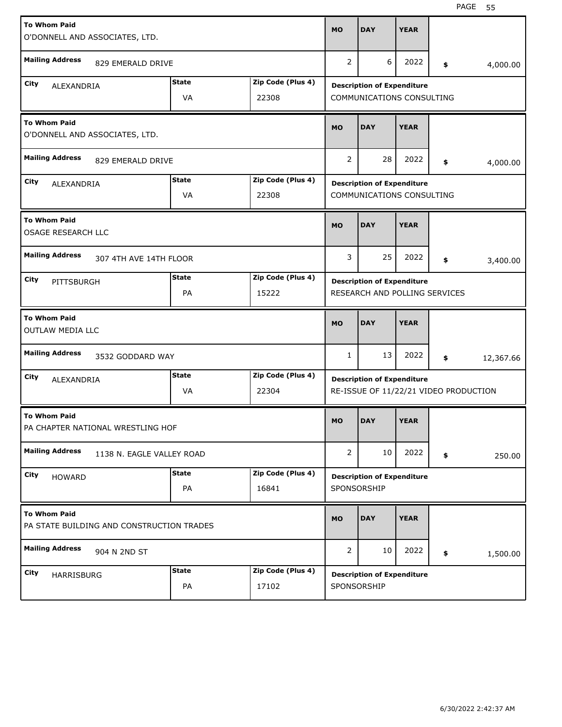| <b>To Whom Paid</b><br>O'DONNELL AND ASSOCIATES, LTD. |                                           |              |                   | <b>MO</b>      | <b>DAY</b>                                                     | <b>YEAR</b> |     |                                       |
|-------------------------------------------------------|-------------------------------------------|--------------|-------------------|----------------|----------------------------------------------------------------|-------------|-----|---------------------------------------|
| <b>Mailing Address</b>                                | 829 EMERALD DRIVE                         |              |                   | $\overline{2}$ | 6                                                              | 2022        | \$  | 4,000.00                              |
| City                                                  |                                           | State        | Zip Code (Plus 4) |                |                                                                |             |     |                                       |
| ALEXANDRIA                                            |                                           | VA           | 22308             |                | <b>Description of Expenditure</b><br>COMMUNICATIONS CONSULTING |             |     |                                       |
| <b>To Whom Paid</b><br>O'DONNELL AND ASSOCIATES, LTD. |                                           |              |                   | <b>MO</b>      | <b>DAY</b>                                                     | <b>YEAR</b> |     |                                       |
| <b>Mailing Address</b>                                | 829 EMERALD DRIVE                         |              |                   | $\overline{2}$ | 28                                                             | 2022        | \$  | 4,000.00                              |
| City<br>ALEXANDRIA                                    |                                           | State        | Zip Code (Plus 4) |                | <b>Description of Expenditure</b>                              |             |     |                                       |
|                                                       |                                           | VA           | 22308             |                | COMMUNICATIONS CONSULTING                                      |             |     |                                       |
| <b>To Whom Paid</b><br><b>OSAGE RESEARCH LLC</b>      |                                           |              |                   | <b>MO</b>      | <b>DAY</b>                                                     | <b>YEAR</b> |     |                                       |
| <b>Mailing Address</b>                                | 307 4TH AVE 14TH FLOOR                    |              |                   | 3              | 25                                                             | 2022        | \$. | 3,400.00                              |
| City<br>PITTSBURGH                                    |                                           | <b>State</b> | Zip Code (Plus 4) |                | <b>Description of Expenditure</b>                              |             |     |                                       |
|                                                       |                                           | PA           | 15222             |                | RESEARCH AND POLLING SERVICES                                  |             |     |                                       |
|                                                       |                                           |              |                   |                |                                                                |             |     |                                       |
| <b>To Whom Paid</b><br>OUTLAW MEDIA LLC               |                                           |              |                   | <b>MO</b>      | <b>DAY</b>                                                     | <b>YEAR</b> |     |                                       |
| <b>Mailing Address</b>                                | 3532 GODDARD WAY                          |              |                   | 1              | 13                                                             | 2022        | \$  | 12,367.66                             |
| City                                                  |                                           | State        | Zip Code (Plus 4) |                |                                                                |             |     |                                       |
| ALEXANDRIA                                            |                                           | VA           | 22304             |                | <b>Description of Expenditure</b>                              |             |     | RE-ISSUE OF 11/22/21 VIDEO PRODUCTION |
| <b>To Whom Paid</b>                                   | PA CHAPTER NATIONAL WRESTLING HOF         |              |                   | <b>MO</b>      | <b>DAY</b>                                                     | <b>YEAR</b> |     |                                       |
| <b>Mailing Address</b>                                | 1138 N. EAGLE VALLEY ROAD                 |              |                   | $\overline{2}$ | 10                                                             | 2022        | \$  | 250.00                                |
| City                                                  |                                           | <b>State</b> | Zip Code (Plus 4) |                |                                                                |             |     |                                       |
| <b>HOWARD</b>                                         |                                           | PA           | 16841             |                | <b>Description of Expenditure</b><br>SPONSORSHIP               |             |     |                                       |
| <b>To Whom Paid</b>                                   | PA STATE BUILDING AND CONSTRUCTION TRADES |              |                   | <b>MO</b>      | <b>DAY</b>                                                     | <b>YEAR</b> |     |                                       |
| <b>Mailing Address</b>                                | 904 N 2ND ST                              |              |                   | $\overline{2}$ | 10                                                             | 2022        | \$  | 1,500.00                              |
| City<br>HARRISBURG                                    |                                           | <b>State</b> | Zip Code (Plus 4) |                | <b>Description of Expenditure</b>                              |             |     |                                       |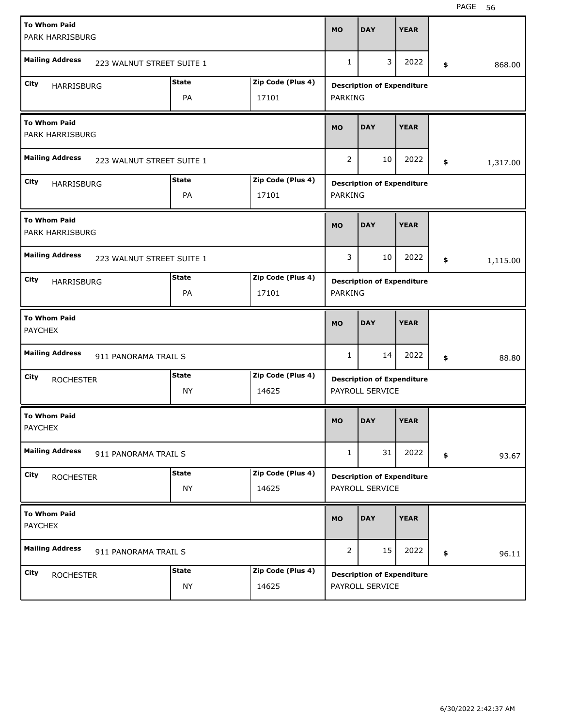| <b>To Whom Paid</b><br>PARK HARRISBURG              |              |                   | <b>MO</b>      | <b>DAY</b>                                           | <b>YEAR</b> |                |
|-----------------------------------------------------|--------------|-------------------|----------------|------------------------------------------------------|-------------|----------------|
| <b>Mailing Address</b><br>223 WALNUT STREET SUITE 1 |              |                   | 1              | 3                                                    | 2022        | \$<br>868.00   |
| City<br>HARRISBURG                                  | <b>State</b> | Zip Code (Plus 4) |                | <b>Description of Expenditure</b>                    |             |                |
|                                                     | PA           | 17101             | PARKING        |                                                      |             |                |
| <b>To Whom Paid</b><br>PARK HARRISBURG              |              |                   | <b>MO</b>      | <b>DAY</b>                                           | <b>YEAR</b> |                |
| <b>Mailing Address</b><br>223 WALNUT STREET SUITE 1 |              |                   | 2              | 10                                                   | 2022        | \$<br>1,317.00 |
| City<br>HARRISBURG                                  | <b>State</b> | Zip Code (Plus 4) |                | <b>Description of Expenditure</b>                    |             |                |
|                                                     | PA           | 17101             | PARKING        |                                                      |             |                |
| <b>To Whom Paid</b><br>PARK HARRISBURG              |              |                   | <b>MO</b>      | <b>DAY</b>                                           | <b>YEAR</b> |                |
| <b>Mailing Address</b><br>223 WALNUT STREET SUITE 1 |              |                   | 3              | 10                                                   | 2022        | \$<br>1,115.00 |
| City<br><b>HARRISBURG</b>                           | <b>State</b> | Zip Code (Plus 4) |                | <b>Description of Expenditure</b>                    |             |                |
|                                                     | PA           | 17101             | <b>PARKING</b> |                                                      |             |                |
|                                                     |              |                   |                |                                                      |             |                |
| <b>To Whom Paid</b><br><b>PAYCHEX</b>               |              |                   | <b>MO</b>      | <b>DAY</b>                                           | <b>YEAR</b> |                |
| <b>Mailing Address</b><br>911 PANORAMA TRAIL S      |              |                   | 1              | 14                                                   | 2022        | \$<br>88.80    |
| City                                                | <b>State</b> | Zip Code (Plus 4) |                |                                                      |             |                |
| <b>ROCHESTER</b>                                    | NY           | 14625             |                | <b>Description of Expenditure</b><br>PAYROLL SERVICE |             |                |
| <b>To Whom Paid</b><br><b>PAYCHEX</b>               |              |                   | <b>MO</b>      | <b>DAY</b>                                           | <b>YEAR</b> |                |
| <b>Mailing Address</b><br>911 PANORAMA TRAIL S      |              |                   | 1              | 31                                                   | 2022        | \$<br>93.67    |
| City                                                | <b>State</b> | Zip Code (Plus 4) |                |                                                      |             |                |
| <b>ROCHESTER</b>                                    | ΝY           | 14625             |                | <b>Description of Expenditure</b><br>PAYROLL SERVICE |             |                |
| <b>To Whom Paid</b><br><b>PAYCHEX</b>               |              |                   | <b>MO</b>      | <b>DAY</b>                                           | <b>YEAR</b> |                |
| <b>Mailing Address</b><br>911 PANORAMA TRAIL S      |              |                   | 2              | 15                                                   | 2022        | \$<br>96.11    |
| City<br><b>ROCHESTER</b>                            | <b>State</b> | Zip Code (Plus 4) |                | <b>Description of Expenditure</b>                    |             |                |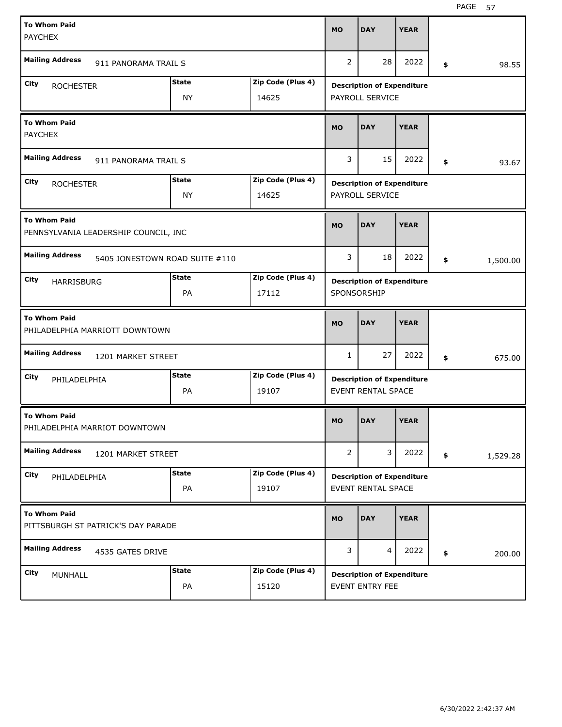| <b>To Whom Paid</b>                                         |                                |                   | <b>MO</b>      | <b>DAY</b>                        | <b>YEAR</b> |                |
|-------------------------------------------------------------|--------------------------------|-------------------|----------------|-----------------------------------|-------------|----------------|
| <b>PAYCHEX</b>                                              |                                |                   |                |                                   |             |                |
| <b>Mailing Address</b>                                      | 911 PANORAMA TRAIL S           |                   | $\overline{2}$ | 28                                | 2022        | \$<br>98.55    |
| City<br><b>ROCHESTER</b>                                    | <b>State</b>                   | Zip Code (Plus 4) |                | <b>Description of Expenditure</b> |             |                |
|                                                             | <b>NY</b>                      | 14625             |                | PAYROLL SERVICE                   |             |                |
| <b>To Whom Paid</b><br><b>PAYCHEX</b>                       |                                |                   | <b>MO</b>      | <b>DAY</b>                        | <b>YEAR</b> |                |
| <b>Mailing Address</b>                                      | 911 PANORAMA TRAIL S           |                   | 3              | 15                                | 2022        | \$<br>93.67    |
| City<br><b>ROCHESTER</b>                                    | <b>State</b>                   | Zip Code (Plus 4) |                | <b>Description of Expenditure</b> |             |                |
|                                                             | <b>NY</b>                      | 14625             |                | PAYROLL SERVICE                   |             |                |
| <b>To Whom Paid</b><br>PENNSYLVANIA LEADERSHIP COUNCIL, INC |                                |                   | <b>MO</b>      | <b>DAY</b>                        | <b>YEAR</b> |                |
| <b>Mailing Address</b>                                      | 5405 JONESTOWN ROAD SUITE #110 |                   | 3              | 18                                | 2022        | \$<br>1,500.00 |
| City<br><b>HARRISBURG</b>                                   | <b>State</b>                   | Zip Code (Plus 4) |                | <b>Description of Expenditure</b> |             |                |
|                                                             | PA                             | 17112             |                | SPONSORSHIP                       |             |                |
|                                                             |                                |                   |                |                                   |             |                |
| <b>To Whom Paid</b><br>PHILADELPHIA MARRIOTT DOWNTOWN       |                                |                   | <b>MO</b>      | <b>DAY</b>                        | <b>YEAR</b> |                |
| <b>Mailing Address</b>                                      | 1201 MARKET STREET             |                   | 1              | 27                                | 2022        | \$<br>675.00   |
| City<br>PHILADELPHIA                                        | State                          | Zip Code (Plus 4) |                | <b>Description of Expenditure</b> |             |                |
|                                                             | PA                             | 19107             |                | <b>EVENT RENTAL SPACE</b>         |             |                |
| <b>To Whom Paid</b><br>PHILADELPHIA MARRIOT DOWNTOWN        |                                |                   | <b>MO</b>      | <b>DAY</b>                        | <b>YEAR</b> |                |
| <b>Mailing Address</b>                                      | 1201 MARKET STREET             |                   | $\overline{2}$ | 3                                 | 2022        | \$<br>1,529.28 |
| City<br>PHILADELPHIA                                        | <b>State</b>                   | Zip Code (Plus 4) |                | <b>Description of Expenditure</b> |             |                |
|                                                             | PA                             | 19107             |                | EVENT RENTAL SPACE                |             |                |
| <b>To Whom Paid</b><br>PITTSBURGH ST PATRICK'S DAY PARADE   |                                |                   | <b>MO</b>      | <b>DAY</b>                        | <b>YEAR</b> |                |
| <b>Mailing Address</b>                                      | 4535 GATES DRIVE               |                   | 3              | $\overline{4}$                    | 2022        | \$<br>200.00   |
| City<br>MUNHALL                                             | <b>State</b>                   | Zip Code (Plus 4) |                | <b>Description of Expenditure</b> |             |                |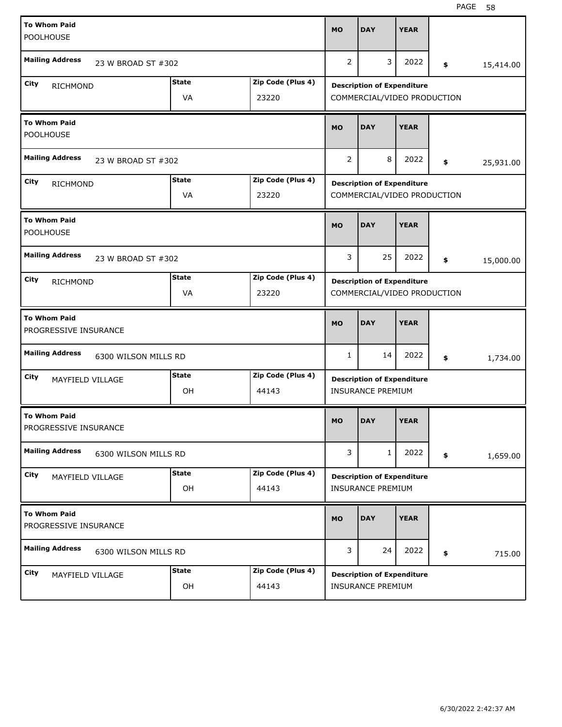| <b>To Whom Paid</b><br><b>POOLHOUSE</b>      |                      |                            | <b>MO</b> | <b>DAY</b>                                                       | <b>YEAR</b> |                 |
|----------------------------------------------|----------------------|----------------------------|-----------|------------------------------------------------------------------|-------------|-----------------|
| <b>Mailing Address</b>                       | 23 W BROAD ST #302   |                            | 2         | 3                                                                | 2022        | \$<br>15,414.00 |
| City<br><b>RICHMOND</b>                      | <b>State</b><br>VA   | Zip Code (Plus 4)<br>23220 |           | <b>Description of Expenditure</b><br>COMMERCIAL/VIDEO PRODUCTION |             |                 |
| <b>To Whom Paid</b><br><b>POOLHOUSE</b>      |                      |                            | <b>MO</b> | <b>DAY</b>                                                       | <b>YEAR</b> |                 |
| <b>Mailing Address</b>                       | 23 W BROAD ST #302   |                            | 2         | 8                                                                | 2022        | \$<br>25,931.00 |
| City<br><b>RICHMOND</b>                      | <b>State</b><br>VA   | Zip Code (Plus 4)<br>23220 |           | <b>Description of Expenditure</b><br>COMMERCIAL/VIDEO PRODUCTION |             |                 |
| <b>To Whom Paid</b><br>POOLHOUSE             |                      |                            | <b>MO</b> | <b>DAY</b>                                                       | <b>YEAR</b> |                 |
| <b>Mailing Address</b>                       | 23 W BROAD ST #302   |                            | 3         | 25                                                               | 2022        | \$<br>15,000.00 |
| City<br><b>RICHMOND</b>                      | <b>State</b><br>VA   | Zip Code (Plus 4)<br>23220 |           | <b>Description of Expenditure</b><br>COMMERCIAL/VIDEO PRODUCTION |             |                 |
|                                              |                      |                            |           |                                                                  |             |                 |
| <b>To Whom Paid</b><br>PROGRESSIVE INSURANCE |                      |                            | <b>MO</b> | <b>DAY</b>                                                       | <b>YEAR</b> |                 |
| <b>Mailing Address</b>                       | 6300 WILSON MILLS RD |                            | 1         | 14                                                               | 2022        | \$<br>1,734.00  |
| City<br>MAYFIELD VILLAGE                     | <b>State</b><br>OH   | Zip Code (Plus 4)<br>44143 |           | <b>Description of Expenditure</b><br><b>INSURANCE PREMIUM</b>    |             |                 |
| <b>To Whom Paid</b><br>PROGRESSIVE INSURANCE |                      |                            | <b>MO</b> | <b>DAY</b>                                                       | <b>YEAR</b> |                 |
| <b>Mailing Address</b>                       | 6300 WILSON MILLS RD |                            | 3         | 1                                                                | 2022        | \$<br>1,659.00  |
| City<br>MAYFIELD VILLAGE                     | <b>State</b><br>OH   | Zip Code (Plus 4)<br>44143 |           | <b>Description of Expenditure</b><br><b>INSURANCE PREMIUM</b>    |             |                 |
| <b>To Whom Paid</b><br>PROGRESSIVE INSURANCE |                      |                            | <b>MO</b> | <b>DAY</b>                                                       | <b>YEAR</b> |                 |
| <b>Mailing Address</b>                       | 6300 WILSON MILLS RD |                            | 3         | 24                                                               | 2022        | \$<br>715.00    |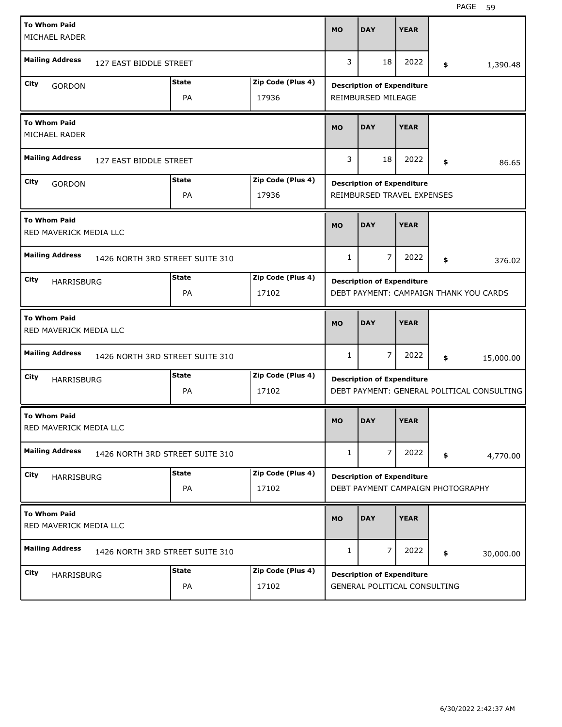| <b>To Whom Paid</b><br>MICHAEL RADER          |                                 |                            | <b>MO</b>    | <b>DAY</b>                                                             | <b>YEAR</b> |                                            |
|-----------------------------------------------|---------------------------------|----------------------------|--------------|------------------------------------------------------------------------|-------------|--------------------------------------------|
| <b>Mailing Address</b>                        | 127 EAST BIDDLE STREET          |                            | 3            | 18                                                                     | 2022        | \$<br>1,390.48                             |
| City<br><b>GORDON</b>                         | <b>State</b><br>PA              | Zip Code (Plus 4)<br>17936 |              | <b>Description of Expenditure</b><br>REIMBURSED MILEAGE                |             |                                            |
| <b>To Whom Paid</b><br><b>MICHAEL RADER</b>   |                                 |                            | <b>MO</b>    | <b>DAY</b>                                                             | <b>YEAR</b> |                                            |
| <b>Mailing Address</b>                        | 127 EAST BIDDLE STREET          |                            | 3            | 18                                                                     | 2022        | \$<br>86.65                                |
| City<br><b>GORDON</b>                         | <b>State</b><br>PA              | Zip Code (Plus 4)<br>17936 |              | <b>Description of Expenditure</b><br>REIMBURSED TRAVEL EXPENSES        |             |                                            |
| <b>To Whom Paid</b><br>RED MAVERICK MEDIA LLC |                                 |                            | <b>MO</b>    | <b>DAY</b>                                                             | <b>YEAR</b> |                                            |
| <b>Mailing Address</b>                        | 1426 NORTH 3RD STREET SUITE 310 |                            | $\mathbf{1}$ | $\overline{7}$                                                         | 2022        | \$<br>376.02                               |
| City<br><b>HARRISBURG</b>                     | <b>State</b><br>PA              | Zip Code (Plus 4)<br>17102 |              | <b>Description of Expenditure</b>                                      |             | DEBT PAYMENT: CAMPAIGN THANK YOU CARDS     |
|                                               |                                 |                            |              |                                                                        |             |                                            |
| <b>To Whom Paid</b><br>RED MAVERICK MEDIA LLC |                                 |                            | <b>MO</b>    | <b>DAY</b>                                                             | <b>YEAR</b> |                                            |
| <b>Mailing Address</b>                        | 1426 NORTH 3RD STREET SUITE 310 |                            | $\mathbf{1}$ | $\overline{7}$                                                         | 2022        | \$<br>15,000.00                            |
| City<br><b>HARRISBURG</b>                     | <b>State</b><br>PA              | Zip Code (Plus 4)<br>17102 |              | <b>Description of Expenditure</b>                                      |             | DEBT PAYMENT: GENERAL POLITICAL CONSULTING |
| <b>To Whom Paid</b><br>RED MAVERICK MEDIA LLC |                                 |                            | <b>MO</b>    | <b>DAY</b>                                                             | <b>YEAR</b> |                                            |
| <b>Mailing Address</b>                        | 1426 NORTH 3RD STREET SUITE 310 |                            | $\mathbf{1}$ | $\overline{7}$                                                         | 2022        | \$<br>4,770.00                             |
| City<br>HARRISBURG                            | <b>State</b><br>PA              | Zip Code (Plus 4)<br>17102 |              | <b>Description of Expenditure</b><br>DEBT PAYMENT CAMPAIGN PHOTOGRAPHY |             |                                            |
| <b>To Whom Paid</b><br>RED MAVERICK MEDIA LLC |                                 |                            | <b>MO</b>    | <b>DAY</b>                                                             | <b>YEAR</b> |                                            |
| <b>Mailing Address</b>                        | 1426 NORTH 3RD STREET SUITE 310 |                            | $\mathbf{1}$ | $\overline{7}$                                                         | 2022        | \$<br>30,000.00                            |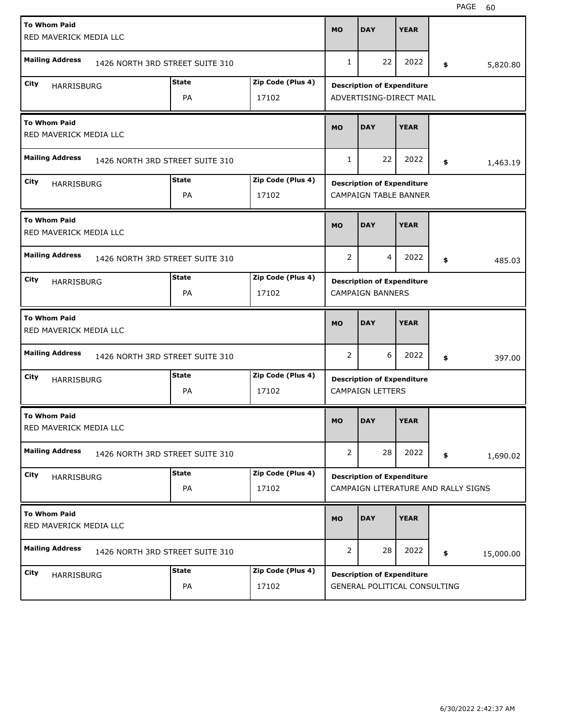| <b>To Whom Paid</b><br>RED MAVERICK MEDIA LLC |                                 |                    |                            | <b>MO</b>             | <b>DAY</b>                                                               | <b>YEAR</b> |                 |
|-----------------------------------------------|---------------------------------|--------------------|----------------------------|-----------------------|--------------------------------------------------------------------------|-------------|-----------------|
| <b>Mailing Address</b>                        | 1426 NORTH 3RD STREET SUITE 310 |                    |                            | 1                     | 22                                                                       | 2022        | \$<br>5,820.80  |
| City<br><b>HARRISBURG</b>                     |                                 | <b>State</b><br>PA | Zip Code (Plus 4)<br>17102 |                       | <b>Description of Expenditure</b><br>ADVERTISING-DIRECT MAIL             |             |                 |
| <b>To Whom Paid</b><br>RED MAVERICK MEDIA LLC |                                 |                    |                            | <b>MO</b>             | <b>DAY</b>                                                               | <b>YEAR</b> |                 |
| <b>Mailing Address</b>                        | 1426 NORTH 3RD STREET SUITE 310 |                    |                            | $\mathbf{1}$          | 22                                                                       | 2022        | \$<br>1,463.19  |
| City<br>HARRISBURG                            |                                 | <b>State</b><br>PA | Zip Code (Plus 4)<br>17102 |                       | <b>Description of Expenditure</b><br><b>CAMPAIGN TABLE BANNER</b>        |             |                 |
| <b>To Whom Paid</b><br>RED MAVERICK MEDIA LLC |                                 |                    |                            | <b>MO</b>             | <b>DAY</b>                                                               | <b>YEAR</b> |                 |
| <b>Mailing Address</b>                        | 1426 NORTH 3RD STREET SUITE 310 |                    |                            | $\overline{2}$        | $\overline{4}$                                                           | 2022        | \$<br>485.03    |
| City<br><b>HARRISBURG</b>                     |                                 | <b>State</b><br>PA | Zip Code (Plus 4)<br>17102 |                       | <b>Description of Expenditure</b><br><b>CAMPAIGN BANNERS</b>             |             |                 |
|                                               |                                 |                    |                            |                       |                                                                          |             |                 |
| <b>To Whom Paid</b><br>RED MAVERICK MEDIA LLC |                                 |                    |                            | <b>MO</b>             | <b>DAY</b>                                                               | <b>YEAR</b> |                 |
| <b>Mailing Address</b>                        | 1426 NORTH 3RD STREET SUITE 310 |                    |                            | 2                     | 6                                                                        | 2022        | \$<br>397.00    |
| City<br><b>HARRISBURG</b>                     |                                 | <b>State</b><br>PA | Zip Code (Plus 4)<br>17102 |                       | <b>Description of Expenditure</b><br><b>CAMPAIGN LETTERS</b>             |             |                 |
| <b>To Whom Paid</b><br>RED MAVERICK MEDIA LLC |                                 |                    |                            | <b>MO</b>             | <b>DAY</b>                                                               | <b>YEAR</b> |                 |
| <b>Mailing Address</b>                        | 1426 NORTH 3RD STREET SUITE 310 |                    |                            | $\mathbf{2}^{\prime}$ | 28                                                                       | 2022        | \$<br>1,690.02  |
| City<br>HARRISBURG                            |                                 | <b>State</b><br>PA | Zip Code (Plus 4)<br>17102 |                       | <b>Description of Expenditure</b><br>CAMPAIGN LITERATURE AND RALLY SIGNS |             |                 |
| <b>To Whom Paid</b><br>RED MAVERICK MEDIA LLC |                                 |                    |                            | <b>MO</b>             | <b>DAY</b>                                                               | <b>YEAR</b> |                 |
| <b>Mailing Address</b>                        | 1426 NORTH 3RD STREET SUITE 310 |                    |                            | $\overline{2}$        | 28                                                                       | 2022        | \$<br>15,000.00 |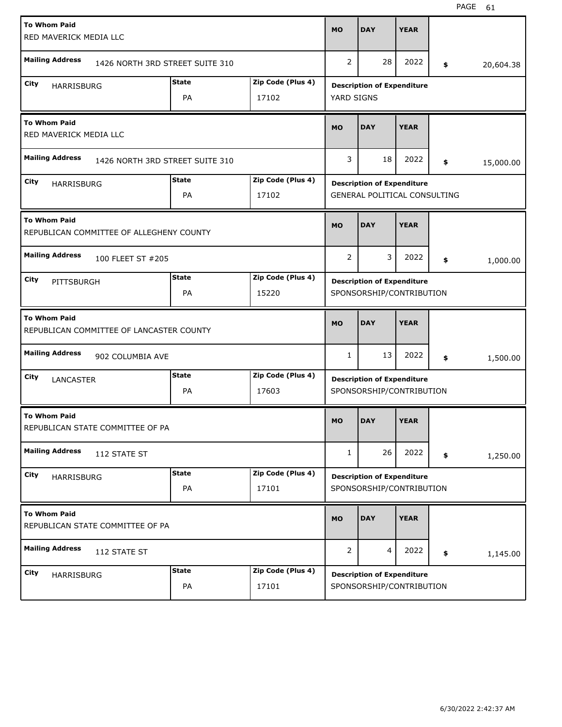| <b>To Whom Paid</b><br>RED MAVERICK MEDIA LLC                   |                                 |                           |                            | <b>MO</b>      | <b>DAY</b>                                                               | <b>YEAR</b> |                 |
|-----------------------------------------------------------------|---------------------------------|---------------------------|----------------------------|----------------|--------------------------------------------------------------------------|-------------|-----------------|
| <b>Mailing Address</b>                                          | 1426 NORTH 3RD STREET SUITE 310 |                           |                            | $\overline{2}$ | 28                                                                       | 2022        | \$<br>20,604.38 |
| City<br><b>HARRISBURG</b>                                       |                                 | <b>State</b><br><b>PA</b> | Zip Code (Plus 4)<br>17102 | YARD SIGNS     | <b>Description of Expenditure</b>                                        |             |                 |
| <b>To Whom Paid</b><br>RED MAVERICK MEDIA LLC                   |                                 |                           |                            | <b>MO</b>      | <b>DAY</b>                                                               | <b>YEAR</b> |                 |
| <b>Mailing Address</b>                                          | 1426 NORTH 3RD STREET SUITE 310 |                           |                            | 3              | 18                                                                       | 2022        | \$<br>15,000.00 |
| City<br><b>HARRISBURG</b>                                       |                                 | <b>State</b><br>PA        | Zip Code (Plus 4)<br>17102 |                | <b>Description of Expenditure</b><br><b>GENERAL POLITICAL CONSULTING</b> |             |                 |
| <b>To Whom Paid</b><br>REPUBLICAN COMMITTEE OF ALLEGHENY COUNTY |                                 |                           |                            | <b>MO</b>      | <b>DAY</b>                                                               | <b>YEAR</b> |                 |
| <b>Mailing Address</b>                                          | 100 FLEET ST #205               |                           |                            | $\overline{2}$ | 3                                                                        | 2022        | \$<br>1,000.00  |
| City<br>PITTSBURGH                                              |                                 | <b>State</b><br>PA        | Zip Code (Plus 4)<br>15220 |                | <b>Description of Expenditure</b><br>SPONSORSHIP/CONTRIBUTION            |             |                 |
|                                                                 |                                 |                           |                            |                |                                                                          |             |                 |
| <b>To Whom Paid</b><br>REPUBLICAN COMMITTEE OF LANCASTER COUNTY |                                 |                           |                            | <b>MO</b>      | <b>DAY</b>                                                               | <b>YEAR</b> |                 |
| <b>Mailing Address</b>                                          | 902 COLUMBIA AVE                |                           |                            | 1              | 13                                                                       | 2022        | \$<br>1,500.00  |
| City<br>LANCASTER                                               |                                 | <b>State</b><br>PA        | Zip Code (Plus 4)<br>17603 |                | <b>Description of Expenditure</b><br>SPONSORSHIP/CONTRIBUTION            |             |                 |
| <b>To Whom Paid</b><br>REPUBLICAN STATE COMMITTEE OF PA         |                                 |                           |                            | <b>MO</b>      | <b>DAY</b>                                                               | <b>YEAR</b> |                 |
| <b>Mailing Address</b>                                          | 112 STATE ST                    |                           |                            | $\mathbf{1}$   | 26                                                                       | 2022        | \$<br>1,250.00  |
| City<br>HARRISBURG                                              |                                 | <b>State</b><br>PA        | Zip Code (Plus 4)<br>17101 |                | <b>Description of Expenditure</b><br>SPONSORSHIP/CONTRIBUTION            |             |                 |
| <b>To Whom Paid</b><br>REPUBLICAN STATE COMMITTEE OF PA         |                                 |                           |                            | <b>MO</b>      | <b>DAY</b>                                                               | <b>YEAR</b> |                 |
| <b>Mailing Address</b>                                          | 112 STATE ST                    |                           |                            | 2              | 4                                                                        | 2022        | \$<br>1,145.00  |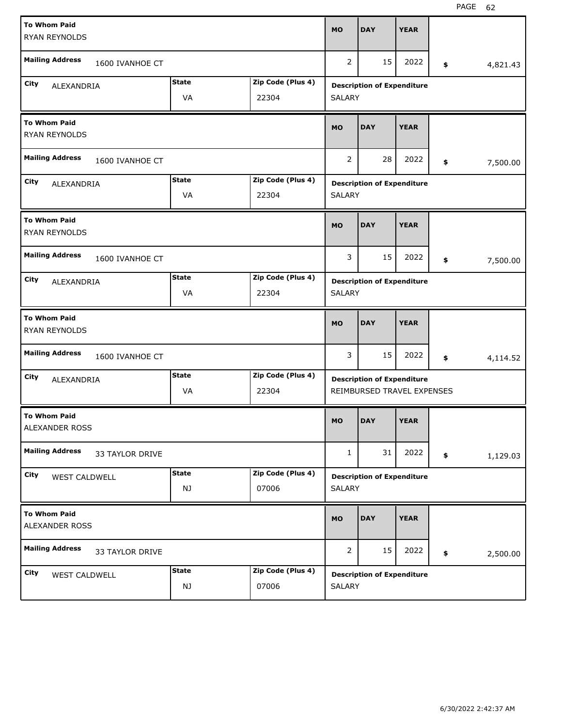| <b>To Whom Paid</b><br><b>RYAN REYNOLDS</b> |                    |                            | <b>MO</b>      | <b>DAY</b>                                                      | <b>YEAR</b> |                |
|---------------------------------------------|--------------------|----------------------------|----------------|-----------------------------------------------------------------|-------------|----------------|
| <b>Mailing Address</b><br>1600 IVANHOE CT   |                    |                            | 2              | 15                                                              | 2022        | \$<br>4,821.43 |
| City<br>ALEXANDRIA                          | <b>State</b><br>VA | Zip Code (Plus 4)<br>22304 | <b>SALARY</b>  | <b>Description of Expenditure</b>                               |             |                |
| <b>To Whom Paid</b><br>RYAN REYNOLDS        |                    |                            | <b>MO</b>      | <b>DAY</b>                                                      | <b>YEAR</b> |                |
| <b>Mailing Address</b><br>1600 IVANHOE CT   |                    |                            | 2              | 28                                                              | 2022        | \$<br>7,500.00 |
| City<br>ALEXANDRIA                          | <b>State</b><br>VA | Zip Code (Plus 4)<br>22304 | <b>SALARY</b>  | <b>Description of Expenditure</b>                               |             |                |
| <b>To Whom Paid</b><br>RYAN REYNOLDS        |                    |                            | <b>MO</b>      | <b>DAY</b>                                                      | <b>YEAR</b> |                |
| <b>Mailing Address</b><br>1600 IVANHOE CT   |                    |                            | 3              | 15                                                              | 2022        | \$<br>7,500.00 |
| City<br>ALEXANDRIA                          | <b>State</b><br>VA | Zip Code (Plus 4)<br>22304 | <b>SALARY</b>  | <b>Description of Expenditure</b>                               |             |                |
|                                             |                    |                            |                |                                                                 |             |                |
| <b>To Whom Paid</b><br>RYAN REYNOLDS        |                    |                            | <b>MO</b>      | <b>DAY</b>                                                      | <b>YEAR</b> |                |
| <b>Mailing Address</b><br>1600 IVANHOE CT   |                    |                            | 3              | 15                                                              | 2022        | \$<br>4,114.52 |
| City<br>ALEXANDRIA                          | <b>State</b><br>VA | Zip Code (Plus 4)<br>22304 |                | <b>Description of Expenditure</b><br>REIMBURSED TRAVEL EXPENSES |             |                |
| <b>To Whom Paid</b><br>ALEXANDER ROSS       |                    |                            | MO             | <b>DAY</b>                                                      | <b>YEAR</b> |                |
| <b>Mailing Address</b><br>33 TAYLOR DRIVE   |                    |                            | $\mathbf{1}$   | 31                                                              | 2022        | \$<br>1,129.03 |
| City<br>WEST CALDWELL                       | <b>State</b><br>NJ | Zip Code (Plus 4)<br>07006 | SALARY         | <b>Description of Expenditure</b>                               |             |                |
| <b>To Whom Paid</b><br>ALEXANDER ROSS       |                    |                            | <b>MO</b>      | <b>DAY</b>                                                      | <b>YEAR</b> |                |
| <b>Mailing Address</b><br>33 TAYLOR DRIVE   |                    |                            | $\overline{2}$ | 15                                                              | 2022        | \$<br>2,500.00 |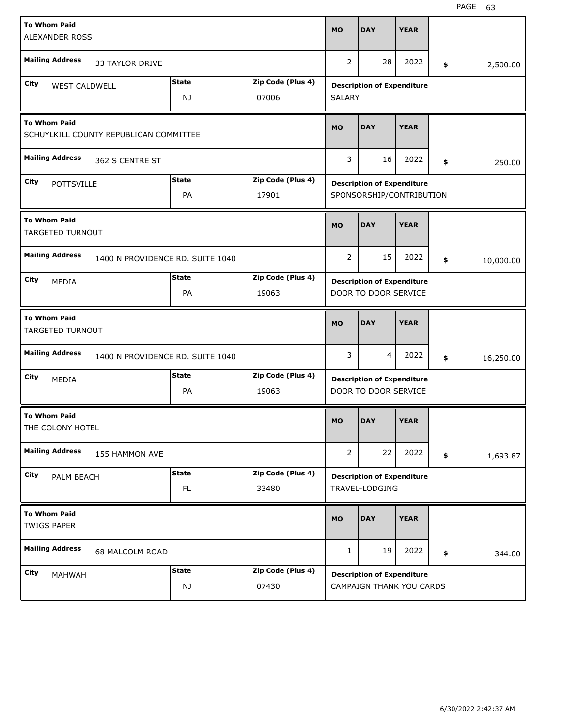| <b>To Whom Paid</b><br><b>ALEXANDER ROSS</b>   |                                        |                                  | <b>MO</b>                  | <b>DAY</b>     | <b>YEAR</b>                                                   |             |                 |
|------------------------------------------------|----------------------------------------|----------------------------------|----------------------------|----------------|---------------------------------------------------------------|-------------|-----------------|
| <b>Mailing Address</b>                         | <b>33 TAYLOR DRIVE</b>                 |                                  |                            | 2              | 28                                                            | 2022        | \$<br>2,500.00  |
| City<br>WEST CALDWELL                          |                                        | <b>State</b><br>NJ               | Zip Code (Plus 4)<br>07006 | <b>SALARY</b>  | <b>Description of Expenditure</b>                             |             |                 |
| <b>To Whom Paid</b>                            | SCHUYLKILL COUNTY REPUBLICAN COMMITTEE |                                  |                            | <b>MO</b>      | <b>DAY</b>                                                    | <b>YEAR</b> |                 |
| <b>Mailing Address</b>                         | 362 S CENTRE ST                        |                                  |                            | 3              | 16                                                            | 2022        | \$<br>250.00    |
| City<br><b>POTTSVILLE</b>                      |                                        | <b>State</b><br>PA               | Zip Code (Plus 4)<br>17901 |                | <b>Description of Expenditure</b><br>SPONSORSHIP/CONTRIBUTION |             |                 |
| <b>To Whom Paid</b><br><b>TARGETED TURNOUT</b> |                                        |                                  |                            | <b>MO</b>      | <b>DAY</b>                                                    | <b>YEAR</b> |                 |
| <b>Mailing Address</b>                         |                                        | 1400 N PROVIDENCE RD. SUITE 1040 |                            | $\overline{2}$ | 15                                                            | 2022        | \$<br>10,000.00 |
| City<br>MEDIA                                  |                                        | <b>State</b><br>PA               | Zip Code (Plus 4)<br>19063 |                | <b>Description of Expenditure</b><br>DOOR TO DOOR SERVICE     |             |                 |
|                                                |                                        |                                  |                            |                |                                                               |             |                 |
| <b>To Whom Paid</b><br>TARGETED TURNOUT        |                                        |                                  |                            | <b>MO</b>      | <b>DAY</b>                                                    | <b>YEAR</b> |                 |
| <b>Mailing Address</b>                         |                                        | 1400 N PROVIDENCE RD. SUITE 1040 |                            | 3              | 4                                                             | 2022        | \$<br>16,250.00 |
| City<br>MEDIA                                  |                                        | <b>State</b><br>PA               | Zip Code (Plus 4)<br>19063 |                | <b>Description of Expenditure</b><br>DOOR TO DOOR SERVICE     |             |                 |
| <b>To Whom Paid</b><br>THE COLONY HOTEL        |                                        |                                  |                            | <b>MO</b>      | <b>DAY</b>                                                    | <b>YEAR</b> |                 |
| <b>Mailing Address</b>                         | 155 HAMMON AVE                         |                                  |                            | $\overline{2}$ | 22                                                            | 2022        | \$<br>1,693.87  |
| City<br>PALM BEACH                             |                                        | <b>State</b><br>FL               | Zip Code (Plus 4)<br>33480 |                | <b>Description of Expenditure</b><br>TRAVEL-LODGING           |             |                 |
| <b>To Whom Paid</b><br><b>TWIGS PAPER</b>      |                                        |                                  |                            | <b>MO</b>      | <b>DAY</b>                                                    | <b>YEAR</b> |                 |
| <b>Mailing Address</b>                         | 68 MALCOLM ROAD                        |                                  |                            | 1              | 19                                                            | 2022        | \$<br>344.00    |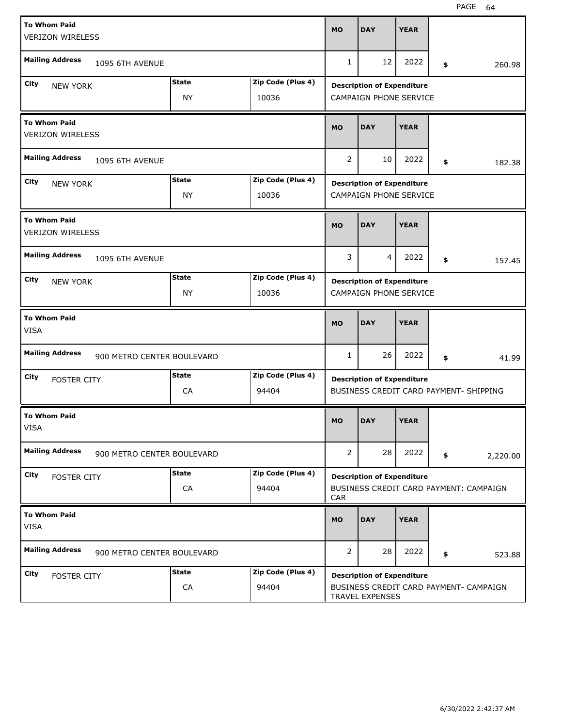| <b>To Whom Paid</b><br><b>VERIZON WIRELESS</b> |                            |              |                   | <b>MO</b>      | <b>DAY</b>                        | <b>YEAR</b> |                                        |
|------------------------------------------------|----------------------------|--------------|-------------------|----------------|-----------------------------------|-------------|----------------------------------------|
| <b>Mailing Address</b>                         | 1095 6TH AVENUE            |              |                   | 1              | 12                                | 2022        | \$<br>260.98                           |
| City<br><b>NEW YORK</b>                        |                            | <b>State</b> | Zip Code (Plus 4) |                | <b>Description of Expenditure</b> |             |                                        |
|                                                |                            | NY           | 10036             |                | <b>CAMPAIGN PHONE SERVICE</b>     |             |                                        |
| <b>To Whom Paid</b><br><b>VERIZON WIRELESS</b> |                            |              |                   | <b>MO</b>      | <b>DAY</b>                        | <b>YEAR</b> |                                        |
| <b>Mailing Address</b>                         | 1095 6TH AVENUE            |              |                   | 2              | 10                                | 2022        | \$<br>182.38                           |
| City<br><b>NEW YORK</b>                        |                            | <b>State</b> | Zip Code (Plus 4) |                | <b>Description of Expenditure</b> |             |                                        |
|                                                |                            | <b>NY</b>    | 10036             |                | <b>CAMPAIGN PHONE SERVICE</b>     |             |                                        |
| <b>To Whom Paid</b><br><b>VERIZON WIRELESS</b> |                            |              |                   | <b>MO</b>      | <b>DAY</b>                        | <b>YEAR</b> |                                        |
| <b>Mailing Address</b>                         | 1095 6TH AVENUE            |              |                   | 3              | 4                                 | 2022        | \$<br>157.45                           |
| City<br><b>NEW YORK</b>                        |                            | <b>State</b> | Zip Code (Plus 4) |                | <b>Description of Expenditure</b> |             |                                        |
|                                                |                            | NY           | 10036             |                | <b>CAMPAIGN PHONE SERVICE</b>     |             |                                        |
|                                                |                            |              |                   |                |                                   |             |                                        |
| <b>To Whom Paid</b><br><b>VISA</b>             |                            |              |                   | <b>MO</b>      | <b>DAY</b>                        | <b>YEAR</b> |                                        |
| <b>Mailing Address</b>                         | 900 METRO CENTER BOULEVARD |              |                   | 1              | 26                                | 2022        | \$<br>41.99                            |
| City                                           |                            | <b>State</b> | Zip Code (Plus 4) |                |                                   |             |                                        |
| <b>FOSTER CITY</b>                             |                            | CA           | 94404             |                | <b>Description of Expenditure</b> |             | BUSINESS CREDIT CARD PAYMENT- SHIPPING |
| <b>To Whom Paid</b><br>VISA                    |                            |              |                   | <b>MO</b>      | <b>DAY</b>                        | <b>YEAR</b> |                                        |
| <b>Mailing Address</b>                         | 900 METRO CENTER BOULEVARD |              |                   | $\overline{2}$ | 28                                | 2022        | \$<br>2,220.00                         |
| City                                           |                            | <b>State</b> | Zip Code (Plus 4) |                |                                   |             |                                        |
| <b>FOSTER CITY</b>                             |                            | CA           | 94404             | <b>CAR</b>     | <b>Description of Expenditure</b> |             | BUSINESS CREDIT CARD PAYMENT: CAMPAIGN |
| <b>To Whom Paid</b><br>VISA                    |                            |              |                   | <b>MO</b>      | <b>DAY</b>                        | <b>YEAR</b> |                                        |
| <b>Mailing Address</b>                         | 900 METRO CENTER BOULEVARD |              |                   | $\overline{2}$ | 28                                | 2022        | \$<br>523.88                           |
| City<br><b>FOSTER CITY</b>                     |                            | <b>State</b> | Zip Code (Plus 4) |                | <b>Description of Expenditure</b> |             |                                        |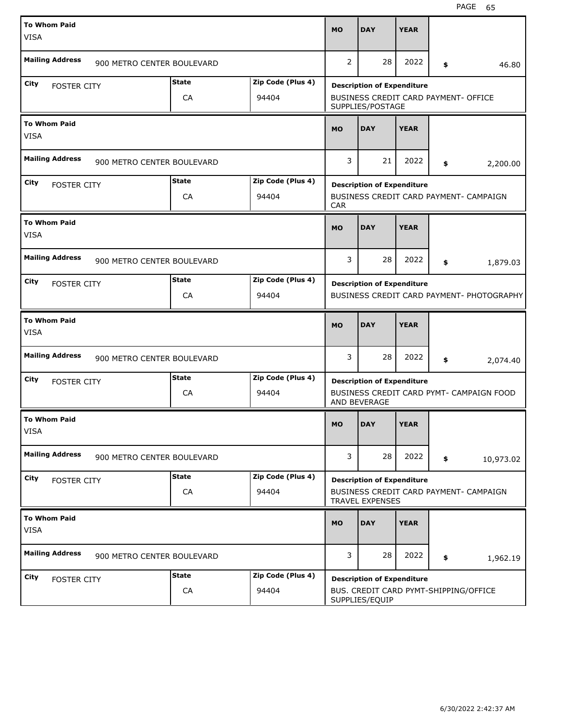| <b>To Whom Paid</b><br><b>VISA</b> |                            |                   | <b>MO</b>      | <b>DAY</b>                                                  | <b>YEAR</b> |                                           |
|------------------------------------|----------------------------|-------------------|----------------|-------------------------------------------------------------|-------------|-------------------------------------------|
| <b>Mailing Address</b>             | 900 METRO CENTER BOULEVARD |                   | $\overline{2}$ | 28                                                          | 2022        | \$<br>46.80                               |
| City<br><b>FOSTER CITY</b>         | <b>State</b>               | Zip Code (Plus 4) |                | <b>Description of Expenditure</b>                           |             |                                           |
|                                    | CA                         | 94404             |                | BUSINESS CREDIT CARD PAYMENT- OFFICE<br>SUPPLIES/POSTAGE    |             |                                           |
| <b>To Whom Paid</b><br><b>VISA</b> |                            |                   | <b>MO</b>      | <b>DAY</b>                                                  | <b>YEAR</b> |                                           |
| <b>Mailing Address</b>             | 900 METRO CENTER BOULEVARD |                   | 3              | 21                                                          | 2022        | \$<br>2,200.00                            |
| City<br><b>FOSTER CITY</b>         | <b>State</b>               | Zip Code (Plus 4) |                | <b>Description of Expenditure</b>                           |             |                                           |
|                                    | CA                         | 94404             | <b>CAR</b>     |                                                             |             | BUSINESS CREDIT CARD PAYMENT- CAMPAIGN    |
| <b>To Whom Paid</b><br><b>VISA</b> |                            |                   | <b>MO</b>      | <b>DAY</b>                                                  | <b>YEAR</b> |                                           |
| <b>Mailing Address</b>             | 900 METRO CENTER BOULEVARD |                   | 3              | 28                                                          | 2022        | \$<br>1,879.03                            |
| City<br><b>FOSTER CITY</b>         | <b>State</b>               | Zip Code (Plus 4) |                | <b>Description of Expenditure</b>                           |             |                                           |
|                                    | CA                         | 94404             |                |                                                             |             | BUSINESS CREDIT CARD PAYMENT- PHOTOGRAPHY |
|                                    |                            |                   |                |                                                             |             |                                           |
| <b>To Whom Paid</b><br><b>VISA</b> |                            |                   | <b>MO</b>      | <b>DAY</b>                                                  | <b>YEAR</b> |                                           |
| <b>Mailing Address</b>             | 900 METRO CENTER BOULEVARD |                   | 3              | 28                                                          | 2022        | \$<br>2,074.40                            |
| City                               | <b>State</b>               | Zip Code (Plus 4) |                |                                                             |             |                                           |
| <b>FOSTER CITY</b>                 | CA                         | 94404             |                | <b>Description of Expenditure</b><br>AND BEVERAGE           |             | BUSINESS CREDIT CARD PYMT- CAMPAIGN FOOD  |
| <b>To Whom Paid</b><br>VISA        |                            |                   | <b>MO</b>      | DAY                                                         | <b>YEAR</b> |                                           |
| <b>Mailing Address</b>             | 900 METRO CENTER BOULEVARD |                   | 3              | 28                                                          | 2022        | \$<br>10,973.02                           |
| City                               | <b>State</b>               | Zip Code (Plus 4) |                |                                                             |             |                                           |
| <b>FOSTER CITY</b>                 | CA                         | 94404             |                | <b>Description of Expenditure</b><br><b>TRAVEL EXPENSES</b> |             | BUSINESS CREDIT CARD PAYMENT- CAMPAIGN    |
| <b>To Whom Paid</b><br><b>VISA</b> |                            |                   | <b>MO</b>      | <b>DAY</b>                                                  | <b>YEAR</b> |                                           |
| <b>Mailing Address</b>             | 900 METRO CENTER BOULEVARD |                   | 3              | 28                                                          | 2022        | \$<br>1,962.19                            |
| City<br><b>FOSTER CITY</b>         | <b>State</b>               | Zip Code (Plus 4) |                | <b>Description of Expenditure</b>                           |             |                                           |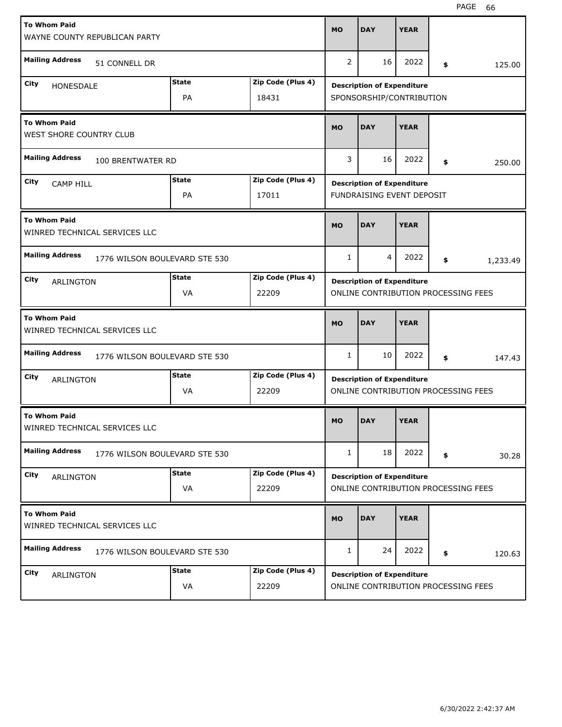| <b>To Whom Paid</b><br>WAYNE COUNTY REPUBLICAN PARTY    |                           |                            | <b>MO</b>    | <b>DAY</b>                                                     | <b>YEAR</b> |                                     |        |
|---------------------------------------------------------|---------------------------|----------------------------|--------------|----------------------------------------------------------------|-------------|-------------------------------------|--------|
| <b>Mailing Address</b><br>51 CONNELL DR                 |                           |                            | 2            | 16                                                             | 2022        | \$                                  | 125.00 |
| City<br>HONESDALE                                       | <b>State</b><br><b>PA</b> | Zip Code (Plus 4)<br>18431 |              | <b>Description of Expenditure</b><br>SPONSORSHIP/CONTRIBUTION  |             |                                     |        |
| <b>To Whom Paid</b><br>WEST SHORE COUNTRY CLUB          |                           |                            | <b>MO</b>    | <b>DAY</b>                                                     | <b>YEAR</b> |                                     |        |
| <b>Mailing Address</b><br>100 BRENTWATER RD             |                           |                            | 3            | 16                                                             | 2022        | \$                                  | 250.00 |
| City<br><b>CAMP HILL</b>                                | <b>State</b><br>PA        | Zip Code (Plus 4)<br>17011 |              | <b>Description of Expenditure</b><br>FUNDRAISING EVENT DEPOSIT |             |                                     |        |
| <b>To Whom Paid</b><br>WINRED TECHNICAL SERVICES LLC    |                           |                            | <b>MO</b>    | <b>DAY</b>                                                     | <b>YEAR</b> |                                     |        |
| <b>Mailing Address</b><br>1776 WILSON BOULEVARD STE 530 |                           |                            | 1            | 4                                                              | 2022        | \$<br>1,233.49                      |        |
| City<br><b>ARLINGTON</b>                                | <b>State</b><br>VA        | Zip Code (Plus 4)<br>22209 |              | <b>Description of Expenditure</b>                              |             | ONLINE CONTRIBUTION PROCESSING FEES |        |
|                                                         |                           |                            |              |                                                                |             |                                     |        |
| <b>To Whom Paid</b><br>WINRED TECHNICAL SERVICES LLC    |                           |                            | <b>MO</b>    | <b>DAY</b>                                                     | <b>YEAR</b> |                                     |        |
| <b>Mailing Address</b><br>1776 WILSON BOULEVARD STE 530 |                           |                            | 1            | 10                                                             | 2022        | \$                                  | 147.43 |
| City<br>ARLINGTON                                       | State<br>VA               | Zip Code (Plus 4)<br>22209 |              | <b>Description of Expenditure</b>                              |             | ONLINE CONTRIBUTION PROCESSING FEES |        |
| <b>To Whom Paid</b><br>WINRED TECHNICAL SERVICES LLC    |                           |                            | <b>MO</b>    | <b>DAY</b>                                                     | <b>YEAR</b> |                                     |        |
| <b>Mailing Address</b><br>1776 WILSON BOULEVARD STE 530 |                           |                            | 1            | 18                                                             | 2022        | \$                                  | 30.28  |
| City<br>ARLINGTON                                       | <b>State</b><br>VA        | Zip Code (Plus 4)<br>22209 |              | <b>Description of Expenditure</b>                              |             | ONLINE CONTRIBUTION PROCESSING FEES |        |
| <b>To Whom Paid</b><br>WINRED TECHNICAL SERVICES LLC    |                           |                            | <b>MO</b>    | <b>DAY</b>                                                     | <b>YEAR</b> |                                     |        |
| <b>Mailing Address</b><br>1776 WILSON BOULEVARD STE 530 |                           |                            | $\mathbf{1}$ | 24                                                             | 2022        | \$                                  | 120.63 |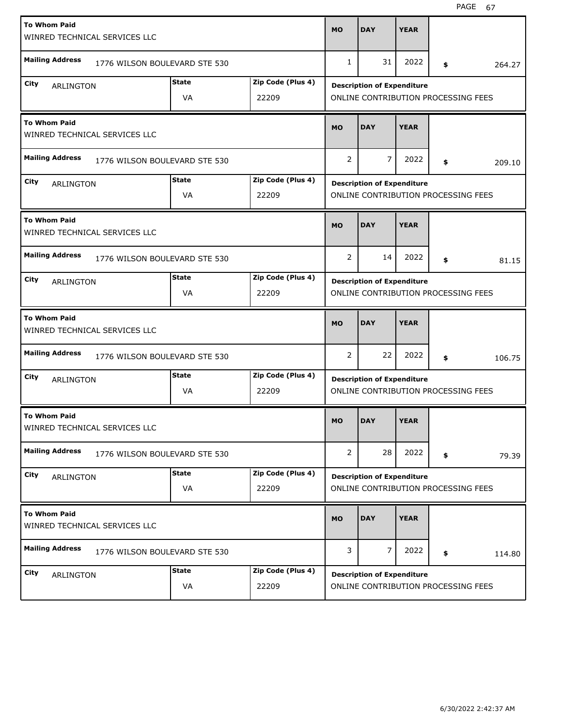| <b>To Whom Paid</b><br>WINRED TECHNICAL SERVICES LLC |                               |                            | <b>MO</b>    | <b>DAY</b>                                                               | <b>YEAR</b> |    |        |
|------------------------------------------------------|-------------------------------|----------------------------|--------------|--------------------------------------------------------------------------|-------------|----|--------|
| <b>Mailing Address</b>                               | 1776 WILSON BOULEVARD STE 530 |                            | 1            | 31                                                                       | 2022        | \$ | 264.27 |
| City<br>ARLINGTON                                    | <b>State</b><br>VA            | Zip Code (Plus 4)<br>22209 |              | <b>Description of Expenditure</b><br>ONLINE CONTRIBUTION PROCESSING FEES |             |    |        |
| <b>To Whom Paid</b><br>WINRED TECHNICAL SERVICES LLC |                               |                            | <b>MO</b>    | <b>DAY</b>                                                               | <b>YEAR</b> |    |        |
| <b>Mailing Address</b>                               | 1776 WILSON BOULEVARD STE 530 |                            | 2            | $\overline{7}$                                                           | 2022        | \$ | 209.10 |
| City<br><b>ARLINGTON</b>                             | <b>State</b><br>VA            | Zip Code (Plus 4)<br>22209 |              | <b>Description of Expenditure</b><br>ONLINE CONTRIBUTION PROCESSING FEES |             |    |        |
| <b>To Whom Paid</b><br>WINRED TECHNICAL SERVICES LLC |                               |                            | <b>MO</b>    | <b>DAY</b>                                                               | <b>YEAR</b> |    |        |
| <b>Mailing Address</b>                               | 1776 WILSON BOULEVARD STE 530 |                            | 2            | 14                                                                       | 2022        | \$ | 81.15  |
| City<br><b>ARLINGTON</b>                             | <b>State</b><br>VA            | Zip Code (Plus 4)<br>22209 |              | <b>Description of Expenditure</b><br>ONLINE CONTRIBUTION PROCESSING FEES |             |    |        |
|                                                      |                               |                            |              |                                                                          |             |    |        |
| <b>To Whom Paid</b><br>WINRED TECHNICAL SERVICES LLC |                               |                            | <b>MO</b>    | <b>DAY</b>                                                               | <b>YEAR</b> |    |        |
| <b>Mailing Address</b>                               | 1776 WILSON BOULEVARD STE 530 |                            | 2            | 22                                                                       | 2022        | \$ | 106.75 |
| City<br>ARLINGTON                                    | <b>State</b><br>VA            | Zip Code (Plus 4)<br>22209 |              | <b>Description of Expenditure</b><br>ONLINE CONTRIBUTION PROCESSING FEES |             |    |        |
| <b>To Whom Paid</b><br>WINRED TECHNICAL SERVICES LLC |                               |                            | <b>MO</b>    | <b>DAY</b>                                                               | <b>YEAR</b> |    |        |
| <b>Mailing Address</b>                               | 1776 WILSON BOULEVARD STE 530 |                            | $\mathbf{2}$ | 28                                                                       | 2022        | \$ | 79.39  |
| City<br>ARLINGTON                                    | <b>State</b><br>VA            | Zip Code (Plus 4)<br>22209 |              | <b>Description of Expenditure</b><br>ONLINE CONTRIBUTION PROCESSING FEES |             |    |        |
| <b>To Whom Paid</b><br>WINRED TECHNICAL SERVICES LLC |                               |                            | <b>MO</b>    | <b>DAY</b>                                                               | <b>YEAR</b> |    |        |
| <b>Mailing Address</b>                               | 1776 WILSON BOULEVARD STE 530 |                            | 3            | $\overline{7}$                                                           | 2022        | \$ | 114.80 |

H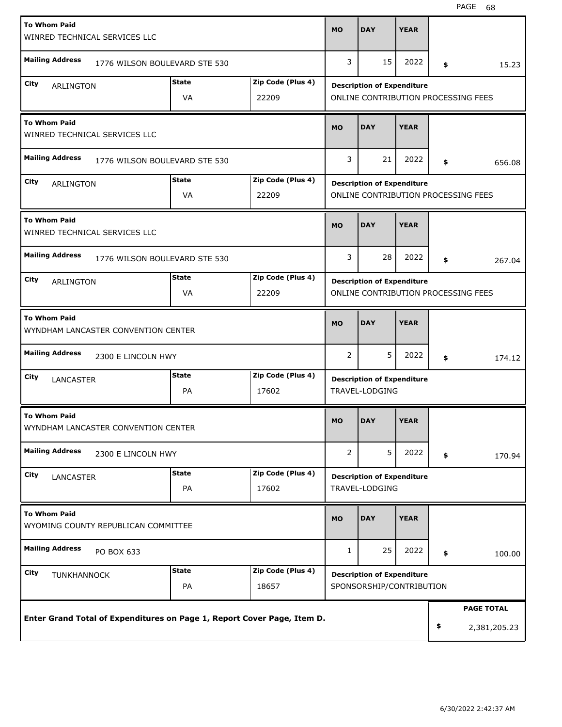| <b>To Whom Paid</b><br>WINRED TECHNICAL SERVICES LLC                    |                               |                   |                | <b>DAY</b>                          | <b>YEAR</b> |                    |
|-------------------------------------------------------------------------|-------------------------------|-------------------|----------------|-------------------------------------|-------------|--------------------|
| <b>Mailing Address</b>                                                  | 1776 WILSON BOULEVARD STE 530 |                   | 3              | 15                                  | 2022        | \$<br>15.23        |
| City<br><b>ARLINGTON</b>                                                | <b>State</b>                  | Zip Code (Plus 4) |                | <b>Description of Expenditure</b>   |             |                    |
|                                                                         | VA                            | 22209             |                | ONLINE CONTRIBUTION PROCESSING FEES |             |                    |
| <b>To Whom Paid</b><br>WINRED TECHNICAL SERVICES LLC                    |                               |                   | <b>MO</b>      | <b>DAY</b>                          | <b>YEAR</b> |                    |
| <b>Mailing Address</b>                                                  | 1776 WILSON BOULEVARD STE 530 |                   | 3              | 21                                  | 2022        | \$<br>656.08       |
| City<br><b>ARLINGTON</b>                                                | <b>State</b>                  | Zip Code (Plus 4) |                | <b>Description of Expenditure</b>   |             |                    |
|                                                                         | VA                            | 22209             |                | ONLINE CONTRIBUTION PROCESSING FEES |             |                    |
| <b>To Whom Paid</b><br>WINRED TECHNICAL SERVICES LLC                    |                               |                   | <b>MO</b>      | <b>DAY</b>                          | <b>YEAR</b> |                    |
| <b>Mailing Address</b>                                                  | 1776 WILSON BOULEVARD STE 530 |                   | 3              | 28                                  | 2022        | \$<br>267.04       |
| City<br>ARLINGTON                                                       | <b>State</b>                  | Zip Code (Plus 4) |                | <b>Description of Expenditure</b>   |             |                    |
|                                                                         | VA                            | 22209             |                | ONLINE CONTRIBUTION PROCESSING FEES |             |                    |
| <b>To Whom Paid</b><br>WYNDHAM LANCASTER CONVENTION CENTER              |                               |                   | <b>MO</b>      | <b>DAY</b>                          | <b>YEAR</b> |                    |
| <b>Mailing Address</b><br>2300 E LINCOLN HWY                            |                               |                   | 2              | 5                                   | 2022        | \$<br>174.12       |
| City<br><b>LANCASTER</b>                                                | <b>State</b>                  | Zip Code (Plus 4) |                | <b>Description of Expenditure</b>   |             |                    |
|                                                                         | PA                            | 17602             |                | TRAVEL-LODGING                      |             |                    |
| <b>To Whom Paid</b><br>WYNDHAM LANCASTER CONVENTION CENTER              |                               |                   | MO             | <b>DAY</b>                          | <b>YEAR</b> |                    |
| <b>Mailing Address</b><br>2300 E LINCOLN HWY                            |                               |                   | $\overline{2}$ | 5                                   | 2022        | \$<br>170.94       |
| City<br>LANCASTER                                                       | <b>State</b>                  | Zip Code (Plus 4) |                | <b>Description of Expenditure</b>   |             |                    |
|                                                                         | PA                            | 17602             |                | TRAVEL-LODGING                      |             |                    |
| <b>To Whom Paid</b><br>WYOMING COUNTY REPUBLICAN COMMITTEE              |                               |                   | <b>MO</b>      | <b>DAY</b>                          | <b>YEAR</b> |                    |
| <b>Mailing Address</b><br>PO BOX 633                                    |                               |                   | $\mathbf{1}$   | 25                                  | 2022        | \$<br>100.00       |
| City<br><b>TUNKHANNOCK</b>                                              | <b>State</b>                  | Zip Code (Plus 4) |                | <b>Description of Expenditure</b>   |             |                    |
|                                                                         | PA                            | 18657             |                | SPONSORSHIP/CONTRIBUTION            |             |                    |
|                                                                         |                               |                   |                |                                     |             | <b>PAGE TOTAL</b>  |
| Enter Grand Total of Expenditures on Page 1, Report Cover Page, Item D. |                               |                   |                |                                     |             | \$<br>2,381,205.23 |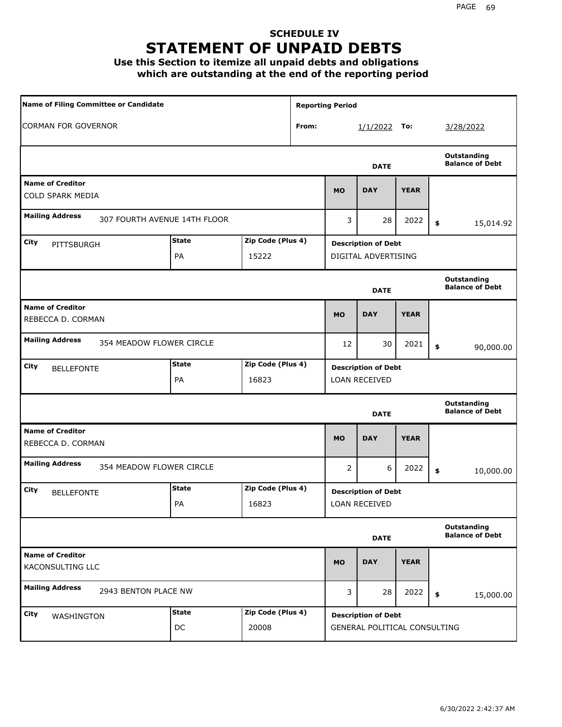### **SCHEDULE IV STATEMENT OF UNPAID DEBTS**

**Use this Section to itemize all unpaid debts and obligations which are outstanding at the end of the reporting period**

| Name of Filing Committee or Candidate                  |                    |                            |   | <b>Reporting Period</b> |                                                            |                 |                                       |
|--------------------------------------------------------|--------------------|----------------------------|---|-------------------------|------------------------------------------------------------|-----------------|---------------------------------------|
| <b>CORMAN FOR GOVERNOR</b><br>From:                    |                    |                            |   | $1/1/2022$ To:          |                                                            | 3/28/2022       |                                       |
|                                                        |                    |                            |   |                         | <b>DATE</b>                                                |                 | Outstanding<br><b>Balance of Debt</b> |
| <b>Name of Creditor</b><br><b>COLD SPARK MEDIA</b>     |                    |                            |   | <b>MO</b>               | <b>DAY</b>                                                 | <b>YEAR</b>     |                                       |
| <b>Mailing Address</b><br>307 FOURTH AVENUE 14TH FLOOR |                    |                            | 3 | 28                      | 2022                                                       | \$<br>15,014.92 |                                       |
| City<br>PITTSBURGH                                     | <b>State</b><br>PA | Zip Code (Plus 4)<br>15222 |   |                         | <b>Description of Debt</b><br>DIGITAL ADVERTISING          |                 |                                       |
|                                                        |                    |                            |   |                         | <b>DATE</b>                                                |                 | Outstanding<br><b>Balance of Debt</b> |
| <b>Name of Creditor</b><br>REBECCA D. CORMAN           |                    |                            |   | <b>MO</b>               | <b>DAY</b>                                                 | <b>YEAR</b>     |                                       |
| <b>Mailing Address</b><br>354 MEADOW FLOWER CIRCLE     |                    |                            |   | 12                      | 30                                                         | 2021            | \$<br>90,000.00                       |
| City<br><b>BELLEFONTE</b>                              | <b>State</b><br>PA | Zip Code (Plus 4)<br>16823 |   |                         | <b>Description of Debt</b><br><b>LOAN RECEIVED</b>         |                 |                                       |
|                                                        |                    |                            |   |                         | <b>DATE</b>                                                |                 | Outstanding<br><b>Balance of Debt</b> |
| <b>Name of Creditor</b><br>REBECCA D. CORMAN           |                    |                            |   | <b>MO</b>               | <b>DAY</b>                                                 | <b>YEAR</b>     |                                       |
| <b>Mailing Address</b><br>354 MEADOW FLOWER CIRCLE     |                    |                            |   | 2                       | 6                                                          | 2022            | \$<br>10,000.00                       |
| City<br><b>BELLEFONTE</b>                              | <b>State</b><br>PA | Zip Code (Plus 4)<br>16823 |   |                         | <b>Description of Debt</b><br>LOAN RECEIVED                |                 |                                       |
|                                                        |                    |                            |   |                         | <b>DATE</b>                                                |                 | Outstanding<br><b>Balance of Debt</b> |
| <b>Name of Creditor</b><br>KACONSULTING LLC            |                    |                            |   | <b>MO</b>               | <b>DAY</b>                                                 | <b>YEAR</b>     |                                       |
| <b>Mailing Address</b><br>2943 BENTON PLACE NW         |                    |                            |   | 3                       | 28                                                         | 2022            | \$<br>15,000.00                       |
| <b>City</b><br>WASHINGTON                              | <b>State</b><br>DC | Zip Code (Plus 4)<br>20008 |   |                         | <b>Description of Debt</b><br>GENERAL POLITICAL CONSULTING |                 |                                       |